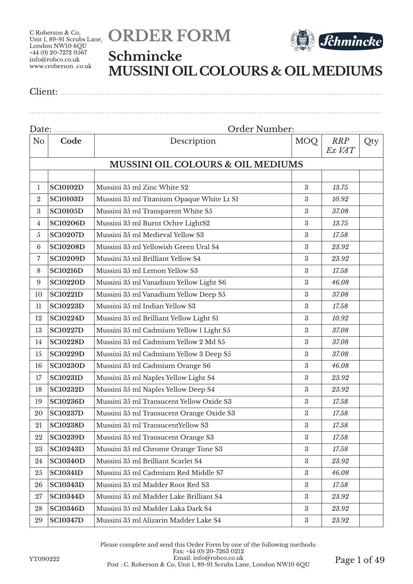



## **Schmincke MUSSINI OIL COLOURS & OIL MEDIUMS**

| N <sub>o</sub>   | Code            | Description                                  | MOQ              | RRP<br>Ex VAT | Qty |
|------------------|-----------------|----------------------------------------------|------------------|---------------|-----|
|                  |                 | <b>MUSSINI OIL COLOURS &amp; OIL MEDIUMS</b> |                  |               |     |
|                  |                 |                                              |                  |               |     |
| 1                | <b>SC10102D</b> | Mussini 35 ml Zinc White S2                  | $\boldsymbol{3}$ | 13.75         |     |
| $\boldsymbol{2}$ | <b>SC10103D</b> | Mussini 35 ml Titanium Opaque White Lt S1    | $\boldsymbol{3}$ | 10.92         |     |
| $\rm 3$          | <b>SC10105D</b> | Mussini 35 ml Transparent White S5           | $\boldsymbol{3}$ | 37.08         |     |
| $\overline{4}$   | <b>SC10206D</b> | Mussini 35 ml Burnt Ochre LightS2            | $\boldsymbol{3}$ | 13.75         |     |
| 5                | <b>SC10207D</b> | Mussini 35 ml Medieval Yellow S3             | 3                | 17.58         |     |
| $6\phantom{1}6$  | <b>SC10208D</b> | Mussini 35 ml Yellowish Green Ural S4        | $\boldsymbol{3}$ | 23.92         |     |
| 7                | <b>SC10209D</b> | Mussini 35 ml Brilliant Yellow S4            | $\boldsymbol{3}$ | 23.92         |     |
| 8                | <b>SC10216D</b> | Mussini 35 ml Lemon Yellow S3                | $\rm 3$          | 17.58         |     |
| 9                | <b>SC10220D</b> | Mussini 35 ml Vanadium Yellow Light S6       | $\boldsymbol{3}$ | 46.08         |     |
| 10               | <b>SC10221D</b> | Mussini 35 ml Vanadium Yellow Deep S5        | $\rm 3$          | 37.08         |     |
| 11               | <b>SC10223D</b> | Mussini 35 ml Indian Yellow S3               | 3                | 17.58         |     |
| 12               | <b>SC10224D</b> | Mussini 35 ml Brilliant Yellow Light S1      | 3                | 10.92         |     |
| 13               | <b>SC10227D</b> | Mussini 35 ml Cadmium Yellow 1 Light S5      | $\boldsymbol{3}$ | 37.08         |     |
| 14               | <b>SC10228D</b> | Mussini 35 ml Cadmium Yellow 2 Md S5         | $\boldsymbol{3}$ | 37.08         |     |
| 15               | <b>SC10229D</b> | Mussini 35 ml Cadmium Yellow 3 Deep S5       | $\boldsymbol{3}$ | 37.08         |     |
| 16               | <b>SC10230D</b> | Mussini 35 ml Cadmium Orange S6              | $\boldsymbol{3}$ | 46.08         |     |
| 17               | <b>SC10231D</b> | Mussini 35 ml Naples Yellow Light S4         | $\rm 3$          | 23.92         |     |
| 18               | <b>SC10232D</b> | Mussini 35 ml Naples Yellow Deep S4          | 3                | 23.92         |     |
| 19               | <b>SC10236D</b> | Mussini 35 ml Transucent Yellow Oxide S3     | 3                | 17.58         |     |
| 20               | <b>SC10237D</b> | Mussini 35 ml Transucent Orange Oxide S3     | $\boldsymbol{3}$ | 17.58         |     |
| 21               | <b>SC10238D</b> | Mussini 35 ml TransucentYellow S3            | 3                | 17.58         |     |
| 22               | <b>SC10239D</b> | Mussini 35 ml Transucent Orange S3           | $\boldsymbol{3}$ | 17.58         |     |
| 23               | <b>SC10243D</b> | Mussini 35 ml Chrome Orange Tone S3          | $\boldsymbol{3}$ | 17.58         |     |
| 24               | <b>SC10340D</b> | Mussini 35 ml Brilliant Scarlet S4           | $\sqrt{3}$       | 23.92         |     |
| 25               | <b>SC10341D</b> | Mussini 35 ml Cadmium Red Middle S7          | $\sqrt{3}$       | 46.08         |     |
| 26               | <b>SC10343D</b> | Mussini 35 ml Madder Root Red S3             | $\rm 3$          | 17.58         |     |
| 27               | <b>SC10344D</b> | Mussini 35 ml Madder Lake Brilliant S4       | $\sqrt{3}$       | 23.92         |     |
| 28               | <b>SC10346D</b> | Mussini 35 ml Madder Laka Dark S4            | $\boldsymbol{3}$ | 23.92         |     |
| 29               | <b>SC10347D</b> | Mussini 35 ml Alizarin Madder Lake S4        | $\rm 3$          | 23.92         |     |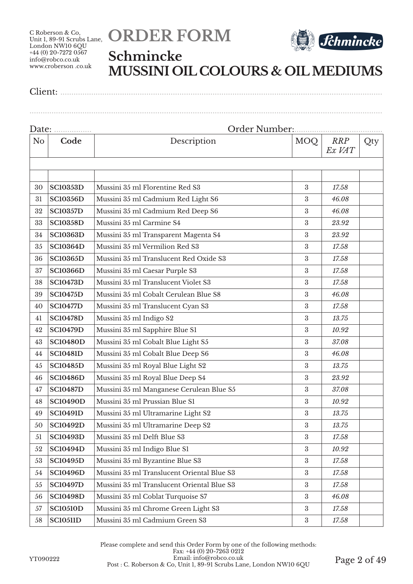# **ORDER FORM**



### **Schmincke MUSSINI OIL COLOURS & OIL MEDIUMS**

Client: ..................................................................................................................................................

| Date: |                 |                                            |                  |                      |     |
|-------|-----------------|--------------------------------------------|------------------|----------------------|-----|
| No    | Code            | Description                                | MOQ              | <b>RRP</b><br>Ex VAT | Qty |
|       |                 |                                            |                  |                      |     |
|       |                 |                                            |                  |                      |     |
| 30    | <b>SC10353D</b> | Mussini 35 ml Florentine Red S3            | $\boldsymbol{3}$ | 17.58                |     |
| 31    | <b>SC10356D</b> | Mussini 35 ml Cadmium Red Light S6         | $\rm 3$          | 46.08                |     |
| 32    | <b>SC10357D</b> | Mussini 35 ml Cadmium Red Deep S6          | 3                | 46.08                |     |
| 33    | <b>SC10358D</b> | Mussini 35 ml Carmine S4                   | $\boldsymbol{3}$ | 23.92                |     |
| 34    | <b>SC10363D</b> | Mussini 35 ml Transparent Magenta S4       | 3                | 23.92                |     |
| 35    | <b>SC10364D</b> | Mussini 35 ml Vermilion Red S3             | 3                | 17.58                |     |
| 36    | <b>SC10365D</b> | Mussini 35 ml Translucent Red Oxide S3     | 3                | 17.58                |     |
| 37    | <b>SC10366D</b> | Mussini 35 ml Caesar Purple S3             | 3                | 17.58                |     |
| 38    | <b>SC10473D</b> | Mussini 35 ml Translucent Violet S3        | $\rm 3$          | 17.58                |     |
| 39    | <b>SC10475D</b> | Mussini 35 ml Cobalt Cerulean Blue S8      | $\rm 3$          | 46.08                |     |
| 40    | <b>SC10477D</b> | Mussini 35 ml Translucent Cyan S3          | $\boldsymbol{3}$ | 17.58                |     |
| 41    | <b>SC10478D</b> | Mussini 35 ml Indigo S2                    | 3                | 13.75                |     |
| 42    | <b>SC10479D</b> | Mussini 35 ml Sapphire Blue S1             | 3                | 10.92                |     |
| 43    | <b>SC10480D</b> | Mussini 35 ml Cobalt Blue Light S5         | 3                | 37.08                |     |
| 44    | <b>SC10481D</b> | Mussini 35 ml Cobalt Blue Deep S6          | 3                | 46.08                |     |
| 45    | <b>SC10485D</b> | Mussini 35 ml Royal Blue Light S2          | 3                | 13.75                |     |
| 46    | <b>SC10486D</b> | Mussini 35 ml Royal Blue Deep S4           | $\rm 3$          | 23.92                |     |
| 47    | <b>SC10487D</b> | Mussini 35 ml Manganese Cerulean Blue S5   | $\boldsymbol{3}$ | 37.08                |     |
| 48    | <b>SC10490D</b> | Mussini 35 ml Prussian Blue S1             | 3                | 10.92                |     |
| 49    | <b>SC10491D</b> | Mussini 35 ml Ultramarine Light S2         | 3                | 13.75                |     |
| 50    | <b>SC10492D</b> | Mussini 35 ml Ultramarine Deep S2          | 3                | 13.75                |     |
| 51    | <b>SC10493D</b> | Mussini 35 ml Delft Blue S3                | $\boldsymbol{3}$ | 17.58                |     |
| 52    | <b>SC10494D</b> | Mussini 35 ml Indigo Blue S1               | $\boldsymbol{3}$ | 10.92                |     |
| 53    | <b>SC10495D</b> | Mussini 35 ml Byzantine Blue S3            | $\rm 3$          | 17.58                |     |
| 54    | <b>SC10496D</b> | Mussini 35 ml Translucent Oriental Blue S3 | $\boldsymbol{3}$ | 17.58                |     |
| 55    | <b>SC10497D</b> | Mussini 35 ml Translucent Oriental Blue S3 | $\boldsymbol{3}$ | 17.58                |     |
| 56    | <b>SC10498D</b> | Mussini 35 ml Coblat Turquoise S7          | $\boldsymbol{3}$ | 46.08                |     |
| 57    | <b>SC10510D</b> | Mussini 35 ml Chrome Green Light S3        | $\rm 3$          | 17.58                |     |
| 58    | <b>SC10511D</b> | Mussini 35 ml Cadmium Green S3             | $\boldsymbol{3}$ | 17.58                |     |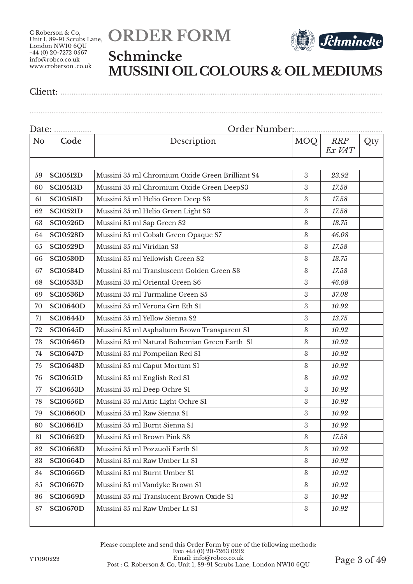# **ORDER FORM**



## **Schmincke MUSSINI OIL COLOURS & OIL MEDIUMS**

| N <sub>o</sub> | Code            | Description                                     | <b>MOQ</b>       | <b>RRP</b><br>Ex VAT | Qty |
|----------------|-----------------|-------------------------------------------------|------------------|----------------------|-----|
|                |                 |                                                 |                  |                      |     |
| 59             | <b>SC10512D</b> | Mussini 35 ml Chromium Oxide Green Brilliant S4 | 3                | 23.92                |     |
| 60             | <b>SC10513D</b> | Mussini 35 ml Chromium Oxide Green DeepS3       | 3                | 17.58                |     |
| 61             | <b>SC10518D</b> | Mussini 35 ml Helio Green Deep S3               | $\rm 3$          | 17.58                |     |
| 62             | <b>SC10521D</b> | Mussini 35 ml Helio Green Light S3              | 3                | 17.58                |     |
| 63             | <b>SC10526D</b> | Mussini 35 ml Sap Green S2                      | $\rm 3$          | 13.75                |     |
| 64             | <b>SC10528D</b> | Mussini 35 ml Cobalt Green Opaque S7            | 3                | 46.08                |     |
| 65             | <b>SC10529D</b> | Mussini 35 ml Viridian S3                       | 3                | 17.58                |     |
| 66             | <b>SC10530D</b> | Mussini 35 ml Yellowish Green S2                | $\rm 3$          | 13.75                |     |
| 67             | <b>SC10534D</b> | Mussini 35 ml Transluscent Golden Green S3      | 3                | 17.58                |     |
| 68             | <b>SC10535D</b> | Mussini 35 ml Oriental Green S6                 | 3                | 46.08                |     |
| 69             | <b>SC10536D</b> | Mussini 35 ml Turmaline Green S5                | 3                | 37.08                |     |
| 70             | <b>SC10640D</b> | Mussini 35 ml Verona Grn Eth S1                 | $\rm 3$          | 10.92                |     |
| 71             | <b>SC10644D</b> | Mussini 35 ml Yellow Sienna S2                  | 3                | 13.75                |     |
| 72             | <b>SC10645D</b> | Mussini 35 ml Asphaltum Brown Transparent S1    | $\rm 3$          | 10.92                |     |
| 73             | <b>SC10646D</b> | Mussini 35 ml Natural Bohemian Green Earth S1   | $\rm 3$          | 10.92                |     |
| 74             | <b>SC10647D</b> | Mussini 35 ml Pompeiian Red S1                  | 3                | 10.92                |     |
| 75             | <b>SC10648D</b> | Mussini 35 ml Caput Mortum S1                   | 3                | 10.92                |     |
| 76             | <b>SC10651D</b> | Mussini 35 ml English Red S1                    | 3                | 10.92                |     |
| 77             | <b>SC10653D</b> | Mussini 35 ml Deep Ochre S1                     | $\rm 3$          | 10.92                |     |
| 78             | <b>SC10656D</b> | Mussini 35 ml Attic Light Ochre S1              | 3                | 10.92                |     |
| 79             | <b>SC10660D</b> | Mussini 35 ml Raw Sienna S1                     | $\rm 3$          | 10.92                |     |
| 80             | <b>SC10661D</b> | Mussini 35 ml Burnt Sienna S1                   | $\rm 3$          | 10.92                |     |
| 81             | <b>SC10662D</b> | Mussini 35 ml Brown Pink S3                     | $\rm 3$          | 17.58                |     |
| 82             | <b>SC10663D</b> | Mussini 35 ml Pozzuoli Earth S1                 | 3                | 10.92                |     |
| 83             | <b>SC10664D</b> | Mussini 35 ml Raw Umber Lt S1                   | $\boldsymbol{3}$ | 10.92                |     |
| 84             | <b>SC10666D</b> | Mussini 35 ml Burnt Umber S1                    | $\boldsymbol{3}$ | 10.92                |     |
| 85             | <b>SC10667D</b> | Mussini 35 ml Vandyke Brown S1                  | $\boldsymbol{3}$ | 10.92                |     |
| 86             | <b>SC10669D</b> | Mussini 35 ml Translucent Brown Oxide S1        | 3                | 10.92                |     |
| 87             | <b>SC10670D</b> | Mussini 35 ml Raw Umber Lt S1                   | 3                | 10.92                |     |
|                |                 |                                                 |                  |                      |     |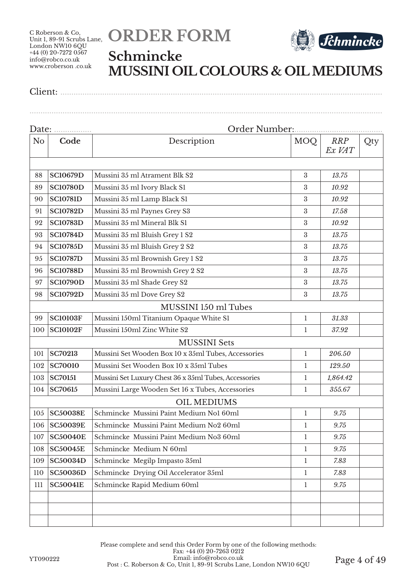



## **Schmincke MUSSINI OIL COLOURS & OIL MEDIUMS**

Client: ..................................................................................................................................................

|                |                 | Order Number:                                         |                  |                      |     |
|----------------|-----------------|-------------------------------------------------------|------------------|----------------------|-----|
| N <sub>o</sub> | Code            | Description                                           | <b>MOQ</b>       | <b>RRP</b><br>Ex VAT | Qty |
| 88             | <b>SC10679D</b> | Mussini 35 ml Atrament Blk S2                         | 3                | 13.75                |     |
| 89             | <b>SC10780D</b> | Mussini 35 ml Ivory Black S1                          | 3                | 10.92                |     |
| 90             | <b>SC10781D</b> | Mussini 35 ml Lamp Black S1                           | 3                | 10.92                |     |
| 91             | <b>SC10782D</b> | Mussini 35 ml Paynes Grey S3                          | $\boldsymbol{3}$ | 17.58                |     |
| 92             | <b>SC10783D</b> | Mussini 35 ml Mineral Blk S1                          | $\boldsymbol{3}$ | 10.92                |     |
| 93             | <b>SC10784D</b> | Mussini 35 ml Bluish Grey 1 S2                        | 3                | 13.75                |     |
| 94             | <b>SC10785D</b> | Mussini 35 ml Bluish Grey 2 S2                        | 3                | 13.75                |     |
| 95             | <b>SC10787D</b> | Mussini 35 ml Brownish Grey 1 S2                      | $\boldsymbol{3}$ | 13.75                |     |
| 96             | <b>SC10788D</b> | Mussini 35 ml Brownish Grey 2 S2                      | 3                | 13.75                |     |
| 97             | <b>SC10790D</b> | Mussini 35 ml Shade Grey S2                           | 3                | 13.75                |     |
| 98             | <b>SC10792D</b> | Mussini 35 ml Dove Grey S2                            | $\boldsymbol{3}$ | 13.75                |     |
|                |                 | MUSSINI 150 ml Tubes                                  |                  |                      |     |
| 99             | <b>SC10103F</b> | Mussini 150ml Titanium Opaque White S1                | $\mathbf{1}$     | 31.33                |     |
| 100            | <b>SC10102F</b> | Mussini 150ml Zinc White S2                           | $\mathbf{1}$     | 37.92                |     |
|                |                 | <b>MUSSINI</b> Sets                                   |                  |                      |     |
| 101            | <b>SC70213</b>  | Mussini Set Wooden Box 10 x 35ml Tubes, Accessories   | $\mathbf{1}$     | 206.50               |     |
| 102            | <b>SC70010</b>  | Mussini Set Wooden Box 10 x 35ml Tubes                | 1                | 129.50               |     |
| 103            | <b>SC70151</b>  | Mussini Set Luxury Chest 36 x 35ml Tubes, Accessories | $\mathbf{1}$     | 1,864.42             |     |
| 104            | <b>SC70615</b>  | Mussini Large Wooden Set 16 x Tubes, Accessories      | 1                | 355.67               |     |
|                |                 | <b>OIL MEDIUMS</b>                                    |                  |                      |     |
| 105            | <b>SC50038E</b> | Schmincke Mussini Paint Medium Nol 60ml               | $\mathbf{1}$     | 9.75                 |     |
| 106            | <b>SC50039E</b> | Schmincke Mussini Paint Medium No2 60ml               | $\mathbf{1}$     | 9.75                 |     |
| 107            | <b>SC50040E</b> | Schmincke Mussini Paint Medium No3 60ml               | $\mathbf{1}$     | 9.75                 |     |
| 108            | <b>SC50045E</b> | Schmincke Medium N 60ml                               | 1                | 9.75                 |     |
| 109            | <b>SC50034D</b> | Schmincke Megilp Impasto 35ml                         | $\mathbf{1}$     | 7.83                 |     |
| 110            | <b>SC50036D</b> | Schmincke Drying Oil Accelerator 35ml                 | 1                | 7.83                 |     |
| 111            | <b>SC50041E</b> | Schmincke Rapid Medium 60ml                           | $\mathbf{1}$     | 9.75                 |     |
|                |                 |                                                       |                  |                      |     |
|                |                 |                                                       |                  |                      |     |
|                |                 |                                                       |                  |                      |     |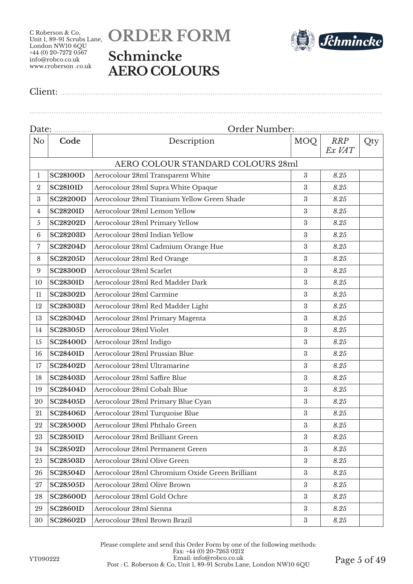## **ORDER FORM Schmincke AERO COLOURS**



Client: ..................................................................................................................................................

Date: ................. Order Number:........................................ No **Code** Description MOO *RRP Ex VAT* Qty AERO COLOUR STANDARD COLOURS 28ml **SC28100D** Aerocolour 28ml Transparent White 3 *8.25* 2 SC28101D Aerocolour 28ml Supra White Opaque 3 3 8.25 **SC28200D** Aerocolour 28ml Titanium Yellow Green Shade 3 *8.25* **SC28201D** Aerocolour 28ml Lemon Yellow 3 *8.25* **SC28202D** Aerocolour 28ml Primary Yellow 3 *8.25* **SC28203D** Aerocolour 28ml Indian Yellow 3 *8.25* **SC28204D** Aerocolour 28ml Cadmium Orange Hue 3 8.25 **SC28205D** Aerocolour 28ml Red Orange 3 *8.25* **SC28300D** Aerocolour 28ml Scarlet 3 *8.25* **SC28301D** Aerocolour 28ml Red Madder Dark 3 8.25 **SC28302D** Aerocolour 28ml Carmine 3 *8.25* **SC28303D** Aerocolour 28ml Red Madder Light 3 *8.25* **SC28304D** Aerocolour 28ml Primary Magenta 3 *8.25* **SC28305D** Aerocolour 28ml Violet 3 *8.25* **SC28400D** Aerocolour 28ml Indigo 3 *8.25* **SC28401D** Aerocolour 28ml Prussian Blue 3 *8.25* **SC28402D** Aerocolour 28ml Ultramarine 3 *8.25* **SC28403D** Aerocolour 28ml Saffire Blue 3 *8.25* **SC28404D** Aerocolour 28ml Cobalt Blue 3 *8.25* **SC28405D** Aerocolour 28ml Primary Blue Cyan 3 *8.25* **SC28406D** Aerocolour 28ml Turquoise Blue 3 8.25 **SC28500D** Aerocolour 28ml Phthalo Green 3 *8.25* **SC28501D** Aerocolour 28ml Brilliant Green 3 8.25 **SC28502D** Aerocolour 28ml Permanent Green 3 *8.25* **SC28503D** Aerocolour 28ml Olive Green 3 *8.25* **SC28504D** Aerocolour 28ml Chromium Oxide Green Brilliant 3 *8.25* **SC28505D** Aerocolour 28ml Olive Brown 3 8.25 **SC28600D** Aerocolour 28ml Gold Ochre 3 *8.25* **SC28601D** Aerocolour 28ml Sienna 3 *8.25* **SC28602D** Aerocolour 28ml Brown Brazil 3 *8.25*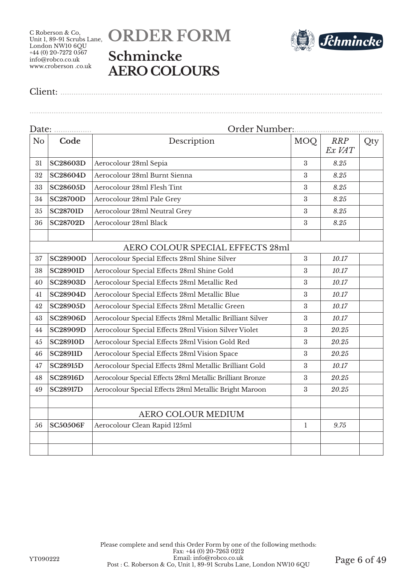## **ORDER FORM Schmincke AERO COLOURS**



Client: ..................................................................................................................................................

|                | Date:           | Order Number:                                             |                  |               |     |
|----------------|-----------------|-----------------------------------------------------------|------------------|---------------|-----|
| N <sub>o</sub> | Code            | Description                                               | MOQ              | RRP<br>Ex VAT | Qty |
| 31             | <b>SC28603D</b> | Aerocolour 28ml Sepia                                     | 3                | 8.25          |     |
| 32             | <b>SC28604D</b> | Aerocolour 28ml Burnt Sienna                              | 3                | 8.25          |     |
| 33             | <b>SC28605D</b> | Aerocolour 28ml Flesh Tint                                | 3                | 8.25          |     |
| 34             | <b>SC28700D</b> | Aerocolour 28ml Pale Grey                                 | $\boldsymbol{3}$ | 8.25          |     |
| 35             | <b>SC28701D</b> | Aerocolour 28ml Neutral Grey                              | 3                | 8.25          |     |
| 36             | <b>SC28702D</b> | Aerocolour 28ml Black                                     | 3                | 8.25          |     |
|                |                 |                                                           |                  |               |     |
|                |                 | AERO COLOUR SPECIAL EFFECTS 28ml                          |                  |               |     |
| 37             | <b>SC28900D</b> | Aerocolour Special Effects 28ml Shine Silver              | 3                | 10.17         |     |
| 38             | <b>SC28901D</b> | Aerocolour Special Effects 28ml Shine Gold                | 3                | 10.17         |     |
| 40             | <b>SC28903D</b> | Aerocolour Special Effects 28ml Metallic Red              | 3                | 10.17         |     |
| 41             | <b>SC28904D</b> | Aerocolour Special Effects 28ml Metallic Blue             | 3                | 10.17         |     |
| 42             | <b>SC28905D</b> | Aerocolour Special Effects 28ml Metallic Green            | 3                | 10.17         |     |
| 43             | <b>SC28906D</b> | Aerocolour Special Effects 28ml Metallic Brilliant Silver | 3                | 10.17         |     |
| 44             | <b>SC28909D</b> | Aerocolour Special Effects 28ml Vision Silver Violet      | 3                | 20.25         |     |
| 45             | <b>SC28910D</b> | Aerocolour Special Effects 28ml Vision Gold Red           | $\boldsymbol{3}$ | 20.25         |     |
| 46             | <b>SC28911D</b> | Aerocolour Special Effects 28ml Vision Space              | 3                | 20.25         |     |
| 47             | <b>SC28915D</b> | Aerocolour Special Effects 28ml Metallic Brilliant Gold   | 3                | 10.17         |     |
| 48             | <b>SC28916D</b> | Aerocolour Special Effects 28ml Metallic Brilliant Bronze | $\boldsymbol{3}$ | 20.25         |     |
| 49             | <b>SC28917D</b> | Aerocolour Special Effects 28ml Metallic Bright Maroon    | 3                | 20.25         |     |
|                |                 | AERO COLOUR MEDIUM                                        |                  |               |     |
| 56             | <b>SC50506F</b> | Aerocolour Clean Rapid 125ml                              | 1                | 9.75          |     |
|                |                 |                                                           |                  |               |     |
|                |                 |                                                           |                  |               |     |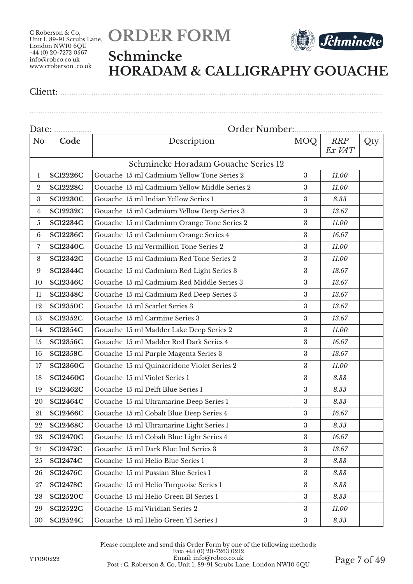



### **Schmincke HORADAM & CALLIGRAPHY GOUACHE**

| N <sub>o</sub>  | Code            | Description                                  | <b>MOQ</b>       | <b>RRP</b><br>Ex VAT | Qty |
|-----------------|-----------------|----------------------------------------------|------------------|----------------------|-----|
|                 |                 | Schmincke Horadam Gouache Series 12          |                  |                      |     |
| 1               | <b>SC12226C</b> | Gouache 15 ml Cadmium Yellow Tone Series 2   | 3                | 11.00                |     |
| $\overline{2}$  | <b>SC12228C</b> | Gouache 15 ml Cadmium Yellow Middle Series 2 | 3                | 11.00                |     |
| 3               | <b>SC12230C</b> | Gouache 15 ml Indian Yellow Series 1         | $\boldsymbol{3}$ | 8.33                 |     |
| 4               | <b>SC12232C</b> | Gouache 15 ml Cadmium Yellow Deep Series 3   | $\rm 3$          | 13.67                |     |
| $\overline{5}$  | <b>SC12234C</b> | Gouache 15 ml Cadmium Orange Tone Series 2   | $\boldsymbol{3}$ | 11.00                |     |
| $6\phantom{1}6$ | <b>SC12236C</b> | Gouache 15 ml Cadmium Orange Series 4        | $\boldsymbol{3}$ | 16.67                |     |
| 7               | <b>SC12340C</b> | Gouache 15 ml Vermillion Tone Series 2       | $\boldsymbol{3}$ | 11.00                |     |
| 8               | <b>SC12342C</b> | Gouache 15 ml Cadmium Red Tone Series 2      | $\boldsymbol{3}$ | 11.00                |     |
| 9               | <b>SC12344C</b> | Gouache 15 ml Cadmium Red Light Series 3     | $\boldsymbol{3}$ | 13.67                |     |
| 10              | <b>SC12346C</b> | Gouache 15 ml Cadmium Red Middle Series 3    | 3                | 13.67                |     |
| 11              | <b>SC12348C</b> | Gouache 15 ml Cadmium Red Deep Series 3      | $\rm 3$          | 13.67                |     |
| 12              | <b>SC12350C</b> | Gouache 15 ml Scarlet Series 3               | $\boldsymbol{3}$ | 13.67                |     |
| 13              | <b>SC12352C</b> | Gouache 15 ml Carmine Series 3               | $\boldsymbol{3}$ | 13.67                |     |
| 14              | <b>SC12354C</b> | Gouache 15 ml Madder Lake Deep Series 2      | $\boldsymbol{3}$ | 11.00                |     |
| 15              | <b>SC12356C</b> | Gouache 15 ml Madder Red Dark Series 4       | $\boldsymbol{3}$ | 16.67                |     |
| 16              | <b>SC12358C</b> | Gouache 15 ml Purple Magenta Series 3        | $\boldsymbol{3}$ | 13.67                |     |
| 17              | <b>SC12360C</b> | Gouache 15 ml Quinacridone Violet Series 2   | $\boldsymbol{3}$ | 11.00                |     |
| 18              | <b>SC12460C</b> | Gouache 15 ml Violet Series 1                | $\sqrt{3}$       | 8.33                 |     |
| 19              | <b>SC12462C</b> | Gouache 15 ml Delft Blue Series 1            | $\boldsymbol{3}$ | 8.33                 |     |
| 20              | <b>SC12464C</b> | Gouache 15 ml Ultramarine Deep Series 1      | $\boldsymbol{3}$ | 8.33                 |     |
| 21              | <b>SC12466C</b> | Gouache 15 ml Cobalt Blue Deep Series 4      | $\boldsymbol{3}$ | 16.67                |     |
| 22              | <b>SC12468C</b> | Gouache 15 ml Ultramarine Light Series 1     | 3                | 8.33                 |     |
| 23              | <b>SC12470C</b> | Gouache 15 ml Cobalt Blue Light Series 4     | $\boldsymbol{3}$ | $16.67\,$            |     |
| 24              | <b>SC12472C</b> | Gouache 15 ml Dark Blue Ind Series 3         | $\boldsymbol{3}$ | 13.67                |     |
| 25              | <b>SC12474C</b> | Gouache 15 ml Helio Blue Series 1            | $\sqrt{3}$       | 8.33                 |     |
| 26              | <b>SC12476C</b> | Gouache 15 ml Pussian Blue Series 1          | $\sqrt{3}$       | 8.33                 |     |
| 27              | <b>SC12478C</b> | Gouache 15 ml Helio Turquoise Series 1       | $\boldsymbol{3}$ | 8.33                 |     |
| 28              | <b>SC12520C</b> | Gouache 15 ml Helio Green Bl Series 1        | $\boldsymbol{3}$ | 8.33                 |     |
| 29              | <b>SC12522C</b> | Gouache 15 ml Viridian Series 2              | 3                | 11.00                |     |
| 30              | <b>SC12524C</b> | Gouache 15 ml Helio Green Yl Series 1        | $\sqrt{3}$       | 8.33                 |     |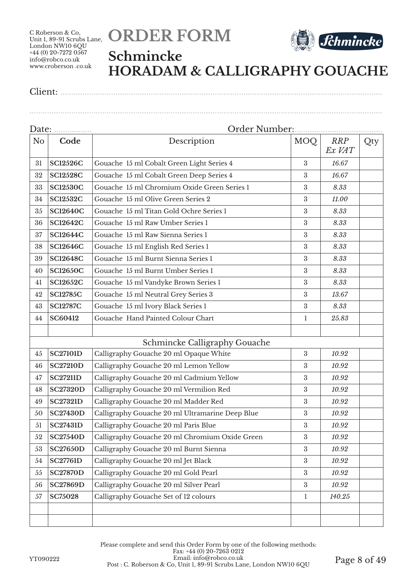



### **Schmincke HORADAM & CALLIGRAPHY GOUACHE**

|                | Date:           |                                                 |                  |                      |     |
|----------------|-----------------|-------------------------------------------------|------------------|----------------------|-----|
| N <sub>o</sub> | Code            | Description                                     | <b>MOQ</b>       | <b>RRP</b><br>Ex VAT | Qty |
| 31             | <b>SC12526C</b> | Gouache 15 ml Cobalt Green Light Series 4       | $\boldsymbol{3}$ | 16.67                |     |
| 32             | <b>SC12528C</b> | Gouache 15 ml Cobalt Green Deep Series 4        | $\boldsymbol{3}$ | 16.67                |     |
| 33             | <b>SC12530C</b> | Gouache 15 ml Chromium Oxide Green Series 1     | 3                | 8.33                 |     |
| 34             | <b>SC12532C</b> | Gouache 15 ml Olive Green Series 2              | $\boldsymbol{3}$ | 11.00                |     |
| 35             | <b>SC12640C</b> | Gouache 15 ml Titan Gold Ochre Series 1         | 3                | 8.33                 |     |
| 36             | <b>SC12642C</b> | Gouache 15 ml Raw Umber Series 1                | $\boldsymbol{3}$ | 8.33                 |     |
| 37             | <b>SC12644C</b> | Gouache 15 ml Raw Sienna Series 1               | 3                | 8.33                 |     |
| 38             | <b>SC12646C</b> | Gouache 15 ml English Red Series 1              | $\sqrt{3}$       | 8.33                 |     |
| 39             | <b>SC12648C</b> | Gouache 15 ml Burnt Sienna Series 1             | $\boldsymbol{3}$ | 8.33                 |     |
| 40             | <b>SC12650C</b> | Gouache 15 ml Burnt Umber Series 1              | $\boldsymbol{3}$ | 8.33                 |     |
| 41             | <b>SC12652C</b> | Gouache 15 ml Vandyke Brown Series 1            | 3                | 8.33                 |     |
| 42             | <b>SC12785C</b> | Gouache 15 ml Neutral Grey Series 3             | $\boldsymbol{3}$ | 13.67                |     |
| 43             | <b>SC12787C</b> | Gouache 15 ml Ivory Black Series 1              | $\boldsymbol{3}$ | 8.33                 |     |
| 44             | SC60412         | Gouache Hand Painted Colour Chart               | $\mathbf{1}$     | 25.83                |     |
|                |                 |                                                 |                  |                      |     |
|                |                 | Schmincke Calligraphy Gouache                   |                  |                      |     |
| 45             | <b>SC27101D</b> | Calligraphy Gouache 20 ml Opaque White          | $\boldsymbol{3}$ | 10.92                |     |
| 46             | <b>SC27210D</b> | Calligraphy Gouache 20 ml Lemon Yellow          | 3                | 10.92                |     |
| 47             | <b>SC27211D</b> | Calligraphy Gouache 20 ml Cadmium Yellow        | 3                | 10.92                |     |
| 48             | <b>SC27320D</b> | Calligraphy Gouache 20 ml Vermilion Red         | $\boldsymbol{3}$ | 10.92                |     |
| 49             | <b>SC27321D</b> | Calligraphy Gouache 20 ml Madder Red            | $\boldsymbol{3}$ | 10.92                |     |
| 50             | <b>SC27430D</b> | Calligraphy Gouache 20 ml Ultramarine Deep Blue | $\sqrt{3}$       | 10.92                |     |
| 51             | <b>SC27431D</b> | Calligraphy Gouache 20 ml Paris Blue            | $\sqrt{3}$       | 10.92                |     |
| 52             | <b>SC27540D</b> | Calligraphy Gouache 20 ml Chromium Oxide Green  | $\sqrt{3}$       | 10.92                |     |
| 53             | <b>SC27650D</b> | Calligraphy Gouache 20 ml Burnt Sienna          | 3                | 10.92                |     |
| 54             | <b>SC27761D</b> | Calligraphy Gouache 20 ml Jet Black             | $\boldsymbol{3}$ | 10.92                |     |
| 55             | <b>SC27870D</b> | Calligraphy Gouache 20 ml Gold Pearl            | $\boldsymbol{3}$ | 10.92                |     |
| 56             | <b>SC27869D</b> | Calligraphy Gouache 20 ml Silver Pearl          | $\sqrt{3}$       | 10.92                |     |
| 57             | <b>SC75028</b>  | Calligraphy Gouache Set of 12 colours           | $\mathbf{1}$     | 140.25               |     |
|                |                 |                                                 |                  |                      |     |
|                |                 |                                                 |                  |                      |     |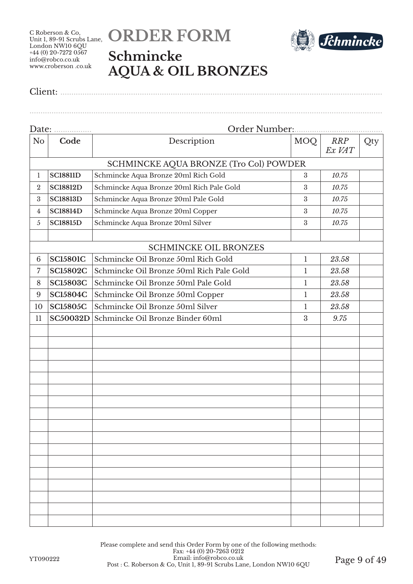

Client: ..................................................................................................................................................



#### **Schmincke AQUA & OIL BRONZES**

|                  | Date:           |                                           |                  |                      |     |
|------------------|-----------------|-------------------------------------------|------------------|----------------------|-----|
| N <sub>o</sub>   | Code            | Description                               | <b>MOQ</b>       | <b>RRP</b><br>Ex VAT | Qty |
|                  |                 | SCHMINCKE AQUA BRONZE (Tro Col) POWDER    |                  |                      |     |
| 1                | <b>SC18811D</b> | Schmincke Aqua Bronze 20ml Rich Gold      | 3                | 10.75                |     |
| $\boldsymbol{2}$ | <b>SC18812D</b> | Schmincke Aqua Bronze 20ml Rich Pale Gold | $\boldsymbol{3}$ | 10.75                |     |
| $\boldsymbol{3}$ | <b>SC18813D</b> | Schmincke Aqua Bronze 20ml Pale Gold      | 3                | 10.75                |     |
| 4                | <b>SC18814D</b> | Schmincke Aqua Bronze 20ml Copper         | $\boldsymbol{3}$ | 10.75                |     |
| 5                | <b>SC18815D</b> | Schmincke Aqua Bronze 20ml Silver         | 3                | 10.75                |     |
|                  |                 |                                           |                  |                      |     |
|                  |                 | <b>SCHMINCKE OIL BRONZES</b>              |                  |                      |     |
| 6                | <b>SC15801C</b> | Schmincke Oil Bronze 50ml Rich Gold       | 1                | 23.58                |     |
| $\overline{7}$   | <b>SC15802C</b> | Schmincke Oil Bronze 50ml Rich Pale Gold  | 1                | 23.58                |     |
| 8                | <b>SC15803C</b> | Schmincke Oil Bronze 50ml Pale Gold       | 1                | 23.58                |     |
| 9                | <b>SC15804C</b> | Schmincke Oil Bronze 50ml Copper          | $\mathbf 1$      | 23.58                |     |
| 10               | <b>SC15805C</b> | Schmincke Oil Bronze 50ml Silver          | 1                | 23.58                |     |
| 11               | <b>SC50032D</b> | Schmincke Oil Bronze Binder 60ml          | 3                | 9.75                 |     |
|                  |                 |                                           |                  |                      |     |
|                  |                 |                                           |                  |                      |     |
|                  |                 |                                           |                  |                      |     |
|                  |                 |                                           |                  |                      |     |
|                  |                 |                                           |                  |                      |     |
|                  |                 |                                           |                  |                      |     |
|                  |                 |                                           |                  |                      |     |
|                  |                 |                                           |                  |                      |     |
|                  |                 |                                           |                  |                      |     |
|                  |                 |                                           |                  |                      |     |
|                  |                 |                                           |                  |                      |     |
|                  |                 |                                           |                  |                      |     |
|                  |                 |                                           |                  |                      |     |
|                  |                 |                                           |                  |                      |     |
|                  |                 |                                           |                  |                      |     |
|                  |                 |                                           |                  |                      |     |
|                  |                 |                                           |                  |                      |     |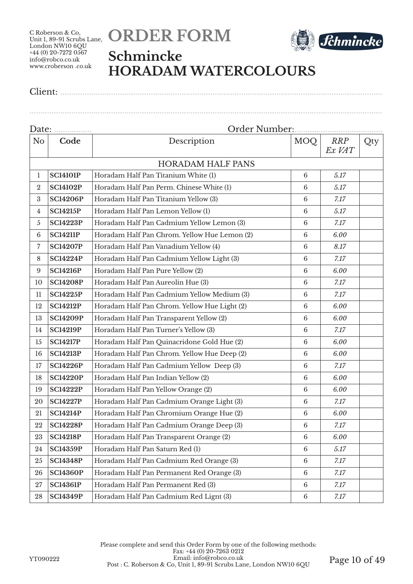



### **Schmincke HORADAM WATERCOLOURS**

Client: ..................................................................................................................................................

|                |                 | Order Number                                 |                 | . <u>.</u>           |     |
|----------------|-----------------|----------------------------------------------|-----------------|----------------------|-----|
| N <sub>o</sub> | Code            | Description                                  | MOQ             | <b>RRP</b><br>Ex VAT | Qty |
|                |                 | <b>HORADAM HALF PANS</b>                     |                 |                      |     |
| $\mathbf{1}$   | <b>SC14101P</b> | Horadam Half Pan Titanium White (1)          | $6\phantom{.}6$ | 5.17                 |     |
| $\overline{2}$ | <b>SC14102P</b> | Horadam Half Pan Perm. Chinese White (1)     | 6               | 5.17                 |     |
| 3              | <b>SC14206P</b> | Horadam Half Pan Titanium Yellow (3)         | $6\phantom{.}6$ | 7.17                 |     |
| 4              | <b>SC14215P</b> | Horadam Half Pan Lemon Yellow (1)            | $\,6\,$         | 5.17                 |     |
| 5              | <b>SC14223P</b> | Horadam Half Pan Cadmium Yellow Lemon (3)    | $\,6\,$         | 7.17                 |     |
| 6              | <b>SC14211P</b> | Horadam Half Pan Chrom. Yellow Hue Lemon (2) | $6\phantom{.}6$ | 6.00                 |     |
| 7              | <b>SC14207P</b> | Horadam Half Pan Vanadium Yellow (4)         | $6\phantom{.}6$ | 8.17                 |     |
| 8              | <b>SC14224P</b> | Horadam Half Pan Cadmium Yellow Light (3)    | $\,6\,$         | 7.17                 |     |
| 9              | <b>SC14216P</b> | Horadam Half Pan Pure Yellow (2)             | $6\phantom{.}6$ | 6.00                 |     |
| 10             | <b>SC14208P</b> | Horadam Half Pan Aureolin Hue (3)            | $6\phantom{.}6$ | 7.17                 |     |
| 11             | <b>SC14225P</b> | Horadam Half Pan Cadmium Yellow Medium (3)   | $\,6\,$         | 7.17                 |     |
| 12             | <b>SC14212P</b> | Horadam Half Pan Chrom. Yellow Hue Light (2) | $\,6\,$         | 6.00                 |     |
| 13             | <b>SC14209P</b> | Horadam Half Pan Transparent Yellow (2)      | $6\phantom{.}6$ | 6.00                 |     |
| 14             | <b>SC14219P</b> | Horadam Half Pan Turner's Yellow (3)         | $6\phantom{.}6$ | 7.17                 |     |
| 15             | <b>SC14217P</b> | Horadam Half Pan Quinacridone Gold Hue (2)   | $\,6\,$         | 6.00                 |     |
| 16             | <b>SC14213P</b> | Horadam Half Pan Chrom. Yellow Hue Deep (2)  | $6\phantom{.}6$ | 6.00                 |     |
| 17             | <b>SC14226P</b> | Horadam Half Pan Cadmium Yellow Deep (3)     | $6\phantom{.}6$ | 7.17                 |     |
| 18             | <b>SC14220P</b> | Horadam Half Pan Indian Yellow (2)           | $\,6\,$         | 6.00                 |     |
| 19             | <b>SC14222P</b> | Horadam Half Pan Yellow Orange (2)           | $\,6\,$         | 6.00                 |     |
| 20             | <b>SC14227P</b> | Horadam Half Pan Cadmium Orange Light (3)    | $6\phantom{.}6$ | 7.17                 |     |
| 21             | <b>SC14214P</b> | Horadam Half Pan Chromium Orange Hue (2)     | $\,6\,$         | 6.00                 |     |
| 22             | <b>SC14228P</b> | Horadam Half Pan Cadmium Orange Deep (3)     | $\,6\,$         | 7.17                 |     |
| 23             | <b>SC14218P</b> | Horadam Half Pan Transparent Orange (2)      | $\,6\,$         | 6.00                 |     |
| 24             | <b>SC14359P</b> | Horadam Half Pan Saturn Red (1)              | $6\phantom{.}6$ | 5.17                 |     |
| 25             | <b>SC14348P</b> | Horadam Half Pan Cadmium Red Orange (3)      | $\,6\,$         | 7.17                 |     |
| 26             | <b>SC14360P</b> | Horadam Half Pan Permanent Red Orange (3)    | $\,6\,$         | 7.17                 |     |
| 27             | <b>SC14361P</b> | Horadam Half Pan Permanent Red (3)           | $6\phantom{.}6$ | 7.17                 |     |
| 28             | <b>SC14349P</b> | Horadam Half Pan Cadmium Red Lignt (3)       | $\,6\,$         | 7.17                 |     |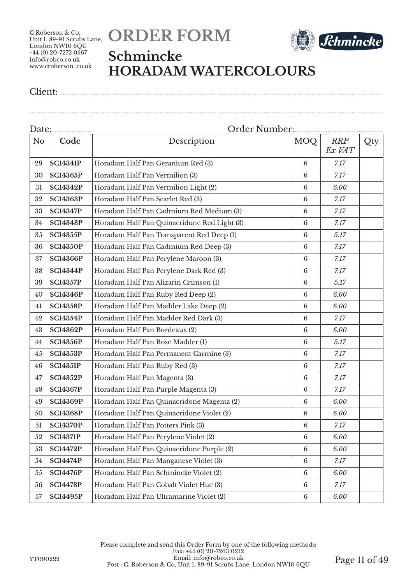



### **Schmincke HORADAM WATERCOLOURS**

................................................................................................................................................................

| Date:          |                 | Order Number:                               |                 |                      |     |
|----------------|-----------------|---------------------------------------------|-----------------|----------------------|-----|
| N <sub>o</sub> | Code            | Description                                 | MOQ             | <b>RRP</b><br>Ex VAT | Qty |
| 29             | <b>SC14341P</b> | Horadam Half Pan Geranium Red (3)           | 6               | 7.17                 |     |
| 30             | <b>SC14365P</b> | Horadam Half Pan Vermilion (3)              | $6\phantom{.}6$ | 7.17                 |     |
| 31             | <b>SC14342P</b> | Horadam Half Pan Vermilion Light (2)        | $6\phantom{.}6$ | 6.00                 |     |
| 32             | <b>SC14363P</b> | Horadam Half Pan Scarlet Red (3)            | $6\phantom{.}6$ | 7.17                 |     |
| 33             | <b>SC14347P</b> | Horadam Half Pan Cadmium Red Medium (3)     | $6\phantom{.}6$ | 7.17                 |     |
| 34             | <b>SC14343P</b> | Horadam Half Pan Quinacridone Red Light (3) | $6\phantom{.}6$ | 7.17                 |     |
| 35             | <b>SC14355P</b> | Horadam Half Pan Transparent Red Deep (1)   | $\,6\,$         | 5.17                 |     |
| 36             | <b>SC14350P</b> | Horadam Half Pan Cadmium Red Deep (3)       | 6               | 7.17                 |     |
| 37             | <b>SC14366P</b> | Horadam Half Pan Perylene Maroon (3)        | $6\phantom{.}6$ | 7.17                 |     |
| 38             | <b>SC14344P</b> | Horadam Half Pan Perylene Dark Red (3)      | $6\phantom{.}6$ | 7.17                 |     |
| 39             | <b>SC14357P</b> | Horadam Half Pan Alizarin Crimson (1)       | $6\phantom{.}6$ | 5.17                 |     |
| 40             | <b>SC14346P</b> | Horadam Half Pan Ruby Red Deep (2)          | $6\phantom{.}6$ | 6.00                 |     |
| 41             | <b>SC14358P</b> | Horadam Half Pan Madder Lake Deep (2)       | $6\phantom{.}6$ | 6.00                 |     |
| 42             | <b>SC14354P</b> | Horadam Half Pan Madder Red Dark (3)        | $6\phantom{.}6$ | 7.17                 |     |
| 43             | <b>SC14362P</b> | Horadam Half Pan Bordeaux (2)               | 6               | 6.00                 |     |
| 44             | <b>SC14356P</b> | Horadam Half Pan Rose Madder (1)            | 6               | 5.17                 |     |
| 45             | <b>SC14353P</b> | Horadam Half Pan Permanent Carmine (3)      | $6\phantom{.}6$ | 7.17                 |     |
| 46             | <b>SC14351P</b> | Horadam Half Pan Ruby Red (3)               | $6\phantom{.}6$ | 7.17                 |     |
| 47             | <b>SC14352P</b> | Horadam Half Pan Magenta (3)                | $6\phantom{.}6$ | 7.17                 |     |
| 48             | <b>SC14367P</b> | Horadam Half Pan Purple Magenta (3)         | $6\phantom{.}6$ | 7.17                 |     |
| 49             | <b>SC14369P</b> | Horadam Half Pan Quinacridone Magenta (2)   | $6\phantom{.}6$ | 6.00                 |     |
| 50             | <b>SC14368P</b> | Horadam Half Pan Quinacridone Violet (2)    | $\,6\,$         | 6.00                 |     |
| 51             | <b>SC14370P</b> | Horadam Half Pan Potters Pink (3)           | $\,6\,$         | 7.17                 |     |
| 52             | <b>SC14371P</b> | Horadam Half Pan Perylene Violet (2)        | $\,6\,$         | 6.00                 |     |
| 53             | <b>SC14472P</b> | Horadam Half Pan Quinacridone Purple (2)    | $\,6\,$         | 6.00                 |     |
| 54             | <b>SC14474P</b> | Horadam Half Pan Manganese Violet (3)       | $6\phantom{.}6$ | 7.17                 |     |
| 55             | <b>SC14476P</b> | Horadam Half Pan Schmincke Violet (2)       | $\,6\,$         | $6.00\,$             |     |
| 56             | <b>SC14473P</b> | Horadam Half Pan Cobalt Violet Hue (3)      | $\,6\,$         | 7.17                 |     |
| $57\,$         | <b>SC14495P</b> | Horadam Half Pan Ultramarine Violet (2)     | $\,6\,$         | $6.00\,$             |     |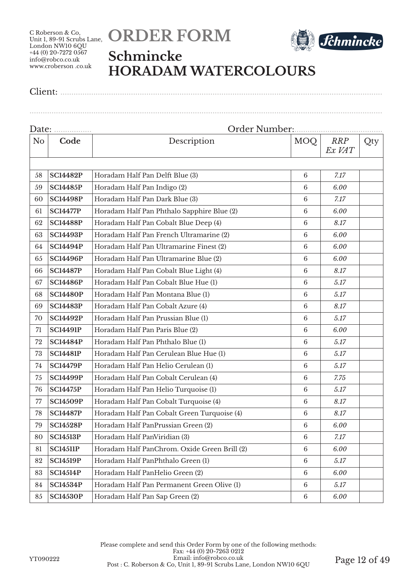



## **Schmincke HORADAM WATERCOLOURS**

Client: ..................................................................................................................................................

| N <sub>o</sub> | Code            | Description                                  | MOQ             | <b>RRP</b><br>Ex VAT | Qty |
|----------------|-----------------|----------------------------------------------|-----------------|----------------------|-----|
|                |                 |                                              |                 |                      |     |
| 58             | <b>SC14482P</b> | Horadam Half Pan Delft Blue (3)              | $6\phantom{.}6$ | 7.17                 |     |
| 59             | <b>SC14485P</b> | Horadam Half Pan Indigo (2)                  | $6\phantom{1}6$ | 6.00                 |     |
| 60             | <b>SC14498P</b> | Horadam Half Pan Dark Blue (3)               | $\,6\,$         | 7.17                 |     |
| 61             | <b>SC14477P</b> | Horadam Half Pan Phthalo Sapphire Blue (2)   | $\,6\,$         | 6.00                 |     |
| 62             | <b>SC14488P</b> | Horadam Half Pan Cobalt Blue Deep (4)        | $6\phantom{.}6$ | 8.17                 |     |
| 63             | <b>SC14493P</b> | Horadam Half Pan French Ultramarine (2)      | $\,6\,$         | 6.00                 |     |
| 64             | <b>SC14494P</b> | Horadam Half Pan Ultramarine Finest (2)      | $6\phantom{.}6$ | 6.00                 |     |
| 65             | <b>SC14496P</b> | Horadam Half Pan Ultramarine Blue (2)        | 6               | 6.00                 |     |
| 66             | <b>SC14487P</b> | Horadam Half Pan Cobalt Blue Light (4)       | $6\phantom{1}6$ | 8.17                 |     |
| 67             | <b>SC14486P</b> | Horadam Half Pan Cobalt Blue Hue (1)         | $\,6\,$         | 5.17                 |     |
| 68             | <b>SC14480P</b> | Horadam Half Pan Montana Blue (1)            | $\,6\,$         | 5.17                 |     |
| 69             | <b>SC14483P</b> | Horadam Half Pan Cobalt Azure (4)            | $6\phantom{1}6$ | 8.17                 |     |
| 70             | <b>SC14492P</b> | Horadam Half Pan Prussian Blue (1)           | $6\phantom{1}6$ | 5.17                 |     |
| 71             | <b>SC14491P</b> | Horadam Half Pan Paris Blue (2)              | $6\phantom{1}6$ | 6.00                 |     |
| 72             | <b>SC14484P</b> | Horadam Half Pan Phthalo Blue (1)            | $\,6\,$         | 5.17                 |     |
| 73             | <b>SC14481P</b> | Horadam Half Pan Cerulean Blue Hue (1)       | $6\phantom{1}6$ | 5.17                 |     |
| 74             | <b>SC14479P</b> | Horadam Half Pan Helio Cerulean (1)          | $\,6\,$         | 5.17                 |     |
| 75             | <b>SC14499P</b> | Horadam Half Pan Cobalt Cerulean (4)         | $\,6\,$         | 7.75                 |     |
| 76             | <b>SC14475P</b> | Horadam Half Pan Helio Turquoise (1)         | $6\phantom{1}6$ | 5.17                 |     |
| 77             | <b>SC14509P</b> | Horadam Half Pan Cobalt Turquoise (4)        | $6\phantom{1}6$ | 8.17                 |     |
| 78             | <b>SC14487P</b> | Horadam Half Pan Cobalt Green Turquoise (4)  | $\,6\,$         | 8.17                 |     |
| 79             | <b>SC14528P</b> | Horadam Half PanPrussian Green (2)           | 6               | 6.00                 |     |
| 80             | <b>SC14513P</b> | Horadam Half PanViridian (3)                 | 6               | 7.17                 |     |
| 81             | <b>SC14511P</b> | Horadam Half PanChrom. Oxide Green Brill (2) | $\,6\,$         | 6.00                 |     |
| 82             | <b>SC14519P</b> | Horadam Half PanPhthalo Green (1)            | $\,6\,$         | 5.17                 |     |
| 83             | <b>SC14514P</b> | Horadam Half PanHelio Green (2)              | $6\phantom{1}6$ | 6.00                 |     |
| 84             | <b>SC14534P</b> | Horadam Half Pan Permanent Green Olive (1)   | $6\phantom{1}6$ | 5.17                 |     |
| 85             | <b>SC14530P</b> | Horadam Half Pan Sap Green (2)               | $\,6\,$         | 6.00                 |     |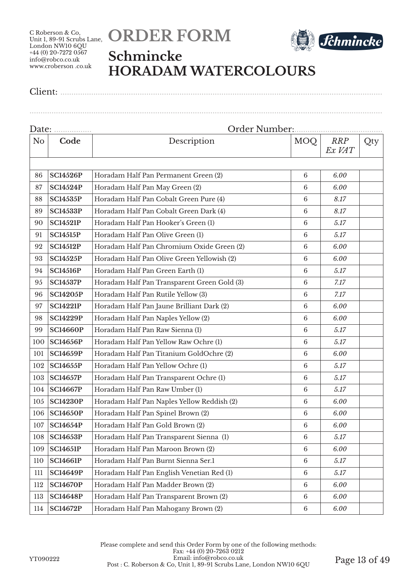



## **Schmincke HORADAM WATERCOLOURS**

Client: ..................................................................................................................................................

| Date:          |                 |                                             |                 |                      |     |  |
|----------------|-----------------|---------------------------------------------|-----------------|----------------------|-----|--|
| N <sub>o</sub> | Code            | Description                                 | <b>MOQ</b>      | <b>RRP</b><br>Ex VAT | Qty |  |
|                |                 |                                             |                 |                      |     |  |
| 86             | <b>SC14526P</b> | Horadam Half Pan Permanent Green (2)        | 6               | 6.00                 |     |  |
| 87             | <b>SC14524P</b> | Horadam Half Pan May Green (2)              | 6               | 6.00                 |     |  |
| 88             | <b>SC14535P</b> | Horadam Half Pan Cobalt Green Pure (4)      | 6               | 8.17                 |     |  |
| 89             | <b>SC14533P</b> | Horadam Half Pan Cobalt Green Dark (4)      | 6               | 8.17                 |     |  |
| 90             | <b>SC14521P</b> | Horadam Half Pan Hooker's Green (1)         | 6               | 5.17                 |     |  |
| 91             | <b>SC14515P</b> | Horadam Half Pan Olive Green (1)            | $6\phantom{.}6$ | 5.17                 |     |  |
| 92             | <b>SC14512P</b> | Horadam Half Pan Chromium Oxide Green (2)   | 6               | 6.00                 |     |  |
| 93             | <b>SC14525P</b> | Horadam Half Pan Olive Green Yellowish (2)  | $\,6\,$         | 6.00                 |     |  |
| 94             | <b>SC14516P</b> | Horadam Half Pan Green Earth (1)            | $6\phantom{1}6$ | 5.17                 |     |  |
| 95             | <b>SC14537P</b> | Horadam Half Pan Transparent Green Gold (3) | $\,6\,$         | 7.17                 |     |  |
| 96             | <b>SC14205P</b> | Horadam Half Pan Rutile Yellow (3)          | $\,6\,$         | 7.17                 |     |  |
| 97             | <b>SC14221P</b> | Horadam Half Pan Jaune Brilliant Dark (2)   | 6               | 6.00                 |     |  |
| 98             | <b>SC14229P</b> | Horadam Half Pan Naples Yellow (2)          | 6               | 6.00                 |     |  |
| 99             | <b>SC14660P</b> | Horadam Half Pan Raw Sienna (1)             | 6               | 5.17                 |     |  |
| 100            | <b>SC14656P</b> | Horadam Half Pan Yellow Raw Ochre (1)       | $\,6\,$         | 5.17                 |     |  |
| 101            | <b>SC14659P</b> | Horadam Half Pan Titanium GoldOchre (2)     | $6\phantom{1}6$ | 6.00                 |     |  |
| 102            | <b>SC14655P</b> | Horadam Half Pan Yellow Ochre (1)           | $\,6\,$         | 5.17                 |     |  |
| 103            | <b>SC14657P</b> | Horadam Half Pan Transparent Ochre (1)      | 6               | 5.17                 |     |  |
| 104            | <b>SC14667P</b> | Horadam Half Pan Raw Umber (1)              | 6               | 5.17                 |     |  |
| 105            | <b>SC14230P</b> | Horadam Half Pan Naples Yellow Reddish (2)  | 6               | 6.00                 |     |  |
| 106            | <b>SC14650P</b> | Horadam Half Pan Spinel Brown (2)           | 6               | 6.00                 |     |  |
| 107            | <b>SC14654P</b> | Horadam Half Pan Gold Brown (2)             | $\,6\,$         | 6.00                 |     |  |
| 108            | <b>SC14653P</b> | Horadam Half Pan Transparent Sienna (1)     | 6               | 5.17                 |     |  |
| 109            | <b>SC14651P</b> | Horadam Half Pan Maroon Brown (2)           | $\,6\,$         | 6.00                 |     |  |
| 110            | <b>SC14661P</b> | Horadam Half Pan Burnt Sienna Ser.1         | 6               | 5.17                 |     |  |
| 111            | <b>SC14649P</b> | Horadam Half Pan English Venetian Red (1)   | 6               | 5.17                 |     |  |
| 112            | <b>SC14670P</b> | Horadam Half Pan Madder Brown (2)           | 6               | 6.00                 |     |  |
| 113            | <b>SC14648P</b> | Horadam Half Pan Transparent Brown (2)      | $6\phantom{.}6$ | 6.00                 |     |  |
| 114            | <b>SC14672P</b> | Horadam Half Pan Mahogany Brown (2)         | $\,6\,$         | 6.00                 |     |  |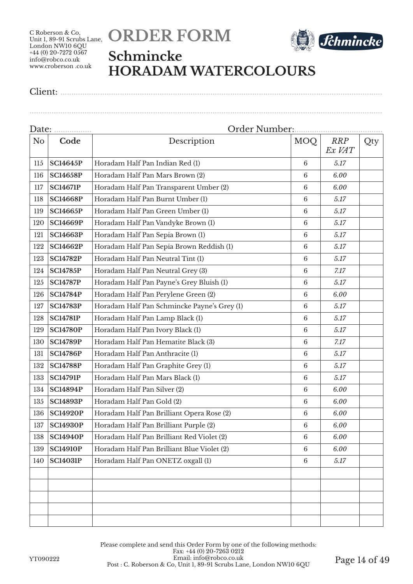



### **Schmincke HORADAM WATERCOLOURS**

................................................................................................................................................................

|                | Date:           |                                             |                 |                      |     |
|----------------|-----------------|---------------------------------------------|-----------------|----------------------|-----|
| N <sub>o</sub> | Code            | Description                                 | MOQ             | <b>RRP</b><br>Ex VAT | Qty |
| 115            | <b>SC14645P</b> | Horadam Half Pan Indian Red (1)             | 6               | 5.17                 |     |
| 116            | <b>SC14658P</b> | Horadam Half Pan Mars Brown (2)             | $6\phantom{1}6$ | 6.00                 |     |
| 117            | <b>SC14671P</b> | Horadam Half Pan Transparent Umber (2)      | $6\phantom{.}6$ | 6.00                 |     |
| 118            | <b>SC14668P</b> | Horadam Half Pan Burnt Umber (1)            | $6\phantom{.}6$ | 5.17                 |     |
| 119            | <b>SC14665P</b> | Horadam Half Pan Green Umber (1)            | $6\phantom{.}6$ | 5.17                 |     |
| 120            | <b>SC14669P</b> | Horadam Half Pan Vandyke Brown (1)          | 6               | 5.17                 |     |
| 121            | <b>SC14663P</b> | Horadam Half Pan Sepia Brown (1)            | $6\phantom{1}6$ | 5.17                 |     |
| 122            | <b>SC14662P</b> | Horadam Half Pan Sepia Brown Reddish (1)    | $6\phantom{.}6$ | 5.17                 |     |
| 123            | <b>SC14782P</b> | Horadam Half Pan Neutral Tint (1)           | $6\phantom{1}6$ | 5.17                 |     |
| 124            | <b>SC14785P</b> | Horadam Half Pan Neutral Grey (3)           | $6\phantom{1}6$ | 7.17                 |     |
| 125            | <b>SC14787P</b> | Horadam Half Pan Payne's Grey Bluish (1)    | $6\phantom{.}6$ | 5.17                 |     |
| 126            | <b>SC14784P</b> | Horadam Half Pan Perylene Green (2)         | $6\phantom{.}6$ | 6.00                 |     |
| 127            | <b>SC14783P</b> | Horadam Half Pan Schmincke Payne's Grey (1) | $6\phantom{1}6$ | 5.17                 |     |
| 128            | <b>SC14781P</b> | Horadam Half Pan Lamp Black (1)             | $6\phantom{1}6$ | 5.17                 |     |
| 129            | <b>SC14780P</b> | Horadam Half Pan Ivory Black (1)            | $6\phantom{.}6$ | 5.17                 |     |
| 130            | <b>SC14789P</b> | Horadam Half Pan Hematite Black (3)         | $6\phantom{.}6$ | 7.17                 |     |
| 131            | <b>SC14786P</b> | Horadam Half Pan Anthracite (1)             | $6\phantom{.}6$ | 5.17                 |     |
| 132            | <b>SC14788P</b> | Horadam Half Pan Graphite Grey (1)          | $\,6\,$         | 5.17                 |     |
| 133            | <b>SC14791P</b> | Horadam Half Pan Mars Black (1)             | $6\phantom{.}6$ | 5.17                 |     |
| 134            | <b>SC14894P</b> | Horadam Half Pan Silver (2)                 | $6\phantom{1}6$ | 6.00                 |     |
| 135            | <b>SC14893P</b> | Horadam Half Pan Gold (2)                   | $6\phantom{.}6$ | 6.00                 |     |
| 136            | <b>SC14920P</b> | Horadam Half Pan Brilliant Opera Rose (2)   | 6               | 6.00                 |     |
| 137            | <b>SC14930P</b> | Horadam Half Pan Brilliant Purple (2)       | $\,6\,$         | 6.00                 |     |
| 138            | <b>SC14940P</b> | Horadam Half Pan Brilliant Red Violet (2)   | 6               | 6.00                 |     |
| 139            | <b>SC14910P</b> | Horadam Half Pan Brilliant Blue Violet (2)  | $6\phantom{.}6$ | 6.00                 |     |
| 140            | <b>SC14031P</b> | Horadam Half Pan ONETZ oxgall (1)           | 6               | 5.17                 |     |
|                |                 |                                             |                 |                      |     |
|                |                 |                                             |                 |                      |     |
|                |                 |                                             |                 |                      |     |
|                |                 |                                             |                 |                      |     |
|                |                 |                                             |                 |                      |     |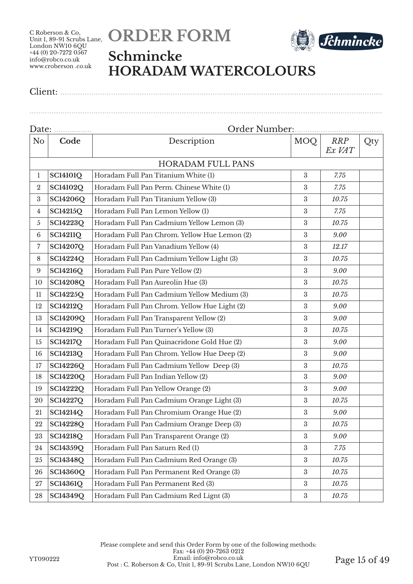



### **Schmincke HORADAM WATERCOLOURS**

Client: ..................................................................................................................................................

| N <sub>o</sub> | Code            | Description                                  | MOQ              | <b>RRP</b><br>Ex VAT | Qty |  |
|----------------|-----------------|----------------------------------------------|------------------|----------------------|-----|--|
|                |                 | <b>HORADAM FULL PANS</b>                     |                  |                      |     |  |
| $\mathbf{1}$   | <b>SC14101Q</b> | Horadam Full Pan Titanium White (1)          | 3                | 7.75                 |     |  |
| $\overline{2}$ | <b>SC14102Q</b> | Horadam Full Pan Perm. Chinese White (1)     | 3                | 7.75                 |     |  |
| 3              | <b>SC14206Q</b> | Horadam Full Pan Titanium Yellow (3)         | 3                | 10.75                |     |  |
| 4              | <b>SC14215Q</b> | Horadam Full Pan Lemon Yellow (1)            | 3                | 7.75                 |     |  |
| $\mathfrak{H}$ | <b>SC14223Q</b> | Horadam Full Pan Cadmium Yellow Lemon (3)    | 3                | 10.75                |     |  |
| $\,6\,$        | <b>SC14211Q</b> | Horadam Full Pan Chrom. Yellow Hue Lemon (2) | 3                | 9.00                 |     |  |
| $\overline{7}$ | <b>SC14207Q</b> | Horadam Full Pan Vanadium Yellow (4)         | $\boldsymbol{3}$ | 12.17                |     |  |
| 8              | <b>SC14224Q</b> | Horadam Full Pan Cadmium Yellow Light (3)    | 3                | 10.75                |     |  |
| 9              | <b>SC14216Q</b> | Horadam Full Pan Pure Yellow (2)             | $\boldsymbol{3}$ | 9.00                 |     |  |
| 10             | <b>SC14208Q</b> | Horadam Full Pan Aureolin Hue (3)            | 3                | 10.75                |     |  |
| 11             | <b>SC14225Q</b> | Horadam Full Pan Cadmium Yellow Medium (3)   | 3                | 10.75                |     |  |
| 12             | <b>SC14212Q</b> | Horadam Full Pan Chrom. Yellow Hue Light (2) | 3                | 9.00                 |     |  |
| 13             | <b>SC14209Q</b> | Horadam Full Pan Transparent Yellow (2)      | 3                | 9.00                 |     |  |
| 14             | <b>SC14219Q</b> | Horadam Full Pan Turner's Yellow (3)         | $\boldsymbol{3}$ | 10.75                |     |  |
| 15             | <b>SC14217Q</b> | Horadam Full Pan Quinacridone Gold Hue (2)   | 3                | 9.00                 |     |  |
| 16             | <b>SC14213Q</b> | Horadam Full Pan Chrom. Yellow Hue Deep (2)  | $\boldsymbol{3}$ | 9.00                 |     |  |
| 17             | <b>SC14226Q</b> | Horadam Full Pan Cadmium Yellow Deep (3)     | 3                | 10.75                |     |  |
| 18             | <b>SC14220Q</b> | Horadam Full Pan Indian Yellow (2)           | $\boldsymbol{3}$ | 9.00                 |     |  |
| 19             | <b>SC14222Q</b> | Horadam Full Pan Yellow Orange (2)           | $\sqrt{3}$       | 9.00                 |     |  |
| 20             | <b>SC14227Q</b> | Horadam Full Pan Cadmium Orange Light (3)    | 3                | 10.75                |     |  |
| 21             | <b>SC14214Q</b> | Horadam Full Pan Chromium Orange Hue (2)     | 3                | 9.00                 |     |  |
| 22             | <b>SC14228Q</b> | Horadam Full Pan Cadmium Orange Deep (3)     | $\boldsymbol{3}$ | 10.75                |     |  |
| 23             | <b>SC14218Q</b> | Horadam Full Pan Transparent Orange (2)      | $\boldsymbol{3}$ | 9.00                 |     |  |
| 24             | <b>SC14359Q</b> | Horadam Full Pan Saturn Red (1)              | $\boldsymbol{3}$ | 7.75                 |     |  |
| 25             | <b>SC14348Q</b> | Horadam Full Pan Cadmium Red Orange (3)      | $\boldsymbol{3}$ | 10.75                |     |  |
| 26             | <b>SC14360Q</b> | Horadam Full Pan Permanent Red Orange (3)    | $\boldsymbol{3}$ | 10.75                |     |  |
| $27\,$         | <b>SC14361Q</b> | Horadam Full Pan Permanent Red (3)           | 3                | 10.75                |     |  |
| 28             | <b>SC14349Q</b> | Horadam Full Pan Cadmium Red Lignt (3)       | $\rm 3$          | 10.75                |     |  |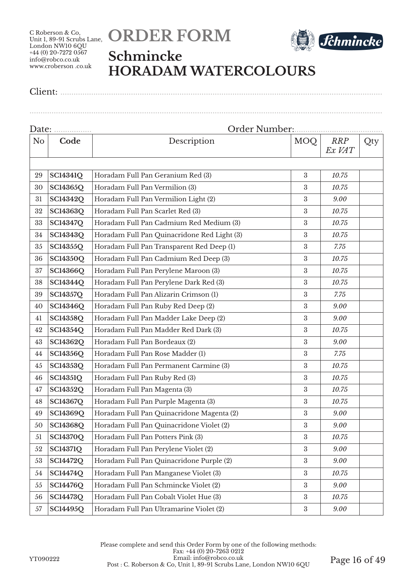



### **Schmincke HORADAM WATERCOLOURS**

Client: ..................................................................................................................................................

|                |                 | Order Number:                               |                  |                      |     |  |
|----------------|-----------------|---------------------------------------------|------------------|----------------------|-----|--|
| N <sub>o</sub> | Code            | Description                                 | MOQ              | <b>RRP</b><br>Ex VAT | Qty |  |
|                |                 |                                             |                  |                      |     |  |
| 29             | <b>SC14341Q</b> | Horadam Full Pan Geranium Red (3)           | $\boldsymbol{3}$ | 10.75                |     |  |
| 30             | SC14365Q        | Horadam Full Pan Vermilion (3)              | 3                | 10.75                |     |  |
| 31             | SC14342Q        | Horadam Full Pan Vermilion Light (2)        | $\boldsymbol{3}$ | 9.00                 |     |  |
| 32             | <b>SC14363Q</b> | Horadam Full Pan Scarlet Red (3)            | $\boldsymbol{3}$ | 10.75                |     |  |
| 33             | SC14347Q        | Horadam Full Pan Cadmium Red Medium (3)     | $\boldsymbol{3}$ | 10.75                |     |  |
| 34             | SC14343Q        | Horadam Full Pan Quinacridone Red Light (3) | $\boldsymbol{3}$ | 10.75                |     |  |
| 35             | SC14355Q        | Horadam Full Pan Transparent Red Deep (1)   | 3                | 7.75                 |     |  |
| 36             | <b>SC14350Q</b> | Horadam Full Pan Cadmium Red Deep (3)       | $\boldsymbol{3}$ | 10.75                |     |  |
| 37             | SC14366Q        | Horadam Full Pan Perylene Maroon (3)        | 3                | 10.75                |     |  |
| 38             | SC14344Q        | Horadam Full Pan Perylene Dark Red (3)      | $\boldsymbol{3}$ | 10.75                |     |  |
| 39             | <b>SC14357Q</b> | Horadam Full Pan Alizarin Crimson (1)       | $\boldsymbol{3}$ | 7.75                 |     |  |
| 40             | <b>SC14346Q</b> | Horadam Full Pan Ruby Red Deep (2)          | $\boldsymbol{3}$ | 9.00                 |     |  |
| 41             | <b>SC14358Q</b> | Horadam Full Pan Madder Lake Deep (2)       | $\boldsymbol{3}$ | 9.00                 |     |  |
| 42             | SC14354Q        | Horadam Full Pan Madder Red Dark (3)        | 3                | 10.75                |     |  |
| 43             | SC14362Q        | Horadam Full Pan Bordeaux (2)               | $\boldsymbol{3}$ | 9.00                 |     |  |
| 44             | <b>SC14356Q</b> | Horadam Full Pan Rose Madder (1)            | 3                | 7.75                 |     |  |
| 45             | SC14353Q        | Horadam Full Pan Permanent Carmine (3)      | $\boldsymbol{3}$ | 10.75                |     |  |
| 46             | <b>SC14351Q</b> | Horadam Full Pan Ruby Red (3)               | $\boldsymbol{3}$ | 10.75                |     |  |
| 47             | <b>SC14352Q</b> | Horadam Full Pan Magenta (3)                | $\boldsymbol{3}$ | 10.75                |     |  |
| 48             | SC14367Q        | Horadam Full Pan Purple Magenta (3)         | $\boldsymbol{3}$ | 10.75                |     |  |
| 49             | SC14369Q        | Horadam Full Pan Quinacridone Magenta (2)   | $\boldsymbol{3}$ | 9.00                 |     |  |
| 50             | SC14368Q        | Horadam Full Pan Quinacridone Violet (2)    | $\boldsymbol{3}$ | 9.00                 |     |  |
| 51             | <b>SC14370Q</b> | Horadam Full Pan Potters Pink (3)           | $\boldsymbol{3}$ | 10.75                |     |  |
| 52             | <b>SC14371Q</b> | Horadam Full Pan Perylene Violet (2)        | $\boldsymbol{3}$ | 9.00                 |     |  |
| 53             | <b>SC14472Q</b> | Horadam Full Pan Quinacridone Purple (2)    | $\boldsymbol{3}$ | 9.00                 |     |  |
| 54             | <b>SC14474Q</b> | Horadam Full Pan Manganese Violet (3)       | $\boldsymbol{3}$ | 10.75                |     |  |
| 55             | <b>SC14476Q</b> | Horadam Full Pan Schmincke Violet (2)       | $\boldsymbol{3}$ | 9.00                 |     |  |
| 56             | <b>SC14473Q</b> | Horadam Full Pan Cobalt Violet Hue (3)      | $\boldsymbol{3}$ | 10.75                |     |  |
| 57             | <b>SC14495Q</b> | Horadam Full Pan Ultramarine Violet (2)     | $\rm 3$          | 9.00                 |     |  |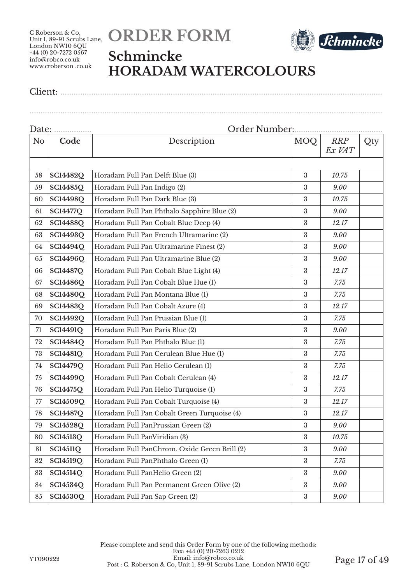



## **Schmincke HORADAM WATERCOLOURS**

Client: ..................................................................................................................................................

| Date:          |                 | Order Number<br>                             |                  |                      |     |  |  |
|----------------|-----------------|----------------------------------------------|------------------|----------------------|-----|--|--|
| N <sub>o</sub> | Code            | Description                                  | MOQ              | <b>RRP</b><br>Ex VAT | Qty |  |  |
|                |                 |                                              |                  |                      |     |  |  |
| 58             | <b>SC14482Q</b> | Horadam Full Pan Delft Blue (3)              | 3                | 10.75                |     |  |  |
| 59             | <b>SC14485Q</b> | Horadam Full Pan Indigo (2)                  | 3                | 9.00                 |     |  |  |
| 60             | <b>SC14498Q</b> | Horadam Full Pan Dark Blue (3)               | $\boldsymbol{3}$ | 10.75                |     |  |  |
| 61             | <b>SC14477Q</b> | Horadam Full Pan Phthalo Sapphire Blue (2)   | $\boldsymbol{3}$ | 9.00                 |     |  |  |
| 62             | <b>SC14488Q</b> | Horadam Full Pan Cobalt Blue Deep (4)        | $\boldsymbol{3}$ | 12.17                |     |  |  |
| 63             | <b>SC14493Q</b> | Horadam Full Pan French Ultramarine (2)      | $\boldsymbol{3}$ | 9.00                 |     |  |  |
| 64             | <b>SC14494Q</b> | Horadam Full Pan Ultramarine Finest (2)      | 3                | 9.00                 |     |  |  |
| 65             | <b>SC14496Q</b> | Horadam Full Pan Ultramarine Blue (2)        | $\boldsymbol{3}$ | 9.00                 |     |  |  |
| 66             | <b>SC14487Q</b> | Horadam Full Pan Cobalt Blue Light (4)       | 3                | 12.17                |     |  |  |
| 67             | <b>SC14486Q</b> | Horadam Full Pan Cobalt Blue Hue (1)         | $\boldsymbol{3}$ | 7.75                 |     |  |  |
| 68             | <b>SC14480Q</b> | Horadam Full Pan Montana Blue (1)            | $\boldsymbol{3}$ | 7.75                 |     |  |  |
| 69             | <b>SC14483Q</b> | Horadam Full Pan Cobalt Azure (4)            | $\boldsymbol{3}$ | 12.17                |     |  |  |
| 70             | <b>SC14492Q</b> | Horadam Full Pan Prussian Blue (1)           | $\boldsymbol{3}$ | 7.75                 |     |  |  |
| 71             | <b>SC14491Q</b> | Horadam Full Pan Paris Blue (2)              | 3                | 9.00                 |     |  |  |
| 72             | <b>SC14484Q</b> | Horadam Full Pan Phthalo Blue (1)            | $\boldsymbol{3}$ | 7.75                 |     |  |  |
| 73             | <b>SC14481Q</b> | Horadam Full Pan Cerulean Blue Hue (1)       | 3                | 7.75                 |     |  |  |
| 74             | <b>SC14479Q</b> | Horadam Full Pan Helio Cerulean (1)          | $\boldsymbol{3}$ | 7.75                 |     |  |  |
| 75             | <b>SC14499Q</b> | Horadam Full Pan Cobalt Cerulean (4)         | $\boldsymbol{3}$ | 12.17                |     |  |  |
| 76             | <b>SC14475Q</b> | Horadam Full Pan Helio Turquoise (1)         | $\boldsymbol{3}$ | 7.75                 |     |  |  |
| 77             | SC14509Q        | Horadam Full Pan Cobalt Turquoise (4)        | $\boldsymbol{3}$ | 12.17                |     |  |  |
| 78             | <b>SC14487Q</b> | Horadam Full Pan Cobalt Green Turquoise (4)  | $\boldsymbol{3}$ | 12.17                |     |  |  |
| 79             | <b>SC14528Q</b> | Horadam Full PanPrussian Green (2)           | $\boldsymbol{3}$ | 9.00                 |     |  |  |
| 80             | <b>SC14513Q</b> | Horadam Full PanViridian (3)                 | $\boldsymbol{3}$ | 10.75                |     |  |  |
| 81             | <b>SC14511Q</b> | Horadam Full PanChrom. Oxide Green Brill (2) | $\boldsymbol{3}$ | 9.00                 |     |  |  |
| 82             | <b>SC14519Q</b> | Horadam Full PanPhthalo Green (1)            | $\boldsymbol{3}$ | 7.75                 |     |  |  |
| 83             | <b>SC14514Q</b> | Horadam Full PanHelio Green (2)              | $\boldsymbol{3}$ | 9.00                 |     |  |  |
| 84             | <b>SC14534Q</b> | Horadam Full Pan Permanent Green Olive (2)   | 3                | 9.00                 |     |  |  |
| 85             | <b>SC14530Q</b> | Horadam Full Pan Sap Green (2)               | $\rm 3$          | 9.00                 |     |  |  |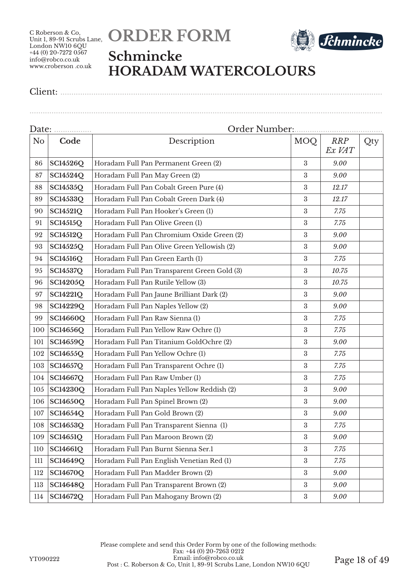



### **Schmincke HORADAM WATERCOLOURS**

................................................................................................................................................................

|                | Date:           |                                             |                  |                      |     |  |  |
|----------------|-----------------|---------------------------------------------|------------------|----------------------|-----|--|--|
| N <sub>o</sub> | Code            | Description                                 | <b>MOQ</b>       | <b>RRP</b><br>Ex VAT | Qty |  |  |
| 86             | <b>SC14526Q</b> | Horadam Full Pan Permanent Green (2)        | 3                | 9.00                 |     |  |  |
| 87             | SC14524Q        | Horadam Full Pan May Green (2)              | 3                | 9.00                 |     |  |  |
| 88             | SC14535Q        | Horadam Full Pan Cobalt Green Pure (4)      | $\boldsymbol{3}$ | 12.17                |     |  |  |
| 89             | SC14533Q        | Horadam Full Pan Cobalt Green Dark (4)      | 3                | 12.17                |     |  |  |
| 90             | <b>SC14521Q</b> | Horadam Full Pan Hooker's Green (1)         | $\boldsymbol{3}$ | 7.75                 |     |  |  |
| 91             | <b>SC14515Q</b> | Horadam Full Pan Olive Green (1)            | 3                | 7.75                 |     |  |  |
| 92             | <b>SC14512Q</b> | Horadam Full Pan Chromium Oxide Green (2)   | $\boldsymbol{3}$ | 9.00                 |     |  |  |
| 93             | <b>SC14525Q</b> | Horadam Full Pan Olive Green Yellowish (2)  | $\boldsymbol{3}$ | 9.00                 |     |  |  |
| 94             | <b>SC14516Q</b> | Horadam Full Pan Green Earth (1)            | 3                | 7.75                 |     |  |  |
| 95             | <b>SC14537Q</b> | Horadam Full Pan Transparent Green Gold (3) | $\boldsymbol{3}$ | 10.75                |     |  |  |
| 96             | <b>SC14205Q</b> | Horadam Full Pan Rutile Yellow (3)          | 3                | 10.75                |     |  |  |
| 97             | <b>SC14221Q</b> | Horadam Full Pan Jaune Brilliant Dark (2)   | 3                | 9.00                 |     |  |  |
| 98             | <b>SC14229Q</b> | Horadam Full Pan Naples Yellow (2)          | 3                | 9.00                 |     |  |  |
| 99             | <b>SC14660Q</b> | Horadam Full Pan Raw Sienna (1)             | $\boldsymbol{3}$ | 7.75                 |     |  |  |
| 100            | <b>SC14656Q</b> | Horadam Full Pan Yellow Raw Ochre (1)       | $\boldsymbol{3}$ | 7.75                 |     |  |  |
| 101            | SC14659Q        | Horadam Full Pan Titanium GoldOchre (2)     | 3                | 9.00                 |     |  |  |
| 102            | <b>SC14655Q</b> | Horadam Full Pan Yellow Ochre (1)           | $\boldsymbol{3}$ | 7.75                 |     |  |  |
| 103            | <b>SC14657Q</b> | Horadam Full Pan Transparent Ochre (1)      | $\boldsymbol{3}$ | 7.75                 |     |  |  |
| 104            | <b>SC14667Q</b> | Horadam Full Pan Raw Umber (1)              | $\boldsymbol{3}$ | 7.75                 |     |  |  |
| 105            | <b>SC14230Q</b> | Horadam Full Pan Naples Yellow Reddish (2)  | $\boldsymbol{3}$ | 9.00                 |     |  |  |
| 106            | <b>SC14650Q</b> | Horadam Full Pan Spinel Brown (2)           | $\boldsymbol{3}$ | 9.00                 |     |  |  |
| 107            | SC14654Q        | Horadam Full Pan Gold Brown (2)             | $\boldsymbol{3}$ | 9.00                 |     |  |  |
| 108            | SC14653Q        | Horadam Full Pan Transparent Sienna (1)     | $\boldsymbol{3}$ | 7.75                 |     |  |  |
| 109            | <b>SC14651Q</b> | Horadam Full Pan Maroon Brown (2)           | $\boldsymbol{3}$ | 9.00                 |     |  |  |
| 110            | SC14661Q        | Horadam Full Pan Burnt Sienna Ser.1         | 3                | 7.75                 |     |  |  |
| 111            | <b>SC14649Q</b> | Horadam Full Pan English Venetian Red (1)   | $\boldsymbol{3}$ | 7.75                 |     |  |  |
| 112            | <b>SC14670Q</b> | Horadam Full Pan Madder Brown (2)           | $\boldsymbol{3}$ | 9.00                 |     |  |  |
| 113            | <b>SC14648Q</b> | Horadam Full Pan Transparent Brown (2)      | $\boldsymbol{3}$ | 9.00                 |     |  |  |
| 114            | <b>SC14672Q</b> | Horadam Full Pan Mahogany Brown (2)         | $\rm 3$          | 9.00                 |     |  |  |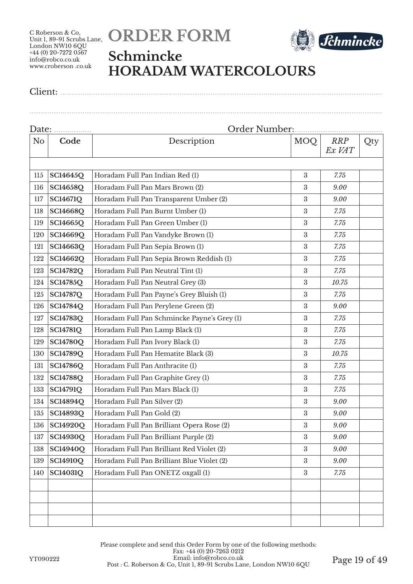



## **Schmincke HORADAM WATERCOLOURS**

Client: ..................................................................................................................................................

| Date: <u></u> |                 | Order Number:                               |                  |                      |     |  |
|---------------|-----------------|---------------------------------------------|------------------|----------------------|-----|--|
| No            | Code            | Description                                 | MOQ              | <b>RRP</b><br>Ex VAT | Qty |  |
| 115           | <b>SC14645Q</b> | Horadam Full Pan Indian Red (1)             | $\boldsymbol{3}$ | 7.75                 |     |  |
| 116           | SC14658Q        | Horadam Full Pan Mars Brown (2)             | 3                | 9.00                 |     |  |
| 117           | <b>SC14671Q</b> | Horadam Full Pan Transparent Umber (2)      | $\boldsymbol{3}$ | 9.00                 |     |  |
| 118           | SC14668Q        | Horadam Full Pan Burnt Umber (1)            | $\boldsymbol{3}$ | 7.75                 |     |  |
| 119           | SC14665Q        | Horadam Full Pan Green Umber (1)            | $\boldsymbol{3}$ | 7.75                 |     |  |
| 120           | SC14669Q        | Horadam Full Pan Vandyke Brown (1)          | 3                | 7.75                 |     |  |
| 121           | SC14663Q        | Horadam Full Pan Sepia Brown (1)            | 3                | 7.75                 |     |  |
| 122           | SC14662Q        | Horadam Full Pan Sepia Brown Reddish (1)    | $\boldsymbol{3}$ | 7.75                 |     |  |
| 123           | <b>SC14782Q</b> | Horadam Full Pan Neutral Tint (1)           | 3                | 7.75                 |     |  |
| 124           | <b>SC14785Q</b> | Horadam Full Pan Neutral Grey (3)           | $\boldsymbol{3}$ | 10.75                |     |  |
| 125           | <b>SC14787Q</b> | Horadam Full Pan Payne's Grey Bluish (1)    | $\boldsymbol{3}$ | 7.75                 |     |  |
| 126           | <b>SC14784Q</b> | Horadam Full Pan Perylene Green (2)         | $\boldsymbol{3}$ | 9.00                 |     |  |
| 127           | <b>SC14783O</b> | Horadam Full Pan Schmincke Payne's Grey (1) | $\boldsymbol{3}$ | 7.75                 |     |  |
| 128           | <b>SC14781Q</b> | Horadam Full Pan Lamp Black (1)             | 3                | 7.75                 |     |  |
| 129           | <b>SC14780Q</b> | Horadam Full Pan Ivory Black (1)            | $\boldsymbol{3}$ | 7.75                 |     |  |
| 130           | <b>SC14789Q</b> | Horadam Full Pan Hematite Black (3)         | 3                | 10.75                |     |  |
| 131           | <b>SC14786Q</b> | Horadam Full Pan Anthracite (1)             | $\boldsymbol{3}$ | 7.75                 |     |  |
| 132           | <b>SC14788Q</b> | Horadam Full Pan Graphite Grey (1)          | $\boldsymbol{3}$ | 7.75                 |     |  |
| 133           | <b>SC14791Q</b> | Horadam Full Pan Mars Black (1)             | $\boldsymbol{3}$ | 7.75                 |     |  |
| 134           | SC14894Q        | Horadam Full Pan Silver (2)                 | $\boldsymbol{3}$ | 9.00                 |     |  |
| 135           | SC14893Q        | Horadam Full Pan Gold (2)                   | $\boldsymbol{3}$ | 9.00                 |     |  |
| 136           | <b>SC14920Q</b> | Horadam Full Pan Brilliant Opera Rose (2)   | $\boldsymbol{3}$ | 9.00                 |     |  |
| 137           | <b>SC14930Q</b> | Horadam Full Pan Brilliant Purple (2)       | $\boldsymbol{3}$ | 9.00                 |     |  |
| 138           | <b>SC14940Q</b> | Horadam Full Pan Brilliant Red Violet (2)   | $\boldsymbol{3}$ | 9.00                 |     |  |
| 139           | <b>SC14910Q</b> | Horadam Full Pan Brilliant Blue Violet (2)  | $\boldsymbol{3}$ | 9.00                 |     |  |
| 140           | <b>SC14031Q</b> | Horadam Full Pan ONETZ oxgall (1)           | $\boldsymbol{3}$ | 7.75                 |     |  |
|               |                 |                                             |                  |                      |     |  |
|               |                 |                                             |                  |                      |     |  |
|               |                 |                                             |                  |                      |     |  |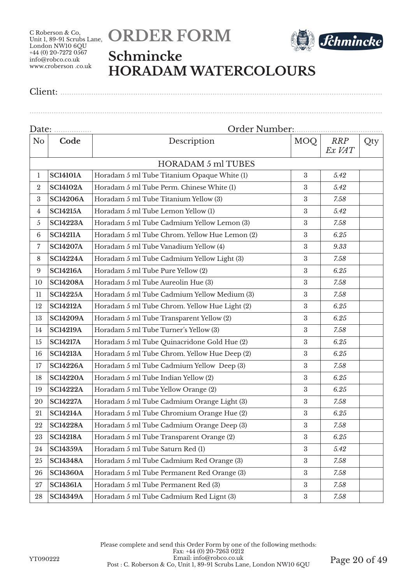



### **Schmincke HORADAM WATERCOLOURS**

Client: ..................................................................................................................................................

| Date: <u></u>   |                           | Order Number                                  |                  |                      |     |  |
|-----------------|---------------------------|-----------------------------------------------|------------------|----------------------|-----|--|
| N <sub>o</sub>  | Code                      | Description                                   | MOQ              | <b>RRP</b><br>Ex VAT | Qty |  |
|                 | <b>HORADAM 5 ml TUBES</b> |                                               |                  |                      |     |  |
| $\mathbf{1}$    | <b>SC14101A</b>           | Horadam 5 ml Tube Titanium Opaque White (1)   | $\boldsymbol{3}$ | 5.42                 |     |  |
| $\overline{2}$  | <b>SC14102A</b>           | Horadam 5 ml Tube Perm. Chinese White (1)     | $\boldsymbol{3}$ | 5.42                 |     |  |
| 3               | <b>SC14206A</b>           | Horadam 5 ml Tube Titanium Yellow (3)         | $\sqrt{3}$       | 7.58                 |     |  |
| 4               | <b>SC14215A</b>           | Horadam 5 ml Tube Lemon Yellow (1)            | $\boldsymbol{3}$ | 5.42                 |     |  |
| $\mathfrak{H}$  | <b>SC14223A</b>           | Horadam 5 ml Tube Cadmium Yellow Lemon (3)    | $\sqrt{3}$       | 7.58                 |     |  |
| $6\phantom{.}6$ | <b>SC14211A</b>           | Horadam 5 ml Tube Chrom. Yellow Hue Lemon (2) | $\sqrt{3}$       | 6.25                 |     |  |
| 7               | <b>SC14207A</b>           | Horadam 5 ml Tube Vanadium Yellow (4)         | $\boldsymbol{3}$ | 9.33                 |     |  |
| 8               | <b>SC14224A</b>           | Horadam 5 ml Tube Cadmium Yellow Light (3)    | $\sqrt{3}$       | 7.58                 |     |  |
| 9               | <b>SC14216A</b>           | Horadam 5 ml Tube Pure Yellow (2)             | $\boldsymbol{3}$ | 6.25                 |     |  |
| 10              | <b>SC14208A</b>           | Horadam 5 ml Tube Aureolin Hue (3)            | $\sqrt{3}$       | 7.58                 |     |  |
| 11              | <b>SC14225A</b>           | Horadam 5 ml Tube Cadmium Yellow Medium (3)   | $\sqrt{3}$       | 7.58                 |     |  |
| 12              | <b>SC14212A</b>           | Horadam 5 ml Tube Chrom. Yellow Hue Light (2) | $\sqrt{3}$       | 6.25                 |     |  |
| 13              | <b>SC14209A</b>           | Horadam 5 ml Tube Transparent Yellow (2)      | $\boldsymbol{3}$ | 6.25                 |     |  |
| 14              | <b>SC14219A</b>           | Horadam 5 ml Tube Turner's Yellow (3)         | $\sqrt{3}$       | 7.58                 |     |  |
| 15              | <b>SC14217A</b>           | Horadam 5 ml Tube Quinacridone Gold Hue (2)   | $\sqrt{3}$       | 6.25                 |     |  |
| 16              | <b>SC14213A</b>           | Horadam 5 ml Tube Chrom. Yellow Hue Deep (2)  | $\boldsymbol{3}$ | 6.25                 |     |  |
| 17              | <b>SC14226A</b>           | Horadam 5 ml Tube Cadmium Yellow Deep (3)     | $\boldsymbol{3}$ | 7.58                 |     |  |
| 18              | <b>SC14220A</b>           | Horadam 5 ml Tube Indian Yellow (2)           | $\sqrt{3}$       | 6.25                 |     |  |
| 19              | <b>SC14222A</b>           | Horadam 5 ml Tube Yellow Orange (2)           | $\sqrt{3}$       | 6.25                 |     |  |
| 20              | <b>SC14227A</b>           | Horadam 5 ml Tube Cadmium Orange Light (3)    | $\sqrt{3}$       | 7.58                 |     |  |
| 21              | <b>SC14214A</b>           | Horadam 5 ml Tube Chromium Orange Hue (2)     | $\sqrt{3}$       | 6.25                 |     |  |
| 22              | <b>SC14228A</b>           | Horadam 5 ml Tube Cadmium Orange Deep (3)     | $\sqrt{3}$       | 7.58                 |     |  |
| 23              | <b>SC14218A</b>           | Horadam 5 ml Tube Transparent Orange (2)      | $\sqrt{3}$       | 6.25                 |     |  |
| 24              | <b>SC14359A</b>           | Horadam 5 ml Tube Saturn Red (1)              | $\boldsymbol{3}$ | 5.42                 |     |  |
| 25              | <b>SC14348A</b>           | Horadam 5 ml Tube Cadmium Red Orange (3)      | $\sqrt{3}$       | 7.58                 |     |  |
| 26              | <b>SC14360A</b>           | Horadam 5 ml Tube Permanent Red Orange (3)    | $\boldsymbol{3}$ | 7.58                 |     |  |
| $27\,$          | <b>SC14361A</b>           | Horadam 5 ml Tube Permanent Red (3)           | $\boldsymbol{3}$ | 7.58                 |     |  |
| 28              | <b>SC14349A</b>           | Horadam 5 ml Tube Cadmium Red Lignt (3)       | $\,3\,$          | 7.58                 |     |  |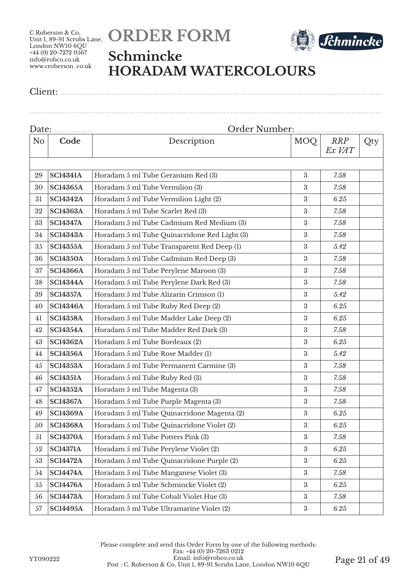



### **Schmincke HORADAM WATERCOLOURS**

Client: ..................................................................................................................................................

| N <sub>o</sub> | Code            | Description                                  | MOQ              | <b>RRP</b><br>Ex VAT | Qty |  |
|----------------|-----------------|----------------------------------------------|------------------|----------------------|-----|--|
|                |                 |                                              |                  |                      |     |  |
| 29             | <b>SC14341A</b> | Horadam 5 ml Tube Geranium Red (3)           | $\sqrt{3}$       | 7.58                 |     |  |
| 30             | <b>SC14365A</b> | Horadam 5 ml Tube Vermilion (3)              | $\boldsymbol{3}$ | 7.58                 |     |  |
| 31             | <b>SC14342A</b> | Horadam 5 ml Tube Vermilion Light (2)        | $\boldsymbol{3}$ | 6.25                 |     |  |
| 32             | <b>SC14363A</b> | Horadam 5 ml Tube Scarlet Red (3)            | 3                | 7.58                 |     |  |
| 33             | <b>SC14347A</b> | Horadam 5 ml Tube Cadmium Red Medium (3)     | $\boldsymbol{3}$ | 7.58                 |     |  |
| 34             | <b>SC14343A</b> | Horadam 5 ml Tube Quinacridone Red Light (3) | $\boldsymbol{3}$ | 7.58                 |     |  |
| 35             | <b>SC14355A</b> | Horadam 5 ml Tube Transparent Red Deep (1)   | $\boldsymbol{3}$ | 5.42                 |     |  |
| 36             | <b>SC14350A</b> | Horadam 5 ml Tube Cadmium Red Deep (3)       | $\boldsymbol{3}$ | 7.58                 |     |  |
| 37             | <b>SC14366A</b> | Horadam 5 ml Tube Perylene Maroon (3)        | $\boldsymbol{3}$ | 7.58                 |     |  |
| 38             | <b>SC14344A</b> | Horadam 5 ml Tube Perylene Dark Red (3)      | $\boldsymbol{3}$ | 7.58                 |     |  |
| 39             | <b>SC14357A</b> | Horadam 5 ml Tube Alizarin Crimson (1)       | $\boldsymbol{3}$ | 5.42                 |     |  |
| 40             | <b>SC14346A</b> | Horadam 5 ml Tube Ruby Red Deep (2)          | $\boldsymbol{3}$ | 6.25                 |     |  |
| 41             | <b>SC14358A</b> | Horadam 5 ml Tube Madder Lake Deep (2)       | 3                | 6.25                 |     |  |
| 42             | <b>SC14354A</b> | Horadam 5 ml Tube Madder Red Dark (3)        | 3                | 7.58                 |     |  |
| 43             | <b>SC14362A</b> | Horadam 5 ml Tube Bordeaux (2)               | $\boldsymbol{3}$ | 6.25                 |     |  |
| 44             | <b>SC14356A</b> | Horadam 5 ml Tube Rose Madder (1)            | $\boldsymbol{3}$ | 5.42                 |     |  |
| 45             | <b>SC14353A</b> | Horadam 5 ml Tube Permanent Carmine (3)      | $\boldsymbol{3}$ | 7.58                 |     |  |
| 46             | <b>SC14351A</b> | Horadam 5 ml Tube Ruby Red (3)               | $\boldsymbol{3}$ | 7.58                 |     |  |
| 47             | <b>SC14352A</b> | Horadam 5 ml Tube Magenta (3)                | $\boldsymbol{3}$ | 7.58                 |     |  |
| 48             | <b>SC14367A</b> | Horadam 5 ml Tube Purple Magenta (3)         | 3                | 7.58                 |     |  |
| 49             | <b>SC14369A</b> | Horadam 5 ml Tube Quinacridone Magenta (2)   | $\boldsymbol{3}$ | $6.25\,$             |     |  |
| 50             | <b>SC14368A</b> | Horadam 5 ml Tube Quinacridone Violet (2)    | $\boldsymbol{3}$ | 6.25                 |     |  |
| 51             | <b>SC14370A</b> | Horadam 5 ml Tube Potters Pink (3)           | $\rm 3$          | 7.58                 |     |  |
| 52             | <b>SC14371A</b> | Horadam 5 ml Tube Perylene Violet (2)        | $\boldsymbol{3}$ | 6.25                 |     |  |
| 53             | <b>SC14472A</b> | Horadam 5 ml Tube Quinacridone Purple (2)    | $\boldsymbol{3}$ | 6.25                 |     |  |
| 54             | <b>SC14474A</b> | Horadam 5 ml Tube Manganese Violet (3)       | $\boldsymbol{3}$ | 7.58                 |     |  |
| 55             | <b>SC14476A</b> | Horadam 5 ml Tube Schmincke Violet (2)       | 3                | 6.25                 |     |  |
| 56             | <b>SC14473A</b> | Horadam 5 ml Tube Cobalt Violet Hue (3)      | $\rm 3$          | 7.58                 |     |  |
| 57             | <b>SC14495A</b> | Horadam 5 ml Tube Ultramarine Violet (2)     | $\rm 3$          | $6.25\,$             |     |  |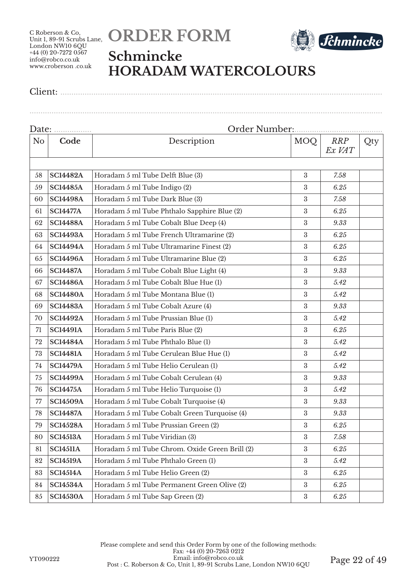



## **Schmincke HORADAM WATERCOLOURS**

Client: ..................................................................................................................................................

| Date: <u></u>  |                 |                                                |                  |                      |     |  |
|----------------|-----------------|------------------------------------------------|------------------|----------------------|-----|--|
| N <sub>o</sub> | Code            | Description                                    | <b>MOQ</b>       | <b>RRP</b><br>Ex VAT | Qty |  |
|                |                 |                                                |                  |                      |     |  |
| 58             | <b>SC14482A</b> | Horadam 5 ml Tube Delft Blue (3)               | $\boldsymbol{3}$ | 7.58                 |     |  |
| 59             | <b>SC14485A</b> | Horadam 5 ml Tube Indigo (2)                   | 3                | 6.25                 |     |  |
| 60             | <b>SC14498A</b> | Horadam 5 ml Tube Dark Blue (3)                | $\boldsymbol{3}$ | 7.58                 |     |  |
| 61             | <b>SC14477A</b> | Horadam 5 ml Tube Phthalo Sapphire Blue (2)    | $\boldsymbol{3}$ | 6.25                 |     |  |
| 62             | <b>SC14488A</b> | Horadam 5 ml Tube Cobalt Blue Deep (4)         | $\boldsymbol{3}$ | 9.33                 |     |  |
| 63             | <b>SC14493A</b> | Horadam 5 ml Tube French Ultramarine (2)       | 3                | 6.25                 |     |  |
| 64             | <b>SC14494A</b> | Horadam 5 ml Tube Ultramarine Finest (2)       | 3                | 6.25                 |     |  |
| 65             | <b>SC14496A</b> | Horadam 5 ml Tube Ultramarine Blue (2)         | $\boldsymbol{3}$ | 6.25                 |     |  |
| 66             | <b>SC14487A</b> | Horadam 5 ml Tube Cobalt Blue Light (4)        | 3                | 9.33                 |     |  |
| 67             | <b>SC14486A</b> | Horadam 5 ml Tube Cobalt Blue Hue (1)          | $\boldsymbol{3}$ | 5.42                 |     |  |
| 68             | <b>SC14480A</b> | Horadam 5 ml Tube Montana Blue (1)             | $\boldsymbol{3}$ | 5.42                 |     |  |
| 69             | <b>SC14483A</b> | Horadam 5 ml Tube Cobalt Azure (4)             | $\boldsymbol{3}$ | 9.33                 |     |  |
| 70             | <b>SC14492A</b> | Horadam 5 ml Tube Prussian Blue (1)            | $\boldsymbol{3}$ | 5.42                 |     |  |
| 71             | <b>SC14491A</b> | Horadam 5 ml Tube Paris Blue (2)               | 3                | 6.25                 |     |  |
| 72             | <b>SC14484A</b> | Horadam 5 ml Tube Phthalo Blue (1)             | $\boldsymbol{3}$ | 5.42                 |     |  |
| 73             | <b>SC14481A</b> | Horadam 5 ml Tube Cerulean Blue Hue (1)        | 3                | 5.42                 |     |  |
| 74             | <b>SC14479A</b> | Horadam 5 ml Tube Helio Cerulean (1)           | $\boldsymbol{3}$ | 5.42                 |     |  |
| 75             | <b>SC14499A</b> | Horadam 5 ml Tube Cobalt Cerulean (4)          | $\boldsymbol{3}$ | 9.33                 |     |  |
| 76             | <b>SC14475A</b> | Horadam 5 ml Tube Helio Turquoise (1)          | $\boldsymbol{3}$ | 5.42                 |     |  |
| 77             | <b>SC14509A</b> | Horadam 5 ml Tube Cobalt Turquoise (4)         | $\boldsymbol{3}$ | 9.33                 |     |  |
| 78             | <b>SC14487A</b> | Horadam 5 ml Tube Cobalt Green Turquoise (4)   | $\boldsymbol{3}$ | 9.33                 |     |  |
| 79             | <b>SC14528A</b> | Horadam 5 ml Tube Prussian Green (2)           | $\boldsymbol{3}$ | $6.25\,$             |     |  |
| 80             | <b>SC14513A</b> | Horadam 5 ml Tube Viridian (3)                 | $\boldsymbol{3}$ | 7.58                 |     |  |
| 81             | <b>SC14511A</b> | Horadam 5 ml Tube Chrom. Oxide Green Brill (2) | $\boldsymbol{3}$ | 6.25                 |     |  |
| 82             | <b>SC14519A</b> | Horadam 5 ml Tube Phthalo Green (1)            | $\boldsymbol{3}$ | 5.42                 |     |  |
| 83             | <b>SC14514A</b> | Horadam 5 ml Tube Helio Green (2)              | $\boldsymbol{3}$ | 6.25                 |     |  |
| 84             | <b>SC14534A</b> | Horadam 5 ml Tube Permanent Green Olive (2)    | $\boldsymbol{3}$ | 6.25                 |     |  |
| 85             | <b>SC14530A</b> | Horadam 5 ml Tube Sap Green (2)                | $\rm 3$          | 6.25                 |     |  |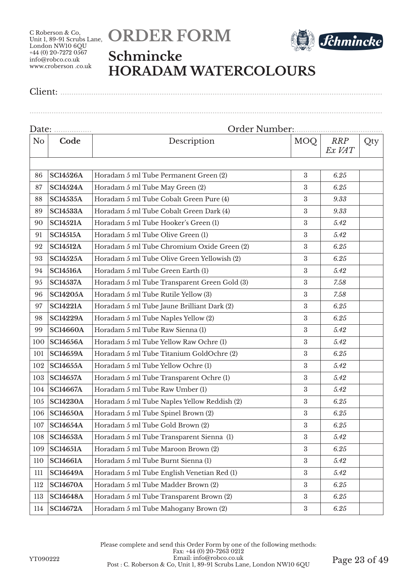



## **Schmincke HORADAM WATERCOLOURS**

Client: ..................................................................................................................................................

| Date: |                 |                                              |                  |                      |     |  |
|-------|-----------------|----------------------------------------------|------------------|----------------------|-----|--|
| No    | Code            | Description                                  | MOQ              | <b>RRP</b><br>Ex VAT | Qty |  |
|       |                 |                                              |                  |                      |     |  |
| 86    | <b>SC14526A</b> | Horadam 5 ml Tube Permanent Green (2)        | $\boldsymbol{3}$ | 6.25                 |     |  |
| 87    | <b>SC14524A</b> | Horadam 5 ml Tube May Green (2)              | $\boldsymbol{3}$ | 6.25                 |     |  |
| 88    | <b>SC14535A</b> | Horadam 5 ml Tube Cobalt Green Pure (4)      | $\boldsymbol{3}$ | 9.33                 |     |  |
| 89    | <b>SC14533A</b> | Horadam 5 ml Tube Cobalt Green Dark (4)      | $\boldsymbol{3}$ | 9.33                 |     |  |
| 90    | <b>SC14521A</b> | Horadam 5 ml Tube Hooker's Green (1)         | $\sqrt{3}$       | 5.42                 |     |  |
| 91    | <b>SC14515A</b> | Horadam 5 ml Tube Olive Green (1)            | $\boldsymbol{3}$ | 5.42                 |     |  |
| 92    | <b>SC14512A</b> | Horadam 5 ml Tube Chromium Oxide Green (2)   | $\boldsymbol{3}$ | 6.25                 |     |  |
| 93    | <b>SC14525A</b> | Horadam 5 ml Tube Olive Green Yellowish (2)  | 3                | 6.25                 |     |  |
| 94    | <b>SC14516A</b> | Horadam 5 ml Tube Green Earth (1)            | $\boldsymbol{3}$ | 5.42                 |     |  |
| 95    | <b>SC14537A</b> | Horadam 5 ml Tube Transparent Green Gold (3) | $\boldsymbol{3}$ | 7.58                 |     |  |
| 96    | <b>SC14205A</b> | Horadam 5 ml Tube Rutile Yellow (3)          | $\boldsymbol{3}$ | 7.58                 |     |  |
| 97    | <b>SC14221A</b> | Horadam 5 ml Tube Jaune Brilliant Dark (2)   | $\sqrt{3}$       | 6.25                 |     |  |
| 98    | <b>SC14229A</b> | Horadam 5 ml Tube Naples Yellow (2)          | $\boldsymbol{3}$ | 6.25                 |     |  |
| 99    | <b>SC14660A</b> | Horadam 5 ml Tube Raw Sienna (1)             | $\sqrt{3}$       | 5.42                 |     |  |
| 100   | <b>SC14656A</b> | Horadam 5 ml Tube Yellow Raw Ochre (1)       | 3                | 5.42                 |     |  |
| 101   | <b>SC14659A</b> | Horadam 5 ml Tube Titanium GoldOchre (2)     | $\boldsymbol{3}$ | 6.25                 |     |  |
| 102   | <b>SC14655A</b> | Horadam 5 ml Tube Yellow Ochre (1)           | $\boldsymbol{3}$ | 5.42                 |     |  |
| 103   | <b>SC14657A</b> | Horadam 5 ml Tube Transparent Ochre (1)      | $\boldsymbol{3}$ | 5.42                 |     |  |
| 104   | <b>SC14667A</b> | Horadam 5 ml Tube Raw Umber (1)              | $\sqrt{3}$       | 5.42                 |     |  |
| 105   | <b>SC14230A</b> | Horadam 5 ml Tube Naples Yellow Reddish (2)  | $\sqrt{3}$       | 6.25                 |     |  |
| 106   | <b>SC14650A</b> | Horadam 5 ml Tube Spinel Brown (2)           | $\sqrt{3}$       | 6.25                 |     |  |
| 107   | <b>SC14654A</b> | Horadam 5 ml Tube Gold Brown (2)             | $\boldsymbol{3}$ | 6.25                 |     |  |
| 108   | <b>SC14653A</b> | Horadam 5 ml Tube Transparent Sienna (1)     | $\boldsymbol{3}$ | 5.42                 |     |  |
| 109   | <b>SC14651A</b> | Horadam 5 ml Tube Maroon Brown (2)           | 3                | 6.25                 |     |  |
| 110   | <b>SC14661A</b> | Horadam 5 ml Tube Burnt Sienna (1)           | $\sqrt{3}$       | 5.42                 |     |  |
| 111   | <b>SC14649A</b> | Horadam 5 ml Tube English Venetian Red (1)   | $\sqrt{3}$       | 5.42                 |     |  |
| 112   | <b>SC14670A</b> | Horadam 5 ml Tube Madder Brown (2)           | 3                | 6.25                 |     |  |
| 113   | <b>SC14648A</b> | Horadam 5 ml Tube Transparent Brown (2)      | $\sqrt{3}$       | 6.25                 |     |  |
| 114   | <b>SC14672A</b> | Horadam 5 ml Tube Mahogany Brown (2)         | $\rm 3$          | 6.25                 |     |  |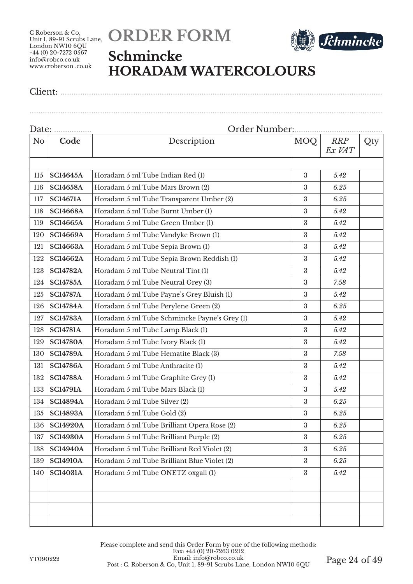



#### **Schmincke HORADAM WATERCOLOURS**

Client: ..................................................................................................................................................

| N <sub>o</sub> | Code            | Description                                  | MOQ              | <b>RRP</b><br>Ex VAT | Qty |
|----------------|-----------------|----------------------------------------------|------------------|----------------------|-----|
|                |                 |                                              |                  |                      |     |
| 115            | <b>SC14645A</b> | Horadam 5 ml Tube Indian Red (1)             | $\sqrt{3}$       | 5.42                 |     |
| 116            | <b>SC14658A</b> | Horadam 5 ml Tube Mars Brown (2)             | $\boldsymbol{3}$ | 6.25                 |     |
| 117            | <b>SC14671A</b> | Horadam 5 ml Tube Transparent Umber (2)      | $\boldsymbol{3}$ | 6.25                 |     |
| 118            | <b>SC14668A</b> | Horadam 5 ml Tube Burnt Umber (1)            | $\boldsymbol{3}$ | 5.42                 |     |
| 119            | <b>SC14665A</b> | Horadam 5 ml Tube Green Umber (1)            | 3                | 5.42                 |     |
| 120            | <b>SC14669A</b> | Horadam 5 ml Tube Vandyke Brown (1)          | $\boldsymbol{3}$ | 5.42                 |     |
| 121            | <b>SC14663A</b> | Horadam 5 ml Tube Sepia Brown (1)            | 3                | 5.42                 |     |
| 122            | <b>SC14662A</b> | Horadam 5 ml Tube Sepia Brown Reddish (1)    | $\boldsymbol{3}$ | 5.42                 |     |
| 123            | <b>SC14782A</b> | Horadam 5 ml Tube Neutral Tint (1)           | 3                | 5.42                 |     |
| 124            | <b>SC14785A</b> | Horadam 5 ml Tube Neutral Grey (3)           | $\boldsymbol{3}$ | 7.58                 |     |
| 125            | <b>SC14787A</b> | Horadam 5 ml Tube Payne's Grey Bluish (1)    | $\boldsymbol{3}$ | 5.42                 |     |
| 126            | <b>SC14784A</b> | Horadam 5 ml Tube Perylene Green (2)         | 3                | 6.25                 |     |
| 127            | <b>SC14783A</b> | Horadam 5 ml Tube Schmincke Payne's Grey (1) | $\boldsymbol{3}$ | 5.42                 |     |
| 128            | <b>SC14781A</b> | Horadam 5 ml Tube Lamp Black (1)             | 3                | 5.42                 |     |
| 129            | <b>SC14780A</b> | Horadam 5 ml Tube Ivory Black (1)            | $\boldsymbol{3}$ | 5.42                 |     |
| 130            | <b>SC14789A</b> | Horadam 5 ml Tube Hematite Black (3)         | 3                | 7.58                 |     |
| 131            | <b>SC14786A</b> | Horadam 5 ml Tube Anthracite (1)             | $\boldsymbol{3}$ | 5.42                 |     |
| 132            | <b>SC14788A</b> | Horadam 5 ml Tube Graphite Grey (1)          | $\boldsymbol{3}$ | 5.42                 |     |
| 133            | <b>SC14791A</b> | Horadam 5 ml Tube Mars Black (1)             | $\boldsymbol{3}$ | 5.42                 |     |
| 134            | <b>SC14894A</b> | Horadam 5 ml Tube Silver (2)                 | $\boldsymbol{3}$ | 6.25                 |     |
| 135            | <b>SC14893A</b> | Horadam 5 ml Tube Gold (2)                   | $\boldsymbol{3}$ | 6.25                 |     |
| 136            | <b>SC14920A</b> | Horadam 5 ml Tube Brilliant Opera Rose (2)   | $\boldsymbol{3}$ | 6.25                 |     |
| 137            | <b>SC14930A</b> | Horadam 5 ml Tube Brilliant Purple (2)       | $\boldsymbol{3}$ | 6.25                 |     |
| 138            | <b>SC14940A</b> | Horadam 5 ml Tube Brilliant Red Violet (2)   | $\boldsymbol{3}$ | 6.25                 |     |
| 139            | <b>SC14910A</b> | Horadam 5 ml Tube Brilliant Blue Violet (2)  | 3                | 6.25                 |     |
| 140            | <b>SC14031A</b> | Horadam 5 ml Tube ONETZ oxgall (1)           | $\boldsymbol{3}$ | 5.42                 |     |
|                |                 |                                              |                  |                      |     |
|                |                 |                                              |                  |                      |     |
|                |                 |                                              |                  |                      |     |
|                |                 |                                              |                  |                      |     |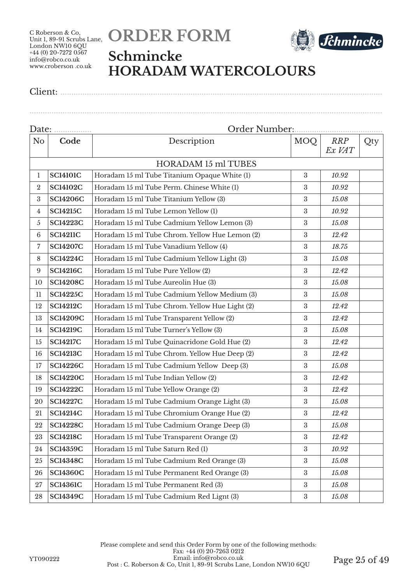



### **Schmincke HORADAM WATERCOLOURS**

Client: ..................................................................................................................................................

| Date: <u></u>   |                 |                                                |                  |                      |     |
|-----------------|-----------------|------------------------------------------------|------------------|----------------------|-----|
| N <sub>o</sub>  | Code            | Description                                    | MOQ              | <b>RRP</b><br>Ex VAT | Qty |
|                 |                 | <b>HORADAM 15 ml TUBES</b>                     |                  |                      |     |
| $\mathbf{1}$    | <b>SC14101C</b> | Horadam 15 ml Tube Titanium Opaque White (1)   | $\boldsymbol{3}$ | 10.92                |     |
| $\overline{2}$  | <b>SC14102C</b> | Horadam 15 ml Tube Perm. Chinese White (1)     | 3                | 10.92                |     |
| 3               | <b>SC14206C</b> | Horadam 15 ml Tube Titanium Yellow (3)         | 3                | 15.08                |     |
| 4               | <b>SC14215C</b> | Horadam 15 ml Tube Lemon Yellow (1)            | $\boldsymbol{3}$ | 10.92                |     |
| $\mathfrak{H}$  | <b>SC14223C</b> | Horadam 15 ml Tube Cadmium Yellow Lemon (3)    | $\sqrt{3}$       | 15.08                |     |
| $6\phantom{.}6$ | <b>SC14211C</b> | Horadam 15 ml Tube Chrom. Yellow Hue Lemon (2) | $\rm 3$          | 12.42                |     |
| 7               | <b>SC14207C</b> | Horadam 15 ml Tube Vanadium Yellow (4)         | $\sqrt{3}$       | 18.75                |     |
| 8               | <b>SC14224C</b> | Horadam 15 ml Tube Cadmium Yellow Light (3)    | $\boldsymbol{3}$ | 15.08                |     |
| 9               | <b>SC14216C</b> | Horadam 15 ml Tube Pure Yellow (2)             | 3                | 12.42                |     |
| 10              | <b>SC14208C</b> | Horadam 15 ml Tube Aureolin Hue (3)            | $\boldsymbol{3}$ | 15.08                |     |
| 11              | <b>SC14225C</b> | Horadam 15 ml Tube Cadmium Yellow Medium (3)   | $\boldsymbol{3}$ | 15.08                |     |
| 12              | <b>SC14212C</b> | Horadam 15 ml Tube Chrom. Yellow Hue Light (2) | $\boldsymbol{3}$ | 12.42                |     |
| 13              | <b>SC14209C</b> | Horadam 15 ml Tube Transparent Yellow (2)      | $\boldsymbol{3}$ | 12.42                |     |
| 14              | <b>SC14219C</b> | Horadam 15 ml Tube Turner's Yellow (3)         | $\sqrt{3}$       | 15.08                |     |
| 15              | <b>SC14217C</b> | Horadam 15 ml Tube Quinacridone Gold Hue (2)   | $\boldsymbol{3}$ | 12.42                |     |
| 16              | <b>SC14213C</b> | Horadam 15 ml Tube Chrom. Yellow Hue Deep (2)  | 3                | 12.42                |     |
| 17              | <b>SC14226C</b> | Horadam 15 ml Tube Cadmium Yellow Deep (3)     | $\rm 3$          | 15.08                |     |
| 18              | <b>SC14220C</b> | Horadam 15 ml Tube Indian Yellow (2)           | $\boldsymbol{3}$ | 12.42                |     |
| 19              | <b>SC14222C</b> | Horadam 15 ml Tube Yellow Orange (2)           | $\boldsymbol{3}$ | 12.42                |     |
| 20              | <b>SC14227C</b> | Horadam 15 ml Tube Cadmium Orange Light (3)    | $\sqrt{3}$       | 15.08                |     |
| 21              | <b>SC14214C</b> | Horadam 15 ml Tube Chromium Orange Hue (2)     | $\sqrt{3}$       | 12.42                |     |
| 22              | <b>SC14228C</b> | Horadam 15 ml Tube Cadmium Orange Deep (3)     | $\boldsymbol{3}$ | 15.08                |     |
| 23              | <b>SC14218C</b> | Horadam 15 ml Tube Transparent Orange (2)      | $\boldsymbol{3}$ | 12.42                |     |
| 24              | <b>SC14359C</b> | Horadam 15 ml Tube Saturn Red (1)              | 3                | 10.92                |     |
| 25              | <b>SC14348C</b> | Horadam 15 ml Tube Cadmium Red Orange (3)      | $\boldsymbol{3}$ | 15.08                |     |
| 26              | <b>SC14360C</b> | Horadam 15 ml Tube Permanent Red Orange (3)    | $\rm 3$          | 15.08                |     |
| 27              | <b>SC14361C</b> | Horadam 15 ml Tube Permanent Red (3)           | $\boldsymbol{3}$ | 15.08                |     |
| 28              | <b>SC14349C</b> | Horadam 15 ml Tube Cadmium Red Lignt (3)       | $\rm 3$          | 15.08                |     |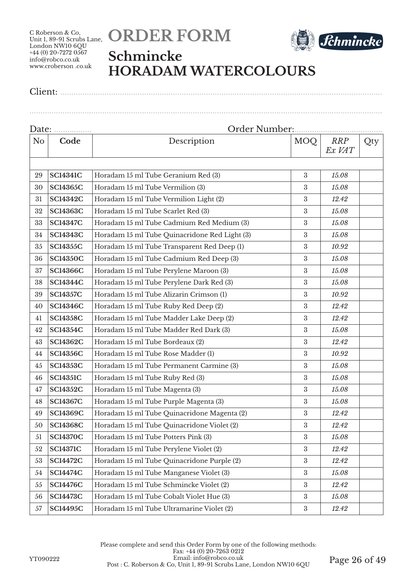



### **Schmincke HORADAM WATERCOLOURS**

Client: ..................................................................................................................................................

| Date: |                 |                                               |                  |                      |     |
|-------|-----------------|-----------------------------------------------|------------------|----------------------|-----|
| No    | Code            | Description                                   | <b>MOQ</b>       | <b>RRP</b><br>Ex VAT | Qty |
|       |                 |                                               |                  |                      |     |
| 29    | <b>SC14341C</b> | Horadam 15 ml Tube Geranium Red (3)           | $\boldsymbol{3}$ | 15.08                |     |
| 30    | <b>SC14365C</b> | Horadam 15 ml Tube Vermilion (3)              | $\boldsymbol{3}$ | 15.08                |     |
| 31    | <b>SC14342C</b> | Horadam 15 ml Tube Vermilion Light (2)        | $\rm 3$          | 12.42                |     |
| 32    | <b>SC14363C</b> | Horadam 15 ml Tube Scarlet Red (3)            | $\rm 3$          | 15.08                |     |
| 33    | <b>SC14347C</b> | Horadam 15 ml Tube Cadmium Red Medium (3)     | $\sqrt{3}$       | 15.08                |     |
| 34    | <b>SC14343C</b> | Horadam 15 ml Tube Quinacridone Red Light (3) | $\boldsymbol{3}$ | 15.08                |     |
| 35    | <b>SC14355C</b> | Horadam 15 ml Tube Transparent Red Deep (1)   | $\sqrt{3}$       | 10.92                |     |
| 36    | <b>SC14350C</b> | Horadam 15 ml Tube Cadmium Red Deep (3)       | 3                | 15.08                |     |
| 37    | <b>SC14366C</b> | Horadam 15 ml Tube Perylene Maroon (3)        | $\sqrt{3}$       | 15.08                |     |
| 38    | <b>SC14344C</b> | Horadam 15 ml Tube Perylene Dark Red (3)      | $\boldsymbol{3}$ | 15.08                |     |
| 39    | <b>SC14357C</b> | Horadam 15 ml Tube Alizarin Crimson (1)       | $\boldsymbol{3}$ | 10.92                |     |
| 40    | <b>SC14346C</b> | Horadam 15 ml Tube Ruby Red Deep (2)          | $\sqrt{3}$       | 12.42                |     |
| 41    | <b>SC14358C</b> | Horadam 15 ml Tube Madder Lake Deep (2)       | $\sqrt{3}$       | 12.42                |     |
| 42    | <b>SC14354C</b> | Horadam 15 ml Tube Madder Red Dark (3)        | $\sqrt{3}$       | 15.08                |     |
| 43    | <b>SC14362C</b> | Horadam 15 ml Tube Bordeaux (2)               | 3                | 12.42                |     |
| 44    | <b>SC14356C</b> | Horadam 15 ml Tube Rose Madder (1)            | $\sqrt{3}$       | 10.92                |     |
| 45    | <b>SC14353C</b> | Horadam 15 ml Tube Permanent Carmine (3)      | $\boldsymbol{3}$ | 15.08                |     |
| 46    | <b>SC14351C</b> | Horadam 15 ml Tube Ruby Red (3)               | $\boldsymbol{3}$ | 15.08                |     |
| 47    | <b>SC14352C</b> | Horadam 15 ml Tube Magenta (3)                | $\sqrt{3}$       | 15.08                |     |
| 48    | <b>SC14367C</b> | Horadam 15 ml Tube Purple Magenta (3)         | $\sqrt{3}$       | 15.08                |     |
| 49    | <b>SC14369C</b> | Horadam 15 ml Tube Quinacridone Magenta (2)   | $\sqrt{3}$       | 12.42                |     |
| 50    | <b>SC14368C</b> | Horadam 15 ml Tube Quinacridone Violet (2)    | $\boldsymbol{3}$ | 12.42                |     |
| 51    | <b>SC14370C</b> | Horadam 15 ml Tube Potters Pink (3)           | $\sqrt{3}$       | 15.08                |     |
| 52    | <b>SC14371C</b> | Horadam 15 ml Tube Perylene Violet (2)        | $\boldsymbol{3}$ | 12.42                |     |
| 53    | <b>SC14472C</b> | Horadam 15 ml Tube Quinacridone Purple (2)    | $\sqrt{3}$       | 12.42                |     |
| 54    | <b>SC14474C</b> | Horadam 15 ml Tube Manganese Violet (3)       | $\sqrt{3}$       | 15.08                |     |
| 55    | <b>SC14476C</b> | Horadam 15 ml Tube Schmincke Violet (2)       | $\boldsymbol{3}$ | 12.42                |     |
| 56    | <b>SC14473C</b> | Horadam 15 ml Tube Cobalt Violet Hue (3)      | $\sqrt{3}$       | 15.08                |     |
| 57    | <b>SC14495C</b> | Horadam 15 ml Tube Ultramarine Violet (2)     | $\rm 3$          | 12.42                |     |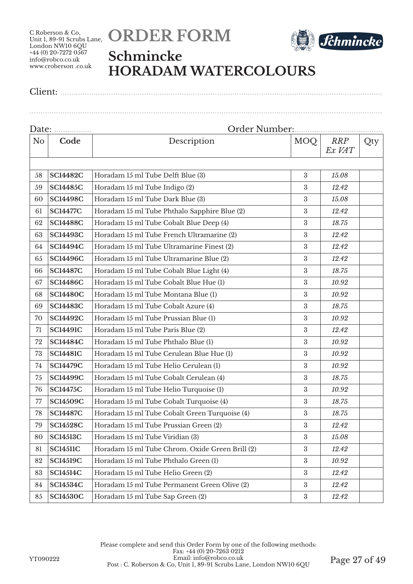



### **Schmincke HORADAM WATERCOLOURS**

Client: ..................................................................................................................................................

| N <sub>o</sub> | Code            | Description                                     | MOQ              | <b>RRP</b><br>Ex VAT | Qty |
|----------------|-----------------|-------------------------------------------------|------------------|----------------------|-----|
|                |                 |                                                 |                  |                      |     |
| 58             | <b>SC14482C</b> | Horadam 15 ml Tube Delft Blue (3)               | 3                | 15.08                |     |
| 59             | <b>SC14485C</b> | Horadam 15 ml Tube Indigo (2)                   | 3                | 12.42                |     |
| 60             | <b>SC14498C</b> | Horadam 15 ml Tube Dark Blue (3)                | $\boldsymbol{3}$ | 15.08                |     |
| 61             | <b>SC14477C</b> | Horadam 15 ml Tube Phthalo Sapphire Blue (2)    | $\boldsymbol{3}$ | 12.42                |     |
| 62             | <b>SC14488C</b> | Horadam 15 ml Tube Cobalt Blue Deep (4)         | $\boldsymbol{3}$ | 18.75                |     |
| 63             | <b>SC14493C</b> | Horadam 15 ml Tube French Ultramarine (2)       | 3                | 12.42                |     |
| 64             | <b>SC14494C</b> | Horadam 15 ml Tube Ultramarine Finest (2)       | $\boldsymbol{3}$ | 12.42                |     |
| 65             | <b>SC14496C</b> | Horadam 15 ml Tube Ultramarine Blue (2)         | $\boldsymbol{3}$ | 12.42                |     |
| 66             | <b>SC14487C</b> | Horadam 15 ml Tube Cobalt Blue Light (4)        | $\boldsymbol{3}$ | 18.75                |     |
| 67             | <b>SC14486C</b> | Horadam 15 ml Tube Cobalt Blue Hue (1)          | $\boldsymbol{3}$ | 10.92                |     |
| 68             | <b>SC14480C</b> | Horadam 15 ml Tube Montana Blue (1)             | $\boldsymbol{3}$ | 10.92                |     |
| 69             | <b>SC14483C</b> | Horadam 15 ml Tube Cobalt Azure (4)             | $\boldsymbol{3}$ | 18.75                |     |
| 70             | <b>SC14492C</b> | Horadam 15 ml Tube Prussian Blue (1)            | $\boldsymbol{3}$ | 10.92                |     |
| 71             | <b>SC14491C</b> | Horadam 15 ml Tube Paris Blue (2)               | $\boldsymbol{3}$ | 12.42                |     |
| 72             | <b>SC14484C</b> | Horadam 15 ml Tube Phthalo Blue (1)             | $\boldsymbol{3}$ | 10.92                |     |
| 73             | <b>SC14481C</b> | Horadam 15 ml Tube Cerulean Blue Hue (1)        | $\boldsymbol{3}$ | 10.92                |     |
| 74             | <b>SC14479C</b> | Horadam 15 ml Tube Helio Cerulean (1)           | $\boldsymbol{3}$ | 10.92                |     |
| 75             | <b>SC14499C</b> | Horadam 15 ml Tube Cobalt Cerulean (4)          | $\boldsymbol{3}$ | 18.75                |     |
| 76             | <b>SC14475C</b> | Horadam 15 ml Tube Helio Turquoise (1)          | $\boldsymbol{3}$ | 10.92                |     |
| 77             | <b>SC14509C</b> | Horadam 15 ml Tube Cobalt Turquoise (4)         | $\boldsymbol{3}$ | 18.75                |     |
| 78             | <b>SC14487C</b> | Horadam 15 ml Tube Cobalt Green Turquoise (4)   | $\boldsymbol{3}$ | 18.75                |     |
| 79             | <b>SC14528C</b> | Horadam 15 ml Tube Prussian Green (2)           | $\boldsymbol{3}$ | 12.42                |     |
| 80             | <b>SC14513C</b> | Horadam 15 ml Tube Viridian (3)                 | $\boldsymbol{3}$ | 15.08                |     |
| 81             | <b>SC14511C</b> | Horadam 15 ml Tube Chrom. Oxide Green Brill (2) | $\boldsymbol{3}$ | 12.42                |     |
| 82             | <b>SC14519C</b> | Horadam 15 ml Tube Phthalo Green (1)            | $\boldsymbol{3}$ | 10.92                |     |
| 83             | <b>SC14514C</b> | Horadam 15 ml Tube Helio Green (2)              | $\boldsymbol{3}$ | 12.42                |     |
| 84             | <b>SC14534C</b> | Horadam 15 ml Tube Permanent Green Olive (2)    | $\boldsymbol{3}$ | 12.42                |     |
| 85             | <b>SC14530C</b> | Horadam 15 ml Tube Sap Green (2)                | $\rm 3$          | 12.42                |     |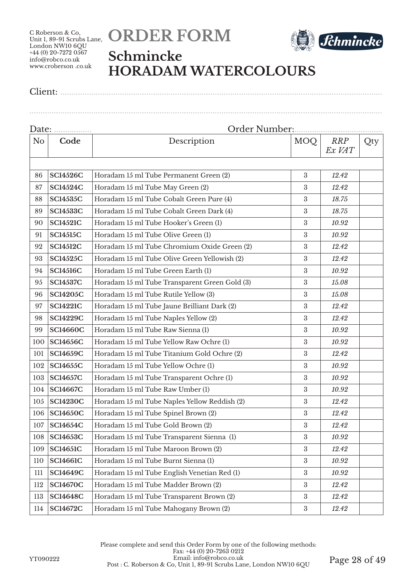



### **Schmincke HORADAM WATERCOLOURS**

Client: ..................................................................................................................................................

| Date: <u></u>  |                 |                                               |                  |                      |     |  |
|----------------|-----------------|-----------------------------------------------|------------------|----------------------|-----|--|
| N <sub>o</sub> | Code            | Description                                   | <b>MOQ</b>       | <b>RRP</b><br>Ex VAT | Qty |  |
|                |                 |                                               |                  |                      |     |  |
| 86             | <b>SC14526C</b> | Horadam 15 ml Tube Permanent Green (2)        | $\boldsymbol{3}$ | 12.42                |     |  |
| 87             | <b>SC14524C</b> | Horadam 15 ml Tube May Green (2)              | 3                | 12.42                |     |  |
| 88             | <b>SC14535C</b> | Horadam 15 ml Tube Cobalt Green Pure (4)      | $\rm 3$          | 18.75                |     |  |
| 89             | <b>SC14533C</b> | Horadam 15 ml Tube Cobalt Green Dark (4)      | $\sqrt{3}$       | 18.75                |     |  |
| 90             | <b>SC14521C</b> | Horadam 15 ml Tube Hooker's Green (1)         | $\sqrt{3}$       | 10.92                |     |  |
| 91             | <b>SC14515C</b> | Horadam 15 ml Tube Olive Green (1)            | 3                | 10.92                |     |  |
| 92             | <b>SC14512C</b> | Horadam 15 ml Tube Chromium Oxide Green (2)   | 3                | 12.42                |     |  |
| 93             | <b>SC14525C</b> | Horadam 15 ml Tube Olive Green Yellowish (2)  | $\boldsymbol{3}$ | 12.42                |     |  |
| 94             | <b>SC14516C</b> | Horadam 15 ml Tube Green Earth (1)            | 3                | 10.92                |     |  |
| 95             | <b>SC14537C</b> | Horadam 15 ml Tube Transparent Green Gold (3) | 3                | 15.08                |     |  |
| 96             | <b>SC14205C</b> | Horadam 15 ml Tube Rutile Yellow (3)          | $\boldsymbol{3}$ | 15.08                |     |  |
| 97             | <b>SC14221C</b> | Horadam 15 ml Tube Jaune Brilliant Dark (2)   | $\sqrt{3}$       | 12.42                |     |  |
| 98             | <b>SC14229C</b> | Horadam 15 ml Tube Naples Yellow (2)          | $\rm 3$          | 12.42                |     |  |
| 99             | <b>SC14660C</b> | Horadam 15 ml Tube Raw Sienna (1)             | 3                | 10.92                |     |  |
| 100            | <b>SC14656C</b> | Horadam 15 ml Tube Yellow Raw Ochre (1)       | $\boldsymbol{3}$ | 10.92                |     |  |
| 101            | <b>SC14659C</b> | Horadam 15 ml Tube Titanium Gold Ochre (2)    | 3                | 12.42                |     |  |
| 102            | <b>SC14655C</b> | Horadam 15 ml Tube Yellow Ochre (1)           | 3                | 10.92                |     |  |
| 103            | <b>SC14657C</b> | Horadam 15 ml Tube Transparent Ochre (1)      | $\boldsymbol{3}$ | 10.92                |     |  |
| 104            | <b>SC14667C</b> | Horadam 15 ml Tube Raw Umber (1)              | $\sqrt{3}$       | 10.92                |     |  |
| 105            | <b>SC14230C</b> | Horadam 15 ml Tube Naples Yellow Reddish (2)  | $\rm 3$          | 12.42                |     |  |
| 106            | <b>SC14650C</b> | Horadam 15 ml Tube Spinel Brown (2)           | $\sqrt{3}$       | 12.42                |     |  |
| 107            | <b>SC14654C</b> | Horadam 15 ml Tube Gold Brown (2)             | $\boldsymbol{3}$ | 12.42                |     |  |
| 108            | <b>SC14653C</b> | Horadam 15 ml Tube Transparent Sienna (1)     | $\boldsymbol{3}$ | 10.92                |     |  |
| 109            | <b>SC14651C</b> | Horadam 15 ml Tube Maroon Brown (2)           | $\boldsymbol{3}$ | 12.42                |     |  |
| 110            | <b>SC14661C</b> | Horadam 15 ml Tube Burnt Sienna (1)           | $\boldsymbol{3}$ | 10.92                |     |  |
| 111            | <b>SC14649C</b> | Horadam 15 ml Tube English Venetian Red (1)   | $\boldsymbol{3}$ | 10.92                |     |  |
| 112            | <b>SC14670C</b> | Horadam 15 ml Tube Madder Brown (2)           | $\boldsymbol{3}$ | 12.42                |     |  |
| 113            | <b>SC14648C</b> | Horadam 15 ml Tube Transparent Brown (2)      | $\boldsymbol{3}$ | 12.42                |     |  |
| 114            | <b>SC14672C</b> | Horadam 15 ml Tube Mahogany Brown (2)         | $\rm 3$          | 12.42                |     |  |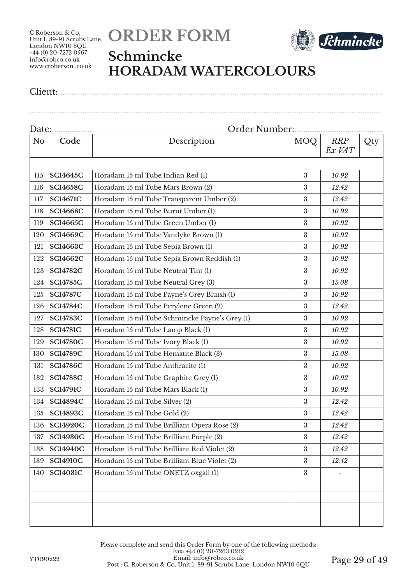



### **Schmincke HORADAM WATERCOLOURS**

Client: ..................................................................................................................................................

| N <sub>o</sub> | Code            | Description                                   | <b>MOQ</b>       | <b>RRP</b><br>Ex VAT | Qty |  |
|----------------|-----------------|-----------------------------------------------|------------------|----------------------|-----|--|
|                |                 |                                               |                  |                      |     |  |
| 115            | <b>SC14645C</b> | Horadam 15 ml Tube Indian Red (1)             | 3                | 10.92                |     |  |
| 116            | <b>SC14658C</b> | Horadam 15 ml Tube Mars Brown (2)             | $\boldsymbol{3}$ | 12.42                |     |  |
| 117            | <b>SC14671C</b> | Horadam 15 ml Tube Transparent Umber (2)      | $\boldsymbol{3}$ | 12.42                |     |  |
| 118            | <b>SC14668C</b> | Horadam 15 ml Tube Burnt Umber (1)            | 3                | 10.92                |     |  |
| 119            | <b>SC14665C</b> | Horadam 15 ml Tube Green Umber (1)            | 3                | 10.92                |     |  |
| 120            | <b>SC14669C</b> | Horadam 15 ml Tube Vandyke Brown (1)          | $\boldsymbol{3}$ | 10.92                |     |  |
| 121            | <b>SC14663C</b> | Horadam 15 ml Tube Sepia Brown (1)            | 3                | 10.92                |     |  |
| 122            | <b>SC14662C</b> | Horadam 15 ml Tube Sepia Brown Reddish (1)    | $\rm 3$          | 10.92                |     |  |
| 123            | <b>SC14782C</b> | Horadam 15 ml Tube Neutral Tint (1)           | $\boldsymbol{3}$ | 10.92                |     |  |
| 124            | <b>SC14785C</b> | Horadam 15 ml Tube Neutral Grey (3)           | $\boldsymbol{3}$ | 15.08                |     |  |
| 125            | <b>SC14787C</b> | Horadam 15 ml Tube Payne's Grey Bluish (1)    | $\rm 3$          | 10.92                |     |  |
| 126            | <b>SC14784C</b> | Horadam 15 ml Tube Perylene Green (2)         | 3                | 12.42                |     |  |
| 127            | <b>SC14783C</b> | Horadam 15 ml Tube Schmincke Payne's Grey (1) | $\boldsymbol{3}$ | 10.92                |     |  |
| 128            | <b>SC14781C</b> | Horadam 15 ml Tube Lamp Black (1)             | 3                | 10.92                |     |  |
| 129            | <b>SC14780C</b> | Horadam 15 ml Tube Ivory Black (1)            | $\rm 3$          | 10.92                |     |  |
| 130            | <b>SC14789C</b> | Horadam 15 ml Tube Hematite Black (3)         | 3                | 15.08                |     |  |
| 131            | <b>SC14786C</b> | Horadam 15 ml Tube Anthracite (1)             | $\boldsymbol{3}$ | 10.92                |     |  |
| 132            | <b>SC14788C</b> | Horadam 15 ml Tube Graphite Grey (1)          | 3                | 10.92                |     |  |
| 133            | <b>SC14791C</b> | Horadam 15 ml Tube Mars Black (1)             | 3                | 10.92                |     |  |
| 134            | <b>SC14894C</b> | Horadam 15 ml Tube Silver (2)                 | 3                | 12.42                |     |  |
| 135            | <b>SC14893C</b> | Horadam 15 ml Tube Gold (2)                   | 3                | 12.42                |     |  |
| 136            | <b>SC14920C</b> | Horadam 15 ml Tube Brilliant Opera Rose (2)   | $\rm 3$          | 12.42                |     |  |
| 137            | <b>SC14930C</b> | Horadam 15 ml Tube Brilliant Purple (2)       | $\boldsymbol{3}$ | 12.42                |     |  |
| 138            | <b>SC14940C</b> | Horadam 15 ml Tube Brilliant Red Violet (2)   | $\boldsymbol{3}$ | 12.42                |     |  |
| 139            | <b>SC14910C</b> | Horadam 15 ml Tube Brilliant Blue Violet (2)  | 3                | 12.42                |     |  |
| 140            | <b>SC14031C</b> | Horadam 15 ml Tube ONETZ oxgall (1)           | $\boldsymbol{3}$ |                      |     |  |
|                |                 |                                               |                  |                      |     |  |
|                |                 |                                               |                  |                      |     |  |
|                |                 |                                               |                  |                      |     |  |
|                |                 |                                               |                  |                      |     |  |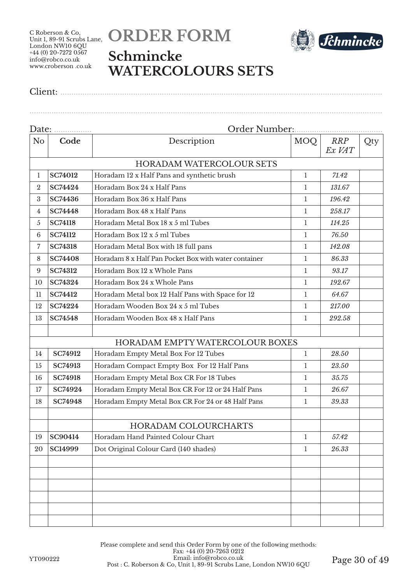

Client: ..................................................................................................................................................



## **Schmincke WATERCOLOURS SETS**

| Date:          |                | Order Number:                                        |              |                      |     |
|----------------|----------------|------------------------------------------------------|--------------|----------------------|-----|
| N <sub>o</sub> | Code           | Description                                          | MOQ          | <b>RRP</b><br>Ex VAT | Qty |
|                |                | <b>HORADAM WATERCOLOUR SETS</b>                      |              |                      |     |
| 1              | <b>SC74012</b> | Horadam 12 x Half Pans and synthetic brush           | 1            | 71.42                |     |
| $\overline{2}$ | <b>SC74424</b> | Horadam Box 24 x Half Pans                           | 1            | 131.67               |     |
| 3              | SC74436        | Horadam Box 36 x Half Pans                           | 1            | 196.42               |     |
| $\overline{4}$ | <b>SC74448</b> | Horadam Box 48 x Half Pans                           | 1            | 258.17               |     |
| 5              | <b>SC74118</b> | Horadam Metal Box 18 x 5 ml Tubes                    | 1            | 114.25               |     |
| 6              | <b>SC74112</b> | Horadam Box 12 x 5 ml Tubes                          | 1            | 76.50                |     |
| $\overline{7}$ | <b>SC74318</b> | Horadam Metal Box with 18 full pans                  | 1            | 142.08               |     |
| 8              | <b>SC74408</b> | Horadam 8 x Half Pan Pocket Box with water container | 1            | 86.33                |     |
| 9              | <b>SC74312</b> | Horadam Box 12 x Whole Pans                          | 1            | 93.17                |     |
| 10             | <b>SC74324</b> | Horadam Box 24 x Whole Pans                          | 1            | 192.67               |     |
| 11             | <b>SC74412</b> | Horadam Metal box 12 Half Pans with Space for 12     | 1            | 64.67                |     |
| 12             | <b>SC74224</b> | Horadam Wooden Box 24 x 5 ml Tubes                   | 1            | 217.00               |     |
| 13             | <b>SC74548</b> | Horadam Wooden Box 48 x Half Pans                    | 1            | 292.58               |     |
|                |                | HORADAM EMPTY WATERCOLOUR BOXES                      |              |                      |     |
| 14             | <b>SC74912</b> | Horadam Empty Metal Box For 12 Tubes                 | $\mathbf{1}$ | 28.50                |     |
| 15             | <b>SC74913</b> | Horadam Compact Empty Box For 12 Half Pans           | 1            | 23.50                |     |
| 16             | <b>SC74918</b> | Horadam Empty Metal Box CR For 18 Tubes              | 1            | 35.75                |     |
| 17             | SC74924        | Horadam Empty Metal Box CR For 12 or 24 Half Pans    | 1            | 26.67                |     |
| 18             | <b>SC74948</b> | Horadam Empty Metal Box CR For 24 or 48 Half Pans    | 1            | 39.33                |     |
|                |                | <b>HORADAM COLOURCHARTS</b>                          |              |                      |     |
| 19             | SC90414        | Horadam Hand Painted Colour Chart                    | 1            | 57.42                |     |
| 20             | <b>SC14999</b> | Dot Original Colour Card (140 shades)                | $\mathbf{1}$ | 26.33                |     |
|                |                |                                                      |              |                      |     |
|                |                |                                                      |              |                      |     |
|                |                |                                                      |              |                      |     |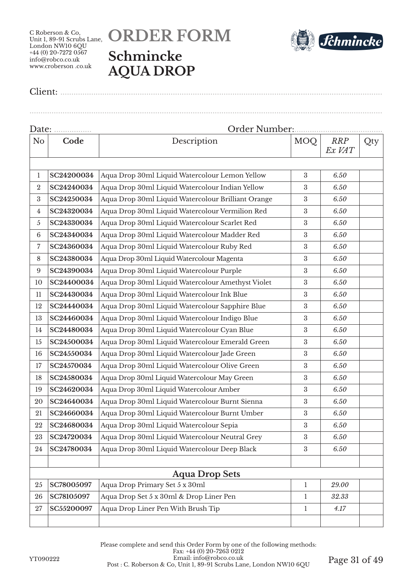# **ORDER FORM Schmincke AQUA DROP**



Client: ..................................................................................................................................................

| Date:<br>.     |            |                                                    |                  |                      |     |  |
|----------------|------------|----------------------------------------------------|------------------|----------------------|-----|--|
| No             | Code       | Description                                        | <b>MOQ</b>       | <b>RRP</b><br>Ex VAT | Qty |  |
|                |            |                                                    |                  |                      |     |  |
| $\mathbf{1}$   | SC24200034 | Aqua Drop 30ml Liquid Watercolour Lemon Yellow     | 3                | 6.50                 |     |  |
| $\overline{2}$ | SC24240034 | Aqua Drop 30ml Liquid Watercolour Indian Yellow    | $\boldsymbol{3}$ | 6.50                 |     |  |
| 3              | SC24250034 | Aqua Drop 30ml Liquid Watercolour Brilliant Orange | 3                | 6.50                 |     |  |
| 4              | SC24320034 | Aqua Drop 30ml Liquid Watercolour Vermilion Red    | $\boldsymbol{3}$ | 6.50                 |     |  |
| 5              | SC24330034 | Aqua Drop 30ml Liquid Watercolour Scarlet Red      | 3                | 6.50                 |     |  |
| 6              | SC24340034 | Aqua Drop 30ml Liquid Watercolour Madder Red       | $\boldsymbol{3}$ | 6.50                 |     |  |
| 7              | SC24360034 | Aqua Drop 30ml Liquid Watercolour Ruby Red         | $\boldsymbol{3}$ | 6.50                 |     |  |
| 8              | SC24380034 | Aqua Drop 30ml Liquid Watercolour Magenta          | 3                | 6.50                 |     |  |
| 9              | SC24390034 | Aqua Drop 30ml Liquid Watercolour Purple           | $\boldsymbol{3}$ | 6.50                 |     |  |
| 10             | SC24400034 | Aqua Drop 30ml Liquid Watercolour Amethyst Violet  | 3                | 6.50                 |     |  |
| 11             | SC24430034 | Aqua Drop 30ml Liquid Watercolour Ink Blue         | $\boldsymbol{3}$ | 6.50                 |     |  |
| 12             | SC24440034 | Aqua Drop 30ml Liquid Watercolour Sapphire Blue    | $\boldsymbol{3}$ | 6.50                 |     |  |
| 13             | SC24460034 | Aqua Drop 30ml Liquid Watercolour Indigo Blue      | $\boldsymbol{3}$ | 6.50                 |     |  |
| 14             | SC24480034 | Aqua Drop 30ml Liquid Watercolour Cyan Blue        | $\boldsymbol{3}$ | 6.50                 |     |  |
| 15             | SC24500034 | Aqua Drop 30ml Liquid Watercolour Emerald Green    | 3                | 6.50                 |     |  |
| 16             | SC24550034 | Aqua Drop 30ml Liquid Watercolour Jade Green       | $\boldsymbol{3}$ | 6.50                 |     |  |
| 17             | SC24570034 | Aqua Drop 30ml Liquid Watercolour Olive Green      | 3                | 6.50                 |     |  |
| 18             | SC24580034 | Aqua Drop 30ml Liquid Watercolour May Green        | $\boldsymbol{3}$ | 6.50                 |     |  |
| 19             | SC24620034 | Aqua Drop 30ml Liquid Watercolour Amber            | $\boldsymbol{3}$ | 6.50                 |     |  |
| 20             | SC24640034 | Aqua Drop 30ml Liquid Watercolour Burnt Sienna     | $\boldsymbol{3}$ | 6.50                 |     |  |
| 21             | SC24660034 | Aqua Drop 30ml Liquid Watercolour Burnt Umber      | $\boldsymbol{3}$ | 6.50                 |     |  |
| 22             | SC24680034 | Aqua Drop 30ml Liquid Watercolour Sepia            | $\boldsymbol{3}$ | 6.50                 |     |  |
| 23             | SC24720034 | Aqua Drop 30ml Liquid Watercolour Neutral Grey     | $\boldsymbol{3}$ | 6.50                 |     |  |
| 24             | SC24780034 | Aqua Drop 30ml Liquid Watercolour Deep Black       | 3                | 6.50                 |     |  |
|                |            |                                                    |                  |                      |     |  |
|                |            | <b>Aqua Drop Sets</b>                              |                  |                      |     |  |
| 25             | SC78005097 | Aqua Drop Primary Set 5 x 30ml                     | $\mathbf{1}$     | 29.00                |     |  |
| 26             | SC78105097 | Aqua Drop Set 5 x 30ml & Drop Liner Pen            | 1                | 32.33                |     |  |
| 27             | SC55200097 | Aqua Drop Liner Pen With Brush Tip                 | $\mathbf{1}$     | 4.17                 |     |  |
|                |            |                                                    |                  |                      |     |  |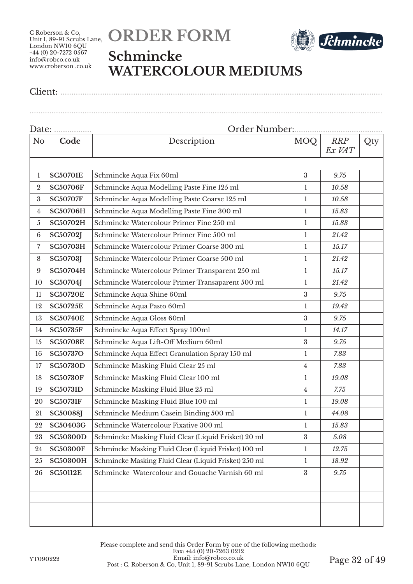



## **Schmincke WATERCOLOUR MEDIUMS**

Client: ..................................................................................................................................................

| Date:          |                 |                                                       |                  |                      |     |
|----------------|-----------------|-------------------------------------------------------|------------------|----------------------|-----|
| N <sub>o</sub> | Code            | Description                                           | MOQ              | <b>RRP</b><br>Ex VAT | Qty |
|                |                 |                                                       |                  |                      |     |
| $\mathbf{1}$   | <b>SC50701E</b> | Schmincke Aqua Fix 60ml                               | $\boldsymbol{3}$ | 9.75                 |     |
| $\overline{2}$ | <b>SC50706F</b> | Schmincke Aqua Modelling Paste Fine 125 ml            | 1                | 10.58                |     |
| 3              | <b>SC50707F</b> | Schmincke Aqua Modelling Paste Coarse 125 ml          | $\mathbf{1}$     | 10.58                |     |
| 4              | <b>SC50706H</b> | Schmincke Aqua Modelling Paste Fine 300 ml            | 1                | 15.83                |     |
| 5              | <b>SC50702H</b> | Schmincke Watercolour Primer Fine 250 ml              | 1                | 15.83                |     |
| 6              | <b>SC50702J</b> | Schmincke Watercolour Primer Fine 500 ml              | 1                | 21.42                |     |
| 7              | <b>SC50703H</b> | Schmincke Watercolour Primer Coarse 300 ml            | $\mathbf{1}$     | 15.17                |     |
| 8              | <b>SC50703J</b> | Schmincke Watercolour Primer Coarse 500 ml            | 1                | 21.42                |     |
| 9              | <b>SC50704H</b> | Schmincke Watercolour Primer Transparent 250 ml       | 1                | 15.17                |     |
| 10             | SC50704J        | Schmincke Watercolour Primer Transaparent 500 ml      | 1                | 21.42                |     |
| 11             | <b>SC50720E</b> | Schmincke Aqua Shine 60ml                             | 3                | 9.75                 |     |
| 12             | <b>SC50725E</b> | Schmincke Aqua Pasto 60ml                             | 1                | 19.42                |     |
| 13             | <b>SC50740E</b> | Schmincke Aqua Gloss 60ml                             | 3                | 9.75                 |     |
| 14             | <b>SC50735F</b> | Schmincke Aqua Effect Spray 100ml                     | 1                | 14.17                |     |
| 15             | <b>SC50708E</b> | Schmincke Aqua Lift-Off Medium 60ml                   | 3                | 9.75                 |     |
| 16             | <b>SC50737O</b> | Schmincke Aqua Effect Granulation Spray 150 ml        | 1                | 7.83                 |     |
| 17             | <b>SC50730D</b> | Schmincke Masking Fluid Clear 25 ml                   | 4                | 7.83                 |     |
| 18             | <b>SC50730F</b> | Schmincke Masking Fluid Clear 100 ml                  | 1                | 19.08                |     |
| 19             | <b>SC50731D</b> | Schmincke Masking Fluid Blue 25 ml                    | $\overline{4}$   | 7.75                 |     |
| 20             | <b>SC50731F</b> | Schmincke Masking Fluid Blue 100 ml                   | 1                | 19.08                |     |
| 21             | <b>SC50088J</b> | Schmincke Medium Casein Binding 500 ml                | $\mathbf{1}$     | 44.08                |     |
| 22             | SC50403G        | Schmincke Watercolour Fixative 300 ml                 | 1                | 15.83                |     |
| 23             | <b>SC50300D</b> | Schmincke Masking Fluid Clear (Liquid Frisket) 20 ml  | $\sqrt{3}$       | 5.08                 |     |
| 24             | <b>SC50300F</b> | Schmincke Masking Fluid Clear (Liquid Frisket) 100 ml | $\mathbf{1}$     | 12.75                |     |
| 25             | <b>SC50300H</b> | Schmincke Masking Fluid Clear (Liquid Frisket) 250 ml | 1                | 18.92                |     |
| 26             | <b>SC50112E</b> | Schmincke Watercolour and Gouache Varnish 60 ml       | $\sqrt{3}$       | 9.75                 |     |
|                |                 |                                                       |                  |                      |     |
|                |                 |                                                       |                  |                      |     |
|                |                 |                                                       |                  |                      |     |
|                |                 |                                                       |                  |                      |     |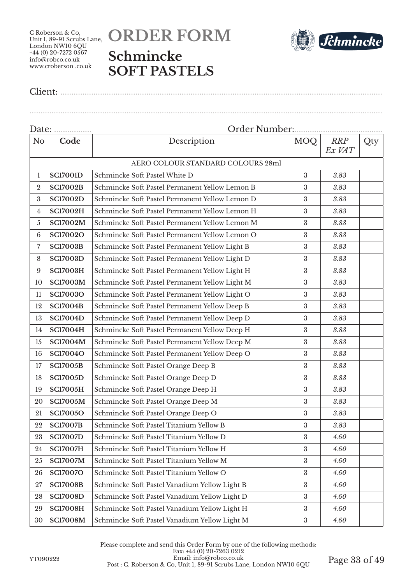



Client: ..................................................................................................................................................

Date: ................. Order Number:........................................ No **Code** Description MOQ RRP *Ex VAT* Qty AERO COLOUR STANDARD COLOURS 28ml **SC17001D** Schmincke Soft Pastel White D 3 3 383 **SC17002B** Schmincke Soft Pastel Permanent Yellow Lemon B 3 *3.83* **SC17002D** Schmincke Soft Pastel Permanent Yellow Lemon D 3 *3.83* **SC17002H** Schmincke Soft Pastel Permanent Yellow Lemon H 3 *3.83* **SC17002M** Schmincke Soft Pastel Permanent Yellow Lemon M 3 *3.83* **SC17002O** Schmincke Soft Pastel Permanent Yellow Lemon O 3 *3.83* **SC17003B** Schmincke Soft Pastel Permanent Yellow Light B 3 *3.83* **SCI7003D** Schmincke Soft Pastel Permanent Yellow Light D 3 3 383 **SC17003H** Schmincke Soft Pastel Permanent Yellow Light H 3 *3.83* **SC17003M** Schmincke Soft Pastel Permanent Yellow Light M 3 3 3.83 **SC17003O** Schmincke Soft Pastel Permanent Yellow Light O 3 *3.83* **SC17004B** Schmincke Soft Pastel Permanent Yellow Deep B 3 3.83 **SC17004D** Schmincke Soft Pastel Permanent Yellow Deep D 3 3.83 **SC17004H** Schmincke Soft Pastel Permanent Yellow Deep H 3 *3.83* 15 SC17004M Schmincke Soft Pastel Permanent Yellow Deep M 3 3.83 **SC17004O** Schmincke Soft Pastel Permanent Yellow Deep O 3 *3.83* **SC17005B** Schmincke Soft Pastel Orange Deep B 3 3.83 **SC17005D** Schmincke Soft Pastel Orange Deep D 3 3.83 **SC17005H** Schmincke Soft Pastel Orange Deep H 3 *3.83* **SC17005M** Schmincke Soft Pastel Orange Deep M 3 3 3.83 **SC17005O** Schmincke Soft Pastel Orange Deep O 3 *3.83* **SC17007B** Schmincke Soft Pastel Titanium Yellow B 3 *3.83* **SC17007D** Schmincke Soft Pastel Titanium Yellow D 3 4.60 **SC17007H** Schmincke Soft Pastel Titanium Yellow H 3 *4.60* **SC17007M** Schmincke Soft Pastel Titanium Yellow M 3 *4.60* **SC17007O** Schmincke Soft Pastel Titanium Yellow O 3 *4.60* **SC17008B** Schmincke Soft Pastel Vanadium Yellow Light B 3 *4.60* **SC17008D** Schmincke Soft Pastel Vanadium Yellow Light D 3 4.60 **SC17008H** Schmincke Soft Pastel Vanadium Yellow Light H 3 *4.60* **SC17008M** Schmincke Soft Pastel Vanadium Yellow Light M 3 *4.60*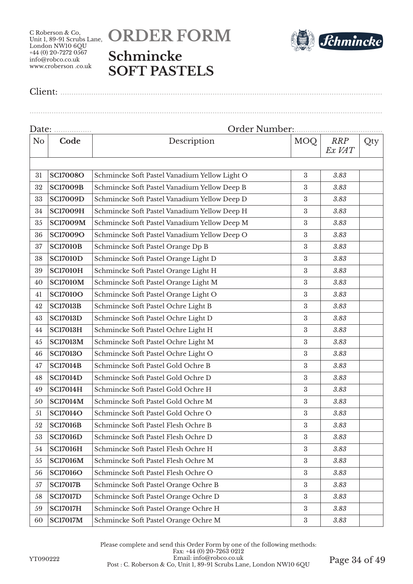# **ORDER FORM Schmincke SOFT PASTELS**



Client: ..................................................................................................................................................

| Date:          |                 | Order Number:                                 |                  |                      |     |  |
|----------------|-----------------|-----------------------------------------------|------------------|----------------------|-----|--|
| N <sub>o</sub> | Code            | Description                                   | <b>MOQ</b>       | <b>RRP</b><br>Ex VAT | Qty |  |
|                |                 |                                               |                  |                      |     |  |
| 31             | <b>SC17008O</b> | Schmincke Soft Pastel Vanadium Yellow Light O | $\rm 3$          | 3.83                 |     |  |
| 32             | <b>SC17009B</b> | Schmincke Soft Pastel Vanadium Yellow Deep B  | $\rm 3$          | 3.83                 |     |  |
| 33             | <b>SC17009D</b> | Schmincke Soft Pastel Vanadium Yellow Deep D  | 3                | 3.83                 |     |  |
| 34             | <b>SC17009H</b> | Schmincke Soft Pastel Vanadium Yellow Deep H  | $\rm 3$          | 3.83                 |     |  |
| 35             | <b>SC17009M</b> | Schmincke Soft Pastel Vanadium Yellow Deep M  | 3                | 3.83                 |     |  |
| 36             | <b>SC17009O</b> | Schmincke Soft Pastel Vanadium Yellow Deep O  | $\rm 3$          | 3.83                 |     |  |
| 37             | <b>SC17010B</b> | Schmincke Soft Pastel Orange Dp B             | $\rm 3$          | 3.83                 |     |  |
| 38             | <b>SC17010D</b> | Schmincke Soft Pastel Orange Light D          | $\rm 3$          | 3.83                 |     |  |
| 39             | <b>SC17010H</b> | Schmincke Soft Pastel Orange Light H          | 3                | 3.83                 |     |  |
| 40             | <b>SC17010M</b> | Schmincke Soft Pastel Orange Light M          | 3                | 3.83                 |     |  |
| 41             | <b>SC17010O</b> | Schmincke Soft Pastel Orange Light O          | $\rm 3$          | 3.83                 |     |  |
| 42             | <b>SC17013B</b> | Schmincke Soft Pastel Ochre Light B           | 3                | 3.83                 |     |  |
| 43             | <b>SC17013D</b> | Schmincke Soft Pastel Ochre Light D           | $\rm 3$          | 3.83                 |     |  |
| 44             | <b>SC17013H</b> | Schmincke Soft Pastel Ochre Light H           | $\rm 3$          | 3.83                 |     |  |
| 45             | <b>SC17013M</b> | Schmincke Soft Pastel Ochre Light M           | $\rm 3$          | 3.83                 |     |  |
| 46             | <b>SC17013O</b> | Schmincke Soft Pastel Ochre Light O           | 3                | 3.83                 |     |  |
| 47             | <b>SC17014B</b> | Schmincke Soft Pastel Gold Ochre B            | $\rm 3$          | 3.83                 |     |  |
| 48             | <b>SC17014D</b> | Schmincke Soft Pastel Gold Ochre D            | $\rm 3$          | 3.83                 |     |  |
| 49             | <b>SC17014H</b> | Schmincke Soft Pastel Gold Ochre H            | 3                | 3.83                 |     |  |
| 50             | <b>SC17014M</b> | Schmincke Soft Pastel Gold Ochre M            | $\rm 3$          | 3.83                 |     |  |
| 51             | <b>SC17014O</b> | Schmincke Soft Pastel Gold Ochre O            | $\rm 3$          | 3.83                 |     |  |
| 52             | <b>SC17016B</b> | Schmincke Soft Pastel Flesh Ochre B           | $\rm 3$          | 3.83                 |     |  |
| 53             | <b>SC17016D</b> | Schmincke Soft Pastel Flesh Ochre D           | $\rm 3$          | 3.83                 |     |  |
| 54             | <b>SC17016H</b> | Schmincke Soft Pastel Flesh Ochre H           | 3                | 3.83                 |     |  |
| 55             | <b>SC17016M</b> | Schmincke Soft Pastel Flesh Ochre M           | $\boldsymbol{3}$ | 3.83                 |     |  |
| 56             | <b>SC17016O</b> | Schmincke Soft Pastel Flesh Ochre O           | 3                | 3.83                 |     |  |
| 57             | <b>SC17017B</b> | Schmincke Soft Pastel Orange Ochre B          | $\rm 3$          | 3.83                 |     |  |
| 58             | <b>SC17017D</b> | Schmincke Soft Pastel Orange Ochre D          | $\rm 3$          | 3.83                 |     |  |
| 59             | <b>SC17017H</b> | Schmincke Soft Pastel Orange Ochre H          | $\rm 3$          | 3.83                 |     |  |
| 60             | <b>SC17017M</b> | Schmincke Soft Pastel Orange Ochre M          | $\boldsymbol{3}$ | 3.83                 |     |  |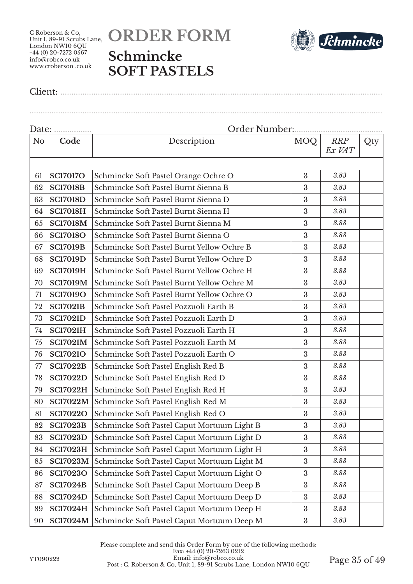# **ORDER FORM Schmincke SOFT PASTELS**



Client: ..................................................................................................................................................

| Date:          |                 | Order Number:                               |                  |                      |     |  |
|----------------|-----------------|---------------------------------------------|------------------|----------------------|-----|--|
| N <sub>o</sub> | Code            | Description                                 | <b>MOQ</b>       | <b>RRP</b><br>Ex VAT | Qty |  |
|                |                 |                                             |                  |                      |     |  |
| 61             | <b>SC17017O</b> | Schmincke Soft Pastel Orange Ochre O        | 3                | 3.83                 |     |  |
| 62             | <b>SC17018B</b> | Schmincke Soft Pastel Burnt Sienna B        | 3                | 3.83                 |     |  |
| 63             | <b>SC17018D</b> | Schmincke Soft Pastel Burnt Sienna D        | 3                | 3.83                 |     |  |
| 64             | <b>SC17018H</b> | Schmincke Soft Pastel Burnt Sienna H        | $\boldsymbol{3}$ | 3.83                 |     |  |
| 65             | <b>SC17018M</b> | Schmincke Soft Pastel Burnt Sienna M        | 3                | 3.83                 |     |  |
| 66             | <b>SC17018O</b> | Schmincke Soft Pastel Burnt Sienna O        | 3                | 3.83                 |     |  |
| 67             | <b>SC17019B</b> | Schmincke Soft Pastel Burnt Yellow Ochre B  | 3                | 3.83                 |     |  |
| 68             | <b>SC17019D</b> | Schmincke Soft Pastel Burnt Yellow Ochre D  | 3                | 3.83                 |     |  |
| 69             | <b>SC17019H</b> | Schmincke Soft Pastel Burnt Yellow Ochre H  | 3                | 3.83                 |     |  |
| 70             | <b>SC17019M</b> | Schmincke Soft Pastel Burnt Yellow Ochre M  | 3                | 3.83                 |     |  |
| 71             | <b>SC17019O</b> | Schmincke Soft Pastel Burnt Yellow Ochre O  | $\boldsymbol{3}$ | 3.83                 |     |  |
| 72             | <b>SC17021B</b> | Schmincke Soft Pastel Pozzuoli Earth B      | 3                | 3.83                 |     |  |
| 73             | <b>SC17021D</b> | Schmincke Soft Pastel Pozzuoli Earth D      | 3                | 3.83                 |     |  |
| 74             | <b>SC17021H</b> | Schmincke Soft Pastel Pozzuoli Earth H      | 3                | 3.83                 |     |  |
| 75             | <b>SC17021M</b> | Schmincke Soft Pastel Pozzuoli Earth M      | 3                | 3.83                 |     |  |
| 76             | <b>SC17021O</b> | Schmincke Soft Pastel Pozzuoli Earth O      | 3                | 3.83                 |     |  |
| 77             | <b>SC17022B</b> | Schmincke Soft Pastel English Red B         | 3                | 3.83                 |     |  |
| 78             | <b>SC17022D</b> | Schmincke Soft Pastel English Red D         | 3                | 3.83                 |     |  |
| 79             | <b>SC17022H</b> | Schmincke Soft Pastel English Red H         | 3                | 3.83                 |     |  |
| 80             | <b>SC17022M</b> | Schmincke Soft Pastel English Red M         | $\boldsymbol{3}$ | 3.83                 |     |  |
| 81             | <b>SC17022O</b> | Schmincke Soft Pastel English Red O         | $\boldsymbol{3}$ | 3.83                 |     |  |
| 82             | <b>SC17023B</b> | Schmincke Soft Pastel Caput Mortuum Light B | $\boldsymbol{3}$ | 3.83                 |     |  |
| 83             | <b>SC17023D</b> | Schmincke Soft Pastel Caput Mortuum Light D | $\boldsymbol{3}$ | 3.83                 |     |  |
| 84             | <b>SC17023H</b> | Schmincke Soft Pastel Caput Mortuum Light H | 3                | 3.83                 |     |  |
| 85             | <b>SC17023M</b> | Schmincke Soft Pastel Caput Mortuum Light M | $\boldsymbol{3}$ | 3.83                 |     |  |
| 86             | <b>SC17023O</b> | Schmincke Soft Pastel Caput Mortuum Light O | 3                | 3.83                 |     |  |
| 87             | <b>SC17024B</b> | Schmincke Soft Pastel Caput Mortuum Deep B  | $\boldsymbol{3}$ | 3.83                 |     |  |
| 88             | <b>SC17024D</b> | Schmincke Soft Pastel Caput Mortuum Deep D  | $\boldsymbol{3}$ | 3.83                 |     |  |
| 89             | <b>SC17024H</b> | Schmincke Soft Pastel Caput Mortuum Deep H  | $\boldsymbol{3}$ | 3.83                 |     |  |
| 90             | <b>SC17024M</b> | Schmincke Soft Pastel Caput Mortuum Deep M  | $\rm 3$          | $3.83\,$             |     |  |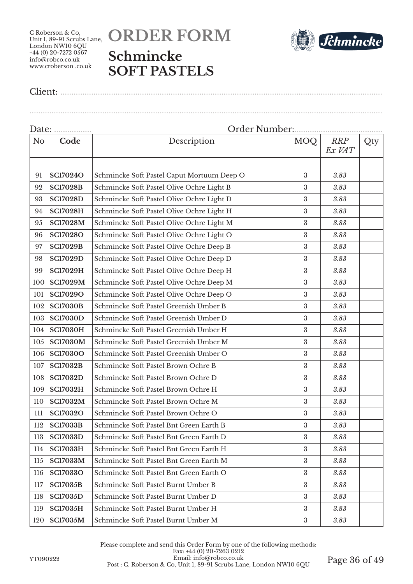



Client: ..................................................................................................................................................

| Date: <u></u>  |                 |                                            |                  |                      |     |  |
|----------------|-----------------|--------------------------------------------|------------------|----------------------|-----|--|
| N <sub>o</sub> | Code            | Description                                | MOQ              | <b>RRP</b><br>Ex VAT | Qty |  |
| 91             | <b>SC17024O</b> | Schmincke Soft Pastel Caput Mortuum Deep O | $\sqrt{3}$       | 3.83                 |     |  |
| 92             | <b>SC17028B</b> | Schmincke Soft Pastel Olive Ochre Light B  | $\boldsymbol{3}$ | 3.83                 |     |  |
| 93             | <b>SC17028D</b> | Schmincke Soft Pastel Olive Ochre Light D  | $\boldsymbol{3}$ | 3.83                 |     |  |
| 94             | <b>SC17028H</b> | Schmincke Soft Pastel Olive Ochre Light H  | $\boldsymbol{3}$ | 3.83                 |     |  |
| 95             | <b>SC17028M</b> | Schmincke Soft Pastel Olive Ochre Light M  | 3                | 3.83                 |     |  |
| 96             | <b>SC17028O</b> | Schmincke Soft Pastel Olive Ochre Light O  | $\boldsymbol{3}$ | 3.83                 |     |  |
| 97             | <b>SC17029B</b> | Schmincke Soft Pastel Olive Ochre Deep B   | 3                | 3.83                 |     |  |
| 98             | <b>SC17029D</b> | Schmincke Soft Pastel Olive Ochre Deep D   | $\boldsymbol{3}$ | 3.83                 |     |  |
| 99             | <b>SC17029H</b> | Schmincke Soft Pastel Olive Ochre Deep H   | $\boldsymbol{3}$ | 3.83                 |     |  |
| 100            | <b>SC17029M</b> | Schmincke Soft Pastel Olive Ochre Deep M   | $\boldsymbol{3}$ | 3.83                 |     |  |
| 101            | <b>SC17029O</b> | Schmincke Soft Pastel Olive Ochre Deep O   | $\boldsymbol{3}$ | 3.83                 |     |  |
| 102            | <b>SC17030B</b> | Schmincke Soft Pastel Greenish Umber B     | $\boldsymbol{3}$ | 3.83                 |     |  |
| 103            | <b>SC17030D</b> | Schmincke Soft Pastel Greenish Umber D     | $\boldsymbol{3}$ | 3.83                 |     |  |
| 104            | <b>SC17030H</b> | Schmincke Soft Pastel Greenish Umber H     | 3                | 3.83                 |     |  |
| 105            | <b>SC17030M</b> | Schmincke Soft Pastel Greenish Umber M     | $\boldsymbol{3}$ | 3.83                 |     |  |
| 106            | <b>SC17030O</b> | Schmincke Soft Pastel Greenish Umber O     | $\boldsymbol{3}$ | 3.83                 |     |  |
| 107            | <b>SC17032B</b> | Schmincke Soft Pastel Brown Ochre B        | $\boldsymbol{3}$ | 3.83                 |     |  |
| 108            | <b>SC17032D</b> | Schmincke Soft Pastel Brown Ochre D        | $\boldsymbol{3}$ | 3.83                 |     |  |
| 109            | <b>SC17032H</b> | Schmincke Soft Pastel Brown Ochre H        | $\boldsymbol{3}$ | 3.83                 |     |  |
| 110            | <b>SC17032M</b> | Schmincke Soft Pastel Brown Ochre M        | $\boldsymbol{3}$ | 3.83                 |     |  |
| 111            | <b>SC17032O</b> | Schmincke Soft Pastel Brown Ochre O        | $\boldsymbol{3}$ | 3.83                 |     |  |
| 112            | <b>SC17033B</b> | Schmincke Soft Pastel Bnt Green Earth B    | $\boldsymbol{3}$ | 3.83                 |     |  |
| 113            | <b>SC17033D</b> | Schmincke Soft Pastel Bnt Green Earth D    | $\boldsymbol{3}$ | 3.83                 |     |  |
| 114            | <b>SC17033H</b> | Schmincke Soft Pastel Bnt Green Earth H    | 3                | 3.83                 |     |  |
| 115            | <b>SC17033M</b> | Schmincke Soft Pastel Bnt Green Earth M    | 3                | 3.83                 |     |  |
| 116            | <b>SC17033O</b> | Schmincke Soft Pastel Bnt Green Earth O    | 3                | 3.83                 |     |  |
| 117            | <b>SC17035B</b> | Schmincke Soft Pastel Burnt Umber B        | 3                | 3.83                 |     |  |
| 118            | <b>SC17035D</b> | Schmincke Soft Pastel Burnt Umber D        | 3                | 3.83                 |     |  |
| 119            | <b>SC17035H</b> | Schmincke Soft Pastel Burnt Umber H        | 3                | 3.83                 |     |  |
| 120            | <b>SC17035M</b> | Schmincke Soft Pastel Burnt Umber M        | $\boldsymbol{3}$ | 3.83                 |     |  |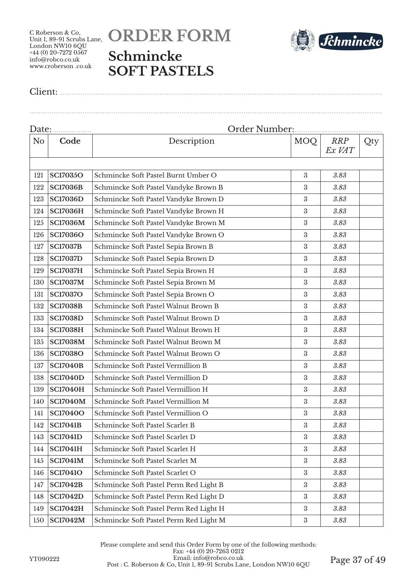# **ORDER FORM Schmincke SOFT PASTELS**



Client: ..................................................................................................................................................

| Date: |                 |                                        |                  |                      |     |  |
|-------|-----------------|----------------------------------------|------------------|----------------------|-----|--|
| No    | Code            | Description                            | <b>MOQ</b>       | <b>RRP</b><br>Ex VAT | Qty |  |
|       |                 |                                        |                  |                      |     |  |
| 121   | <b>SC17035O</b> | Schmincke Soft Pastel Burnt Umber O    | 3                | 3.83                 |     |  |
| 122   | <b>SC17036B</b> | Schmincke Soft Pastel Vandyke Brown B  | 3                | 3.83                 |     |  |
| 123   | <b>SC17036D</b> | Schmincke Soft Pastel Vandyke Brown D  | $\boldsymbol{3}$ | 3.83                 |     |  |
| 124   | <b>SC17036H</b> | Schmincke Soft Pastel Vandyke Brown H  | 3                | 3.83                 |     |  |
| 125   | <b>SC17036M</b> | Schmincke Soft Pastel Vandyke Brown M  | $\boldsymbol{3}$ | 3.83                 |     |  |
| 126   | <b>SC17036O</b> | Schmincke Soft Pastel Vandyke Brown O  | 3                | 3.83                 |     |  |
| 127   | <b>SC17037B</b> | Schmincke Soft Pastel Sepia Brown B    | $\boldsymbol{3}$ | 3.83                 |     |  |
| 128   | <b>SC17037D</b> | Schmincke Soft Pastel Sepia Brown D    | 3                | 3.83                 |     |  |
| 129   | <b>SC17037H</b> | Schmincke Soft Pastel Sepia Brown H    | $\boldsymbol{3}$ | 3.83                 |     |  |
| 130   | <b>SC17037M</b> | Schmincke Soft Pastel Sepia Brown M    | $\boldsymbol{3}$ | 3.83                 |     |  |
| 131   | <b>SC17037O</b> | Schmincke Soft Pastel Sepia Brown O    | $\boldsymbol{3}$ | 3.83                 |     |  |
| 132   | <b>SC17038B</b> | Schmincke Soft Pastel Walnut Brown B   | $\boldsymbol{3}$ | 3.83                 |     |  |
| 133   | <b>SC17038D</b> | Schmincke Soft Pastel Walnut Brown D   | $\boldsymbol{3}$ | 3.83                 |     |  |
| 134   | <b>SC17038H</b> | Schmincke Soft Pastel Walnut Brown H   | 3                | 3.83                 |     |  |
| 135   | <b>SC17038M</b> | Schmincke Soft Pastel Walnut Brown M   | 3                | 3.83                 |     |  |
| 136   | <b>SC17038O</b> | Schmincke Soft Pastel Walnut Brown O   | $\boldsymbol{3}$ | 3.83                 |     |  |
| 137   | <b>SC17040B</b> | Schmincke Soft Pastel Vermillion B     | 3                | 3.83                 |     |  |
| 138   | <b>SC17040D</b> | Schmincke Soft Pastel Vermillion D     | 3                | 3.83                 |     |  |
| 139   | <b>SC17040H</b> | Schmincke Soft Pastel Vermillion H     | $\boldsymbol{3}$ | 3.83                 |     |  |
| 140   | <b>SC17040M</b> | Schmincke Soft Pastel Vermillion M     | $\boldsymbol{3}$ | 3.83                 |     |  |
| 141   | <b>SC17040O</b> | Schmincke Soft Pastel Vermillion O     | $\boldsymbol{3}$ | 3.83                 |     |  |
| 142   | <b>SC17041B</b> | Schmincke Soft Pastel Scarlet B        | $\boldsymbol{3}$ | 3.83                 |     |  |
| 143   | <b>SC17041D</b> | Schmincke Soft Pastel Scarlet D        | $\boldsymbol{3}$ | 3.83                 |     |  |
| 144   | <b>SC17041H</b> | Schmincke Soft Pastel Scarlet H        | 3                | 3.83                 |     |  |
| 145   | <b>SC17041M</b> | Schmincke Soft Pastel Scarlet M        | $\boldsymbol{3}$ | 3.83                 |     |  |
| 146   | <b>SC17041O</b> | Schmincke Soft Pastel Scarlet O        | $\boldsymbol{3}$ | 3.83                 |     |  |
| 147   | <b>SC17042B</b> | Schmincke Soft Pastel Perm Red Light B | $\boldsymbol{3}$ | 3.83                 |     |  |
| 148   | <b>SC17042D</b> | Schmincke Soft Pastel Perm Red Light D | $\boldsymbol{3}$ | 3.83                 |     |  |
| 149   | <b>SC17042H</b> | Schmincke Soft Pastel Perm Red Light H | 3                | 3.83                 |     |  |
| 150   | <b>SC17042M</b> | Schmincke Soft Pastel Perm Red Light M | $\boldsymbol{3}$ | 3.83                 |     |  |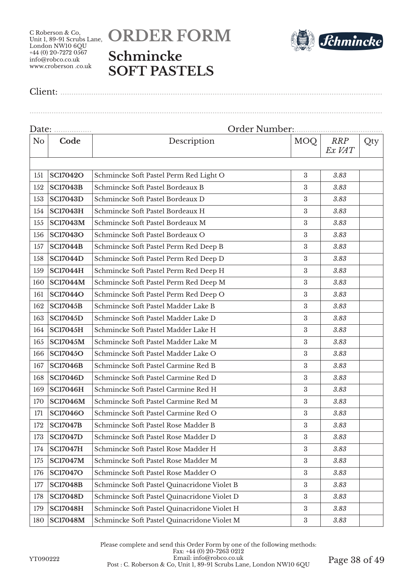# **ORDER FORM Schmincke SOFT PASTELS**



Client: ..................................................................................................................................................

| Date: |                 |                                             |                  |                      |     |  |  |
|-------|-----------------|---------------------------------------------|------------------|----------------------|-----|--|--|
| No    | Code            | Description                                 | <b>MOQ</b>       | <b>RRP</b><br>Ex VAT | Qty |  |  |
|       |                 |                                             |                  |                      |     |  |  |
| 151   | <b>SC17042O</b> | Schmincke Soft Pastel Perm Red Light O      | 3                | 3.83                 |     |  |  |
| 152   | <b>SC17043B</b> | Schmincke Soft Pastel Bordeaux B            | 3                | 3.83                 |     |  |  |
| 153   | <b>SC17043D</b> | Schmincke Soft Pastel Bordeaux D            | $\boldsymbol{3}$ | 3.83                 |     |  |  |
| 154   | <b>SC17043H</b> | Schmincke Soft Pastel Bordeaux H            | 3                | 3.83                 |     |  |  |
| 155   | <b>SC17043M</b> | Schmincke Soft Pastel Bordeaux M            | $\boldsymbol{3}$ | 3.83                 |     |  |  |
| 156   | <b>SC17043O</b> | Schmincke Soft Pastel Bordeaux O            | 3                | 3.83                 |     |  |  |
| 157   | <b>SC17044B</b> | Schmincke Soft Pastel Perm Red Deep B       | $\boldsymbol{3}$ | 3.83                 |     |  |  |
| 158   | <b>SC17044D</b> | Schmincke Soft Pastel Perm Red Deep D       | 3                | 3.83                 |     |  |  |
| 159   | <b>SC17044H</b> | Schmincke Soft Pastel Perm Red Deep H       | $\boldsymbol{3}$ | 3.83                 |     |  |  |
| 160   | <b>SC17044M</b> | Schmincke Soft Pastel Perm Red Deep M       | $\boldsymbol{3}$ | 3.83                 |     |  |  |
| 161   | <b>SC17044O</b> | Schmincke Soft Pastel Perm Red Deep O       | $\boldsymbol{3}$ | 3.83                 |     |  |  |
| 162   | <b>SC17045B</b> | Schmincke Soft Pastel Madder Lake B         | $\boldsymbol{3}$ | 3.83                 |     |  |  |
| 163   | <b>SC17045D</b> | Schmincke Soft Pastel Madder Lake D         | $\boldsymbol{3}$ | 3.83                 |     |  |  |
| 164   | <b>SC17045H</b> | Schmincke Soft Pastel Madder Lake H         | 3                | 3.83                 |     |  |  |
| 165   | <b>SC17045M</b> | Schmincke Soft Pastel Madder Lake M         | 3                | 3.83                 |     |  |  |
| 166   | <b>SC17045O</b> | Schmincke Soft Pastel Madder Lake O         | $\boldsymbol{3}$ | 3.83                 |     |  |  |
| 167   | <b>SC17046B</b> | Schmincke Soft Pastel Carmine Red B         | 3                | 3.83                 |     |  |  |
| 168   | <b>SC17046D</b> | Schmincke Soft Pastel Carmine Red D         | 3                | 3.83                 |     |  |  |
| 169   | <b>SC17046H</b> | Schmincke Soft Pastel Carmine Red H         | $\boldsymbol{3}$ | 3.83                 |     |  |  |
| 170   | <b>SC17046M</b> | Schmincke Soft Pastel Carmine Red M         | $\boldsymbol{3}$ | 3.83                 |     |  |  |
| 171   | <b>SC17046O</b> | Schmincke Soft Pastel Carmine Red O         | $\boldsymbol{3}$ | 3.83                 |     |  |  |
| 172   | <b>SC17047B</b> | Schmincke Soft Pastel Rose Madder B         | 3                | 3.83                 |     |  |  |
| 173   | <b>SC17047D</b> | Schmincke Soft Pastel Rose Madder D         | $\boldsymbol{3}$ | 3.83                 |     |  |  |
| 174   | <b>SC17047H</b> | Schmincke Soft Pastel Rose Madder H         | 3                | 3.83                 |     |  |  |
| 175   | <b>SC17047M</b> | Schmincke Soft Pastel Rose Madder M         | $\boldsymbol{3}$ | 3.83                 |     |  |  |
| 176   | <b>SC17047O</b> | Schmincke Soft Pastel Rose Madder O         | $\boldsymbol{3}$ | 3.83                 |     |  |  |
| 177   | <b>SC17048B</b> | Schmincke Soft Pastel Quinacridone Violet B | $\boldsymbol{3}$ | 3.83                 |     |  |  |
| 178   | <b>SC17048D</b> | Schmincke Soft Pastel Quinacridone Violet D | $\boldsymbol{3}$ | 3.83                 |     |  |  |
| 179   | <b>SC17048H</b> | Schmincke Soft Pastel Quinacridone Violet H | 3                | 3.83                 |     |  |  |
| 180   | <b>SC17048M</b> | Schmincke Soft Pastel Quinacridone Violet M | $\rm 3$          | 3.83                 |     |  |  |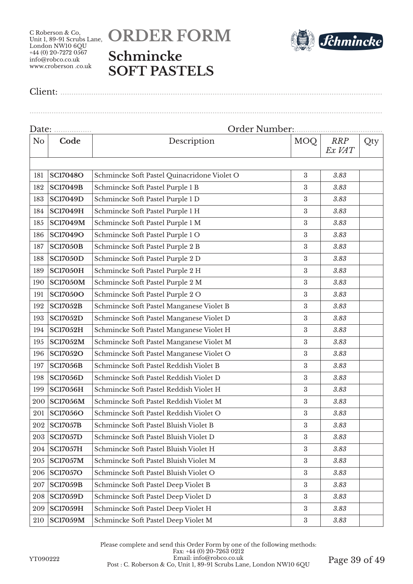



Client: ..................................................................................................................................................

| Date:          |                 |                                             |                  |                      |     |
|----------------|-----------------|---------------------------------------------|------------------|----------------------|-----|
| N <sub>o</sub> | Code            | Description                                 | <b>MOQ</b>       | <b>RRP</b><br>Ex VAT | Qty |
|                |                 |                                             |                  |                      |     |
| 181            | <b>SC17048O</b> | Schmincke Soft Pastel Quinacridone Violet O | $\boldsymbol{3}$ | 3.83                 |     |
| 182            | <b>SC17049B</b> | Schmincke Soft Pastel Purple 1 B            | $\boldsymbol{3}$ | 3.83                 |     |
| 183            | <b>SC17049D</b> | Schmincke Soft Pastel Purple 1 D            | $\boldsymbol{3}$ | 3.83                 |     |
| 184            | <b>SC17049H</b> | Schmincke Soft Pastel Purple 1 H            | $\boldsymbol{3}$ | 3.83                 |     |
| 185            | <b>SC17049M</b> | Schmincke Soft Pastel Purple 1 M            | $\boldsymbol{3}$ | 3.83                 |     |
| 186            | <b>SC17049O</b> | Schmincke Soft Pastel Purple 1 O            | $\boldsymbol{3}$ | 3.83                 |     |
| 187            | <b>SC17050B</b> | Schmincke Soft Pastel Purple 2 B            | $\rm 3$          | 3.83                 |     |
| 188            | <b>SC17050D</b> | Schmincke Soft Pastel Purple 2 D            | $\boldsymbol{3}$ | 3.83                 |     |
| 189            | <b>SC17050H</b> | Schmincke Soft Pastel Purple 2 H            | $\rm 3$          | 3.83                 |     |
| 190            | <b>SC17050M</b> | Schmincke Soft Pastel Purple 2 M            | $\boldsymbol{3}$ | 3.83                 |     |
| 191            | <b>SC17050O</b> | Schmincke Soft Pastel Purple 2 O            | $\rm 3$          | 3.83                 |     |
| 192            | <b>SC17052B</b> | Schmincke Soft Pastel Manganese Violet B    | $\boldsymbol{3}$ | 3.83                 |     |
| 193            | <b>SC17052D</b> | Schmincke Soft Pastel Manganese Violet D    | $\rm 3$          | 3.83                 |     |
| 194            | <b>SC17052H</b> | Schmincke Soft Pastel Manganese Violet H    | $\rm 3$          | 3.83                 |     |
| 195            | <b>SC17052M</b> | Schmincke Soft Pastel Manganese Violet M    | $\rm 3$          | 3.83                 |     |
| 196            | <b>SC17052O</b> | Schmincke Soft Pastel Manganese Violet O    | $\rm 3$          | 3.83                 |     |
| 197            | <b>SC17056B</b> | Schmincke Soft Pastel Reddish Violet B      | $\boldsymbol{3}$ | 3.83                 |     |
| 198            | <b>SC17056D</b> | Schmincke Soft Pastel Reddish Violet D      | $\rm 3$          | 3.83                 |     |
| 199            | <b>SC17056H</b> | Schmincke Soft Pastel Reddish Violet H      | $\boldsymbol{3}$ | 3.83                 |     |
| 200            | <b>SC17056M</b> | Schmincke Soft Pastel Reddish Violet M      | $\rm 3$          | 3.83                 |     |
| 201            | <b>SC17056O</b> | Schmincke Soft Pastel Reddish Violet O      | $\rm 3$          | 3.83                 |     |
| 202            | <b>SC17057B</b> | Schmincke Soft Pastel Bluish Violet B       | $\rm 3$          | 3.83                 |     |
| 203            | <b>SC17057D</b> | Schmincke Soft Pastel Bluish Violet D       | $\rm 3$          | 3.83                 |     |
| 204            | <b>SC17057H</b> | Schmincke Soft Pastel Bluish Violet H       | $\boldsymbol{3}$ | 3.83                 |     |
| 205            | <b>SC17057M</b> | Schmincke Soft Pastel Bluish Violet M       | $\sqrt{3}$       | 3.83                 |     |
| 206            | <b>SC17057O</b> | Schmincke Soft Pastel Bluish Violet O       | $\boldsymbol{3}$ | 3.83                 |     |
| 207            | <b>SC17059B</b> | Schmincke Soft Pastel Deep Violet B         | $\rm 3$          | 3.83                 |     |
| 208            | <b>SC17059D</b> | Schmincke Soft Pastel Deep Violet D         | $\rm 3$          | 3.83                 |     |
| 209            | <b>SC17059H</b> | Schmincke Soft Pastel Deep Violet H         | $\rm 3$          | 3.83                 |     |
| 210            | <b>SC17059M</b> | Schmincke Soft Pastel Deep Violet M         | $\rm 3$          | 3.83                 |     |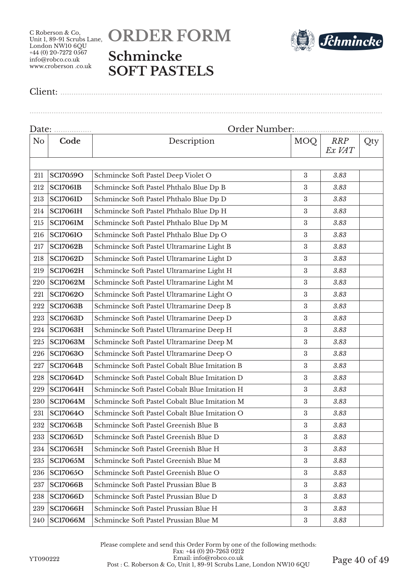# **ORDER FORM Schmincke SOFT PASTELS**



Client: ..................................................................................................................................................

| Date: |                 |                                               |                  |                      |     |  |  |
|-------|-----------------|-----------------------------------------------|------------------|----------------------|-----|--|--|
| No    | Code            | Description                                   | <b>MOQ</b>       | <b>RRP</b><br>Ex VAT | Qty |  |  |
|       |                 |                                               |                  |                      |     |  |  |
| 211   | <b>SC17059O</b> | Schmincke Soft Pastel Deep Violet O           | 3                | 3.83                 |     |  |  |
| 212   | <b>SC17061B</b> | Schmincke Soft Pastel Phthalo Blue Dp B       | 3                | 3.83                 |     |  |  |
| 213   | <b>SC17061D</b> | Schmincke Soft Pastel Phthalo Blue Dp D       | $\boldsymbol{3}$ | 3.83                 |     |  |  |
| 214   | <b>SC17061H</b> | Schmincke Soft Pastel Phthalo Blue Dp H       | $\boldsymbol{3}$ | 3.83                 |     |  |  |
| 215   | <b>SC17061M</b> | Schmincke Soft Pastel Phthalo Blue Dp M       | $\boldsymbol{3}$ | 3.83                 |     |  |  |
| 216   | <b>SC17061O</b> | Schmincke Soft Pastel Phthalo Blue Dp O       | 3                | 3.83                 |     |  |  |
| 217   | <b>SC17062B</b> | Schmincke Soft Pastel Ultramarine Light B     | $\boldsymbol{3}$ | 3.83                 |     |  |  |
| 218   | <b>SC17062D</b> | Schmincke Soft Pastel Ultramarine Light D     | 3                | 3.83                 |     |  |  |
| 219   | <b>SC17062H</b> | Schmincke Soft Pastel Ultramarine Light H     | $\boldsymbol{3}$ | 3.83                 |     |  |  |
| 220   | <b>SC17062M</b> | Schmincke Soft Pastel Ultramarine Light M     | $\boldsymbol{3}$ | 3.83                 |     |  |  |
| 221   | <b>SC17062O</b> | Schmincke Soft Pastel Ultramarine Light O     | $\boldsymbol{3}$ | 3.83                 |     |  |  |
| 222   | <b>SC17063B</b> | Schmincke Soft Pastel Ultramarine Deep B      | $\boldsymbol{3}$ | 3.83                 |     |  |  |
| 223   | <b>SC17063D</b> | Schmincke Soft Pastel Ultramarine Deep D      | 3                | 3.83                 |     |  |  |
| 224   | <b>SC17063H</b> | Schmincke Soft Pastel Ultramarine Deep H      | $\boldsymbol{3}$ | 3.83                 |     |  |  |
| 225   | <b>SC17063M</b> | Schmincke Soft Pastel Ultramarine Deep M      | 3                | 3.83                 |     |  |  |
| 226   | <b>SC17063O</b> | Schmincke Soft Pastel Ultramarine Deep O      | $\boldsymbol{3}$ | 3.83                 |     |  |  |
| 227   | <b>SC17064B</b> | Schmincke Soft Pastel Cobalt Blue Imitation B | 3                | 3.83                 |     |  |  |
| 228   | <b>SC17064D</b> | Schmincke Soft Pastel Cobalt Blue Imitation D | $\boldsymbol{3}$ | 3.83                 |     |  |  |
| 229   | <b>SC17064H</b> | Schmincke Soft Pastel Cobalt Blue Imitation H | $\boldsymbol{3}$ | 3.83                 |     |  |  |
| 230   | <b>SC17064M</b> | Schmincke Soft Pastel Cobalt Blue Imitation M | $\boldsymbol{3}$ | 3.83                 |     |  |  |
| 231   | <b>SC17064O</b> | Schmincke Soft Pastel Cobalt Blue Imitation O | $\sqrt{3}$       | 3.83                 |     |  |  |
| 232   | <b>SC17065B</b> | Schmincke Soft Pastel Greenish Blue B         | $\boldsymbol{3}$ | 3.83                 |     |  |  |
| 233   | <b>SC17065D</b> | Schmincke Soft Pastel Greenish Blue D         | $\boldsymbol{3}$ | 3.83                 |     |  |  |
| 234   | <b>SC17065H</b> | Schmincke Soft Pastel Greenish Blue H         | 3                | 3.83                 |     |  |  |
| 235   | <b>SC17065M</b> | Schmincke Soft Pastel Greenish Blue M         | $\boldsymbol{3}$ | 3.83                 |     |  |  |
| 236   | <b>SC17065O</b> | Schmincke Soft Pastel Greenish Blue O         | $\boldsymbol{3}$ | 3.83                 |     |  |  |
| 237   | <b>SC17066B</b> | Schmincke Soft Pastel Prussian Blue B         | 3                | 3.83                 |     |  |  |
| 238   | <b>SC17066D</b> | Schmincke Soft Pastel Prussian Blue D         | $\sqrt{3}$       | 3.83                 |     |  |  |
| 239   | <b>SC17066H</b> | Schmincke Soft Pastel Prussian Blue H         | 3                | 3.83                 |     |  |  |
| 240   | <b>SC17066M</b> | Schmincke Soft Pastel Prussian Blue M         | $\boldsymbol{3}$ | 3.83                 |     |  |  |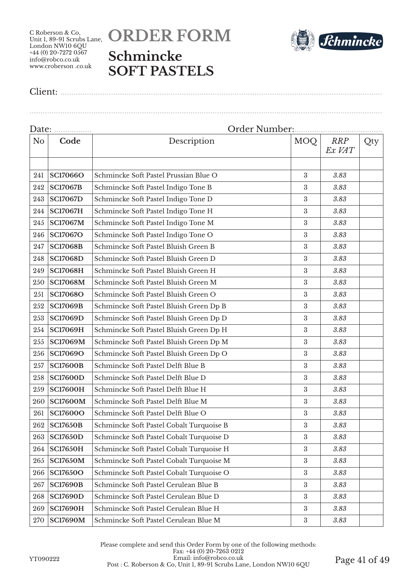



Client: ..................................................................................................................................................

| Date:          |                 |                                          |                  |                      |     |  |  |
|----------------|-----------------|------------------------------------------|------------------|----------------------|-----|--|--|
| N <sub>o</sub> | Code            | Description                              | <b>MOQ</b>       | <b>RRP</b><br>Ex VAT | Qty |  |  |
| 241            | <b>SC17066O</b> | Schmincke Soft Pastel Prussian Blue O    | 3                | 3.83                 |     |  |  |
| 242            | <b>SC17067B</b> | Schmincke Soft Pastel Indigo Tone B      | 3                | 3.83                 |     |  |  |
| 243            | <b>SC17067D</b> | Schmincke Soft Pastel Indigo Tone D      | $\boldsymbol{3}$ | 3.83                 |     |  |  |
| 244            | <b>SC17067H</b> | Schmincke Soft Pastel Indigo Tone H      | $\boldsymbol{3}$ | 3.83                 |     |  |  |
| 245            | <b>SC17067M</b> | Schmincke Soft Pastel Indigo Tone M      | $\boldsymbol{3}$ | 3.83                 |     |  |  |
| 246            | <b>SC17067O</b> | Schmincke Soft Pastel Indigo Tone O      | 3                | 3.83                 |     |  |  |
| 247            | <b>SC17068B</b> | Schmincke Soft Pastel Bluish Green B     | $\boldsymbol{3}$ | 3.83                 |     |  |  |
| 248            | <b>SC17068D</b> | Schmincke Soft Pastel Bluish Green D     | 3                | 3.83                 |     |  |  |
| 249            | <b>SC17068H</b> | Schmincke Soft Pastel Bluish Green H     | $\boldsymbol{3}$ | 3.83                 |     |  |  |
| 250            | <b>SC17068M</b> | Schmincke Soft Pastel Bluish Green M     | $\boldsymbol{3}$ | 3.83                 |     |  |  |
| 251            | <b>SC17068O</b> | Schmincke Soft Pastel Bluish Green O     | $\boldsymbol{3}$ | 3.83                 |     |  |  |
| 252            | <b>SC17069B</b> | Schmincke Soft Pastel Bluish Green Dp B  | $\boldsymbol{3}$ | 3.83                 |     |  |  |
| 253            | <b>SC17069D</b> | Schmincke Soft Pastel Bluish Green Dp D  | 3                | 3.83                 |     |  |  |
| 254            | <b>SC17069H</b> | Schmincke Soft Pastel Bluish Green Dp H  | $\boldsymbol{3}$ | 3.83                 |     |  |  |
| 255            | <b>SC17069M</b> | Schmincke Soft Pastel Bluish Green Dp M  | 3                | 3.83                 |     |  |  |
| 256            | <b>SC17069O</b> | Schmincke Soft Pastel Bluish Green Dp O  | $\boldsymbol{3}$ | 3.83                 |     |  |  |
| 257            | <b>SC17600B</b> | Schmincke Soft Pastel Delft Blue B       | 3                | 3.83                 |     |  |  |
| 258            | <b>SC17600D</b> | Schmincke Soft Pastel Delft Blue D       | $\boldsymbol{3}$ | 3.83                 |     |  |  |
| 259            | <b>SC17600H</b> | Schmincke Soft Pastel Delft Blue H       | $\boldsymbol{3}$ | 3.83                 |     |  |  |
| 260            | <b>SC17600M</b> | Schmincke Soft Pastel Delft Blue M       | 3                | 3.83                 |     |  |  |
| 261            | <b>SC17600O</b> | Schmincke Soft Pastel Delft Blue O       | $\sqrt{3}$       | 3.83                 |     |  |  |
| 262            | <b>SC17650B</b> | Schmincke Soft Pastel Cobalt Turquoise B | $\boldsymbol{3}$ | 3.83                 |     |  |  |
| 263            | <b>SC17650D</b> | Schmincke Soft Pastel Cobalt Turquoise D | $\boldsymbol{3}$ | 3.83                 |     |  |  |
| 264            | <b>SC17650H</b> | Schmincke Soft Pastel Cobalt Turquoise H | 3                | 3.83                 |     |  |  |
| 265            | <b>SC17650M</b> | Schmincke Soft Pastel Cobalt Turquoise M | $\boldsymbol{3}$ | 3.83                 |     |  |  |
| 266            | <b>SC17650O</b> | Schmincke Soft Pastel Cobalt Turquoise O | $\boldsymbol{3}$ | 3.83                 |     |  |  |
| 267            | <b>SC17690B</b> | Schmincke Soft Pastel Cerulean Blue B    | $\boldsymbol{3}$ | 3.83                 |     |  |  |
| 268            | <b>SC17690D</b> | Schmincke Soft Pastel Cerulean Blue D    | $\sqrt{3}$       | 3.83                 |     |  |  |
| 269            | <b>SC17690H</b> | Schmincke Soft Pastel Cerulean Blue H    | 3                | 3.83                 |     |  |  |
| 270            | <b>SC17690M</b> | Schmincke Soft Pastel Cerulean Blue M    | $\rm 3$          | 3.83                 |     |  |  |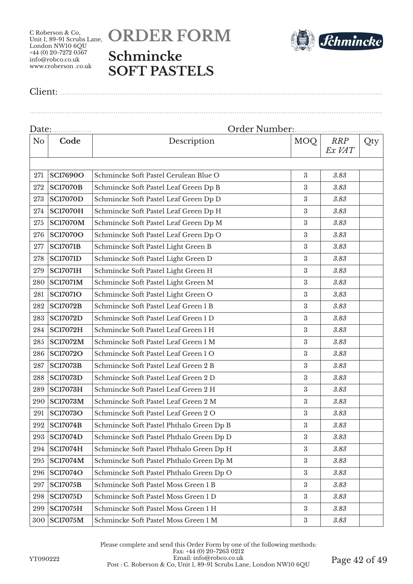# **ORDER FORM Schmincke SOFT PASTELS**



Client: ..................................................................................................................................................

| Date: <u></u>  |                 |                                          |                  |                      |     |  |  |
|----------------|-----------------|------------------------------------------|------------------|----------------------|-----|--|--|
| N <sub>o</sub> | Code            | Description                              | <b>MOQ</b>       | <b>RRP</b><br>Ex VAT | Qty |  |  |
|                |                 |                                          |                  |                      |     |  |  |
| 271            | <b>SC17690O</b> | Schmincke Soft Pastel Cerulean Blue O    | $\boldsymbol{3}$ | 3.83                 |     |  |  |
| 272            | <b>SC17070B</b> | Schmincke Soft Pastel Leaf Green Dp B    | 3                | 3.83                 |     |  |  |
| 273            | <b>SC17070D</b> | Schmincke Soft Pastel Leaf Green Dp D    | $\boldsymbol{3}$ | 3.83                 |     |  |  |
| 274            | <b>SC17070H</b> | Schmincke Soft Pastel Leaf Green Dp H    | 3                | 3.83                 |     |  |  |
| 275            | <b>SC17070M</b> | Schmincke Soft Pastel Leaf Green Dp M    | $\boldsymbol{3}$ | 3.83                 |     |  |  |
| 276            | <b>SC17070O</b> | Schmincke Soft Pastel Leaf Green Dp O    | $\boldsymbol{3}$ | 3.83                 |     |  |  |
| 277            | <b>SC17071B</b> | Schmincke Soft Pastel Light Green B      | $\boldsymbol{3}$ | 3.83                 |     |  |  |
| 278            | <b>SC17071D</b> | Schmincke Soft Pastel Light Green D      | 3                | 3.83                 |     |  |  |
| 279            | <b>SC17071H</b> | Schmincke Soft Pastel Light Green H      | $\boldsymbol{3}$ | 3.83                 |     |  |  |
| 280            | <b>SC17071M</b> | Schmincke Soft Pastel Light Green M      | $\boldsymbol{3}$ | 3.83                 |     |  |  |
| 281            | <b>SC17071O</b> | Schmincke Soft Pastel Light Green O      | 3                | 3.83                 |     |  |  |
| 282            | <b>SC17072B</b> | Schmincke Soft Pastel Leaf Green 1 B     | $\boldsymbol{3}$ | 3.83                 |     |  |  |
| 283            | <b>SC17072D</b> | Schmincke Soft Pastel Leaf Green 1 D     | 3                | 3.83                 |     |  |  |
| 284            | <b>SC17072H</b> | Schmincke Soft Pastel Leaf Green 1 H     | $\boldsymbol{3}$ | 3.83                 |     |  |  |
| 285            | <b>SC17072M</b> | Schmincke Soft Pastel Leaf Green 1 M     | 3                | 3.83                 |     |  |  |
| 286            | <b>SC17072O</b> | Schmincke Soft Pastel Leaf Green 1 O     | $\boldsymbol{3}$ | 3.83                 |     |  |  |
| 287            | <b>SC17073B</b> | Schmincke Soft Pastel Leaf Green 2 B     | 3                | 3.83                 |     |  |  |
| 288            | <b>SC17073D</b> | Schmincke Soft Pastel Leaf Green 2 D     | 3                | 3.83                 |     |  |  |
| 289            | <b>SC17073H</b> | Schmincke Soft Pastel Leaf Green 2 H     | $\boldsymbol{3}$ | 3.83                 |     |  |  |
| 290            | <b>SC17073M</b> | Schmincke Soft Pastel Leaf Green 2 M     | $\boldsymbol{3}$ | 3.83                 |     |  |  |
| 291            | <b>SC17073O</b> | Schmincke Soft Pastel Leaf Green 2 O     | $\boldsymbol{3}$ | 3.83                 |     |  |  |
| 292            | <b>SC17074B</b> | Schmincke Soft Pastel Phthalo Green Dp B | $\boldsymbol{3}$ | 3.83                 |     |  |  |
| 293            | <b>SC17074D</b> | Schmincke Soft Pastel Phthalo Green Dp D | $\boldsymbol{3}$ | 3.83                 |     |  |  |
| 294            | <b>SC17074H</b> | Schmincke Soft Pastel Phthalo Green Dp H | 3                | 3.83                 |     |  |  |
| 295            | <b>SC17074M</b> | Schmincke Soft Pastel Phthalo Green Dp M | $\boldsymbol{3}$ | 3.83                 |     |  |  |
| 296            | <b>SC17074O</b> | Schmincke Soft Pastel Phthalo Green Dp O | $\boldsymbol{3}$ | 3.83                 |     |  |  |
| 297            | <b>SC17075B</b> | Schmincke Soft Pastel Moss Green 1 B     | $\boldsymbol{3}$ | 3.83                 |     |  |  |
| 298            | <b>SC17075D</b> | Schmincke Soft Pastel Moss Green 1 D     | $\boldsymbol{3}$ | 3.83                 |     |  |  |
| 299            | <b>SC17075H</b> | Schmincke Soft Pastel Moss Green 1 H     | $\boldsymbol{3}$ | 3.83                 |     |  |  |
| 300            | <b>SC17075M</b> | Schmincke Soft Pastel Moss Green 1 M     | $\boldsymbol{3}$ | 3.83                 |     |  |  |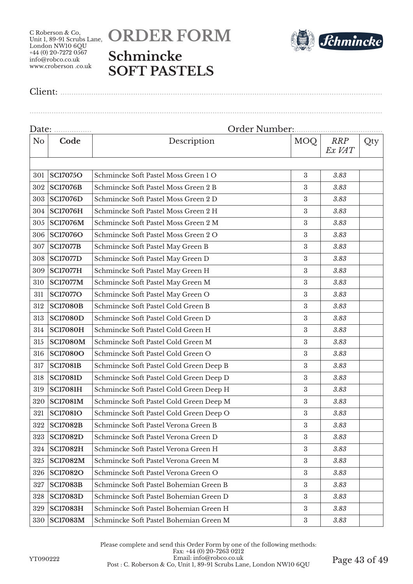# **ORDER FORM Schmincke SOFT PASTELS**



Client: ..................................................................................................................................................

| Date:          |                 |                                         |                  |               |     |  |
|----------------|-----------------|-----------------------------------------|------------------|---------------|-----|--|
| N <sub>o</sub> | Code            | Description                             | MOQ              | RRP<br>Ex VAT | Qty |  |
|                |                 |                                         |                  |               |     |  |
| 301            | <b>SC17075O</b> | Schmincke Soft Pastel Moss Green 1 O    | $\boldsymbol{3}$ | 3.83          |     |  |
| 302            | <b>SC17076B</b> | Schmincke Soft Pastel Moss Green 2 B    | 3                | 3.83          |     |  |
| 303            | <b>SC17076D</b> | Schmincke Soft Pastel Moss Green 2 D    | $\boldsymbol{3}$ | 3.83          |     |  |
| 304            | <b>SC17076H</b> | Schmincke Soft Pastel Moss Green 2 H    | $\boldsymbol{3}$ | 3.83          |     |  |
| 305            | <b>SC17076M</b> | Schmincke Soft Pastel Moss Green 2 M    | 3                | 3.83          |     |  |
| 306            | <b>SC17076O</b> | Schmincke Soft Pastel Moss Green 2 O    | 3                | 3.83          |     |  |
| 307            | <b>SC17077B</b> | Schmincke Soft Pastel May Green B       | 3                | 3.83          |     |  |
| 308            | <b>SC17077D</b> | Schmincke Soft Pastel May Green D       | 3                | 3.83          |     |  |
| 309            | <b>SC17077H</b> | Schmincke Soft Pastel May Green H       | 3                | 3.83          |     |  |
| 310            | <b>SC17077M</b> | Schmincke Soft Pastel May Green M       | $\boldsymbol{3}$ | 3.83          |     |  |
| 311            | <b>SC17077O</b> | Schmincke Soft Pastel May Green O       | $\boldsymbol{3}$ | 3.83          |     |  |
| 312            | <b>SC17080B</b> | Schmincke Soft Pastel Cold Green B      | 3                | 3.83          |     |  |
| 313            | <b>SC17080D</b> | Schmincke Soft Pastel Cold Green D      | $\boldsymbol{3}$ | 3.83          |     |  |
| 314            | <b>SC17080H</b> | Schmincke Soft Pastel Cold Green H      | 3                | 3.83          |     |  |
| 315            | <b>SC17080M</b> | Schmincke Soft Pastel Cold Green M      | 3                | 3.83          |     |  |
| 316            | <b>SC17080O</b> | Schmincke Soft Pastel Cold Green O      | 3                | 3.83          |     |  |
| 317            | <b>SC17081B</b> | Schmincke Soft Pastel Cold Green Deep B | $\boldsymbol{3}$ | 3.83          |     |  |
| 318            | <b>SC17081D</b> | Schmincke Soft Pastel Cold Green Deep D | $\boldsymbol{3}$ | 3.83          |     |  |
| 319            | <b>SC17081H</b> | Schmincke Soft Pastel Cold Green Deep H | 3                | 3.83          |     |  |
| 320            | <b>SC17081M</b> | Schmincke Soft Pastel Cold Green Deep M | 3                | 3.83          |     |  |
| 321            | <b>SC17081O</b> | Schmincke Soft Pastel Cold Green Deep O | 3                | 3.83          |     |  |
| 322            | <b>SC17082B</b> | Schmincke Soft Pastel Verona Green B    | 3                | 3.83          |     |  |
| 323            | <b>SC17082D</b> | Schmincke Soft Pastel Verona Green D    | $\boldsymbol{3}$ | 3.83          |     |  |
| 324            | <b>SC17082H</b> | Schmincke Soft Pastel Verona Green H    | 3                | 3.83          |     |  |
| 325            | <b>SC17082M</b> | Schmincke Soft Pastel Verona Green M    | $\boldsymbol{3}$ | 3.83          |     |  |
| 326            | <b>SC17082O</b> | Schmincke Soft Pastel Verona Green O    | 3                | 3.83          |     |  |
| 327            | <b>SC17083B</b> | Schmincke Soft Pastel Bohemian Green B  | 3                | 3.83          |     |  |
| 328            | <b>SC17083D</b> | Schmincke Soft Pastel Bohemian Green D  | 3                | 3.83          |     |  |
| 329            | <b>SC17083H</b> | Schmincke Soft Pastel Bohemian Green H  | 3                | 3.83          |     |  |
| 330            | <b>SC17083M</b> | Schmincke Soft Pastel Bohemian Green M  | $\boldsymbol{3}$ | 3.83          |     |  |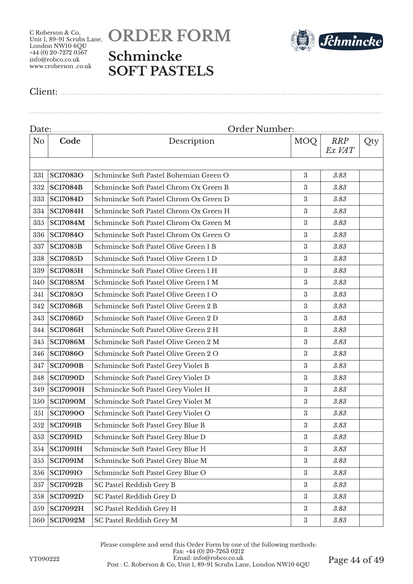# **ORDER FORM Schmincke SOFT PASTELS**



Client: ..................................................................................................................................................

| Date: |                 |                                        |                  |                      |     |  |
|-------|-----------------|----------------------------------------|------------------|----------------------|-----|--|
| No    | Code            | Description                            | <b>MOQ</b>       | <b>RRP</b><br>Ex VAT | Qty |  |
|       |                 |                                        |                  |                      |     |  |
| 331   | <b>SC17083O</b> | Schmincke Soft Pastel Bohemian Green O | 3                | 3.83                 |     |  |
| 332   | <b>SC17084B</b> | Schmincke Soft Pastel Chrom Ox Green B | 3                | 3.83                 |     |  |
| 333   | <b>SC17084D</b> | Schmincke Soft Pastel Chrom Ox Green D | $\boldsymbol{3}$ | 3.83                 |     |  |
| 334   | <b>SC17084H</b> | Schmincke Soft Pastel Chrom Ox Green H | 3                | 3.83                 |     |  |
| 335   | <b>SC17084M</b> | Schmincke Soft Pastel Chrom Ox Green M | $\boldsymbol{3}$ | 3.83                 |     |  |
| 336   | <b>SC17084O</b> | Schmincke Soft Pastel Chrom Ox Green O | 3                | 3.83                 |     |  |
| 337   | <b>SC17085B</b> | Schmincke Soft Pastel Olive Green 1 B  | $\boldsymbol{3}$ | 3.83                 |     |  |
| 338   | <b>SC17085D</b> | Schmincke Soft Pastel Olive Green 1 D  | 3                | 3.83                 |     |  |
| 339   | <b>SC17085H</b> | Schmincke Soft Pastel Olive Green 1 H  | $\boldsymbol{3}$ | 3.83                 |     |  |
| 340   | <b>SC17085M</b> | Schmincke Soft Pastel Olive Green 1 M  | $\boldsymbol{3}$ | 3.83                 |     |  |
| 341   | <b>SC17085O</b> | Schmincke Soft Pastel Olive Green 1 O  | $\boldsymbol{3}$ | 3.83                 |     |  |
| 342   | <b>SC17086B</b> | Schmincke Soft Pastel Olive Green 2 B  | $\boldsymbol{3}$ | 3.83                 |     |  |
| 343   | <b>SC17086D</b> | Schmincke Soft Pastel Olive Green 2 D  | $\boldsymbol{3}$ | 3.83                 |     |  |
| 344   | <b>SC17086H</b> | Schmincke Soft Pastel Olive Green 2 H  | 3                | 3.83                 |     |  |
| 345   | <b>SC17086M</b> | Schmincke Soft Pastel Olive Green 2 M  | 3                | 3.83                 |     |  |
| 346   | <b>SC17086O</b> | Schmincke Soft Pastel Olive Green 2 O  | $\boldsymbol{3}$ | 3.83                 |     |  |
| 347   | <b>SC17090B</b> | Schmincke Soft Pastel Grey Violet B    | 3                | 3.83                 |     |  |
| 348   | <b>SC17090D</b> | Schmincke Soft Pastel Grey Violet D    | 3                | 3.83                 |     |  |
| 349   | <b>SC17090H</b> | Schmincke Soft Pastel Grey Violet H    | $\boldsymbol{3}$ | 3.83                 |     |  |
| 350   | <b>SC17090M</b> | Schmincke Soft Pastel Grey Violet M    | $\boldsymbol{3}$ | 3.83                 |     |  |
| 351   | <b>SC17090O</b> | Schmincke Soft Pastel Grey Violet O    | $\boldsymbol{3}$ | 3.83                 |     |  |
| 352   | <b>SC17091B</b> | Schmincke Soft Pastel Grey Blue B      | $\boldsymbol{3}$ | 3.83                 |     |  |
| 353   | <b>SC17091D</b> | Schmincke Soft Pastel Grey Blue D      | $\boldsymbol{3}$ | 3.83                 |     |  |
| 354   | <b>SC17091H</b> | Schmincke Soft Pastel Grey Blue H      | 3                | 3.83                 |     |  |
| 355   | <b>SC17091M</b> | Schmincke Soft Pastel Grey Blue M      | $\boldsymbol{3}$ | 3.83                 |     |  |
| 356   | <b>SC17091O</b> | Schmincke Soft Pastel Grey Blue O      | $\boldsymbol{3}$ | 3.83                 |     |  |
| 357   | <b>SC17092B</b> | SC Pastel Reddish Grey B               | $\boldsymbol{3}$ | 3.83                 |     |  |
| 358   | <b>SC17092D</b> | SC Pastel Reddish Grey D               | $\boldsymbol{3}$ | 3.83                 |     |  |
| 359   | <b>SC17092H</b> | SC Pastel Reddish Grey H               | 3                | 3.83                 |     |  |
| 360   | <b>SC17092M</b> | SC Pastel Reddish Grey M               | $\rm 3$          | 3.83                 |     |  |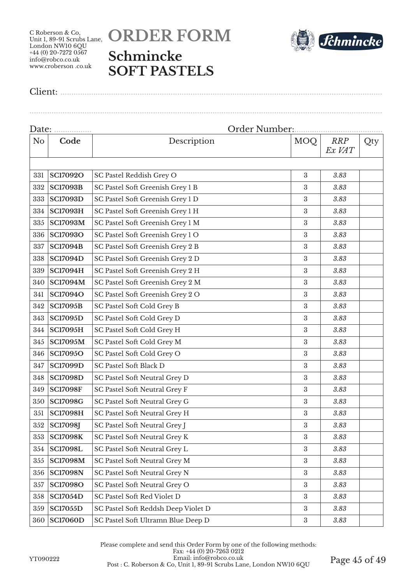



Client: ..................................................................................................................................................

|                | Date:           |                                     |                  |                      |     |
|----------------|-----------------|-------------------------------------|------------------|----------------------|-----|
| N <sub>o</sub> | Code            | Description                         | <b>MOQ</b>       | <b>RRP</b><br>Ex VAT | Qty |
|                |                 |                                     |                  |                      |     |
| 331            | <b>SC17092O</b> | SC Pastel Reddish Grey O            | $\sqrt{3}$       | 3.83                 |     |
| 332            | <b>SC17093B</b> | SC Pastel Soft Greenish Grey 1 B    | $\boldsymbol{3}$ | 3.83                 |     |
| 333            | <b>SC17093D</b> | SC Pastel Soft Greenish Grey 1 D    | $\boldsymbol{3}$ | 3.83                 |     |
| 334            | <b>SC17093H</b> | SC Pastel Soft Greenish Grey 1 H    | 3                | 3.83                 |     |
| 335            | <b>SC17093M</b> | SC Pastel Soft Greenish Grey 1 M    | 3                | 3.83                 |     |
| 336            | <b>SC17093O</b> | SC Pastel Soft Greenish Grey 1 O    | 3                | 3.83                 |     |
| 337            | <b>SC17094B</b> | SC Pastel Soft Greenish Grey 2 B    | $\boldsymbol{3}$ | 3.83                 |     |
| 338            | <b>SC17094D</b> | SC Pastel Soft Greenish Grey 2 D    | 3                | 3.83                 |     |
| 339            | <b>SC17094H</b> | SC Pastel Soft Greenish Grey 2 H    | $\sqrt{3}$       | 3.83                 |     |
| 340            | <b>SC17094M</b> | SC Pastel Soft Greenish Grey 2 M    | $\boldsymbol{3}$ | 3.83                 |     |
| 341            | <b>SC17094O</b> | SC Pastel Soft Greenish Grey 2 O    | $\boldsymbol{3}$ | 3.83                 |     |
| 342            | <b>SC17095B</b> | SC Pastel Soft Cold Grey B          | 3                | 3.83                 |     |
| 343            | <b>SC17095D</b> | SC Pastel Soft Cold Grey D          | $\boldsymbol{3}$ | 3.83                 |     |
| 344            | <b>SC17095H</b> | SC Pastel Soft Cold Grey H          | $\boldsymbol{3}$ | 3.83                 |     |
| 345            | <b>SC17095M</b> | SC Pastel Soft Cold Grey M          | $\rm 3$          | 3.83                 |     |
| 346            | <b>SC17095O</b> | SC Pastel Soft Cold Grey O          | $\sqrt{3}$       | 3.83                 |     |
| 347            | <b>SC17099D</b> | <b>SC Pastel Soft Black D</b>       | $\sqrt{3}$       | 3.83                 |     |
| 348            | <b>SC17098D</b> | SC Pastel Soft Neutral Grey D       | $\boldsymbol{3}$ | 3.83                 |     |
| 349            | <b>SC17098F</b> | SC Pastel Soft Neutral Grey F       | 3                | 3.83                 |     |
| 350            | <b>SC17098G</b> | SC Pastel Soft Neutral Grey G       | 3                | 3.83                 |     |
| 351            | <b>SC17098H</b> | SC Pastel Soft Neutral Grey H       | $\boldsymbol{3}$ | 3.83                 |     |
| 352            | <b>SC17098J</b> | SC Pastel Soft Neutral Grey J       | 3                | 3.83                 |     |
| 353            | <b>SC17098K</b> | SC Pastel Soft Neutral Grey K       | 3                | 3.83                 |     |
| 354            | <b>SC17098L</b> | SC Pastel Soft Neutral Grey L       | $\boldsymbol{3}$ | 3.83                 |     |
| 355            | <b>SC17098M</b> | SC Pastel Soft Neutral Grey M       | $\sqrt{3}$       | 3.83                 |     |
| 356            | <b>SC17098N</b> | SC Pastel Soft Neutral Grey N       | $\boldsymbol{3}$ | 3.83                 |     |
| 357            | <b>SC17098O</b> | SC Pastel Soft Neutral Grey O       | $\boldsymbol{3}$ | 3.83                 |     |
| 358            | <b>SC17054D</b> | SC Pastel Soft Red Violet D         | $\sqrt{3}$       | 3.83                 |     |
| 359            | <b>SC17055D</b> | SC Pastel Soft Reddsh Deep Violet D | $\sqrt{3}$       | 3.83                 |     |
| 360            | <b>SC17060D</b> | SC Pastel Soft Ultramn Blue Deep D  | $\rm 3$          | 3.83                 |     |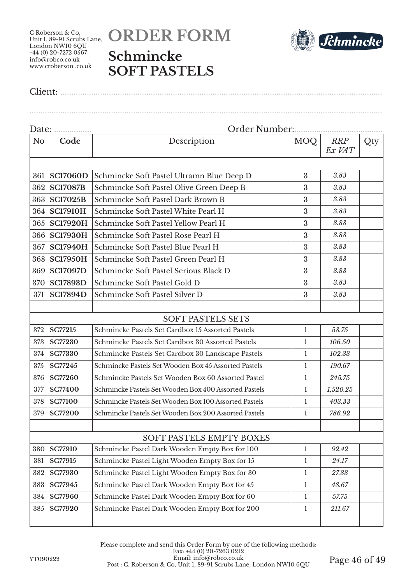# **ORDER FORM Schmincke SOFT PASTELS**



Client: ..................................................................................................................................................

| Date:          |                 |                                                       |              |                      |     |  |
|----------------|-----------------|-------------------------------------------------------|--------------|----------------------|-----|--|
| N <sub>o</sub> | Code            | Description                                           | MOQ          | <b>RRP</b><br>Ex VAT | Qty |  |
|                |                 |                                                       |              |                      |     |  |
| 361            | <b>SC17060D</b> | Schmincke Soft Pastel Ultramn Blue Deep D             | 3            | 3.83                 |     |  |
| 362            | <b>SC17087B</b> | Schmincke Soft Pastel Olive Green Deep B              | 3            | 3.83                 |     |  |
| 363            | <b>SC17025B</b> | Schmincke Soft Pastel Dark Brown B                    | 3            | 3.83                 |     |  |
| 364            | <b>SC17910H</b> | Schmincke Soft Pastel White Pearl H                   | 3            | 3.83                 |     |  |
| 365            | <b>SC17920H</b> | Schmincke Soft Pastel Yellow Pearl H                  | 3            | 3.83                 |     |  |
| 366            | <b>SC17930H</b> | Schmincke Soft Pastel Rose Pearl H                    | 3            | 3.83                 |     |  |
| 367            | <b>SC17940H</b> | Schmincke Soft Pastel Blue Pearl H                    | 3            | 3.83                 |     |  |
| 368            | <b>SC17950H</b> | Schmincke Soft Pastel Green Pearl H                   | 3            | 3.83                 |     |  |
| 369            | <b>SC17097D</b> | Schmincke Soft Pastel Serious Black D                 | 3            | 3.83                 |     |  |
| 370            | <b>SC17893D</b> | Schmincke Soft Pastel Gold D                          | 3            | 3.83                 |     |  |
| 371            | <b>SC17894D</b> | Schmincke Soft Pastel Silver D                        | 3            | 3.83                 |     |  |
|                |                 |                                                       |              |                      |     |  |
|                |                 | <b>SOFT PASTELS SETS</b>                              |              |                      |     |  |
| 372            | <b>SC77215</b>  | Schmincke Pastels Set Cardbox 15 Assorted Pastels     | $\mathbf{1}$ | 53.75                |     |  |
| 373            | <b>SC77230</b>  | Schmincke Pastels Set Cardbox 30 Assorted Pastels     | 1            | 106.50               |     |  |
| 374            | <b>SC77330</b>  | Schmincke Pastels Set Cardbox 30 Landscape Pastels    | $\mathbf{1}$ | 102.33               |     |  |
| 375            | <b>SC77245</b>  | Schmincke Pastels Set Wooden Box 45 Assorted Pastels  | 1            | 190.67               |     |  |
| 376            | <b>SC77260</b>  | Schmincke Pastels Set Wooden Box 60 Assorted Pastel   | 1            | 245.75               |     |  |
| 377            | <b>SC77400</b>  | Schmincke Pastels Set Wooden Box 400 Assorted Pastels | 1            | 1,520.25             |     |  |
| 378            | <b>SC77100</b>  | Schmincke Pastels Set Wooden Box 100 Assorted Pastels | 1            | 403.33               |     |  |
| 379            | <b>SC77200</b>  | Schmincke Pastels Set Wooden Box 200 Assorted Pastels | 1            | 786.92               |     |  |
|                |                 |                                                       |              |                      |     |  |
|                |                 | SOFT PASTELS EMPTY BOXES                              |              |                      |     |  |
| 380            | <b>SC77910</b>  | Schmincke Pastel Dark Wooden Empty Box for 100        | $\mathbf{1}$ | 92.42                |     |  |
| 381            | SC77915         | Schmincke Pastel Light Wooden Empty Box for 15        | $\mathbf{1}$ | 24.17                |     |  |
| 382            | <b>SC77930</b>  | Schmincke Pastel Light Wooden Empty Box for 30        | $\mathbf{1}$ | 27.33                |     |  |
| 383            | SC77945         | Schmincke Pastel Dark Wooden Empty Box for 45         | $\mathbf{1}$ | 48.67                |     |  |
| 384            | <b>SC77960</b>  | Schmincke Pastel Dark Wooden Empty Box for 60         | $\mathbf{1}$ | 57.75                |     |  |
| 385            | <b>SC77920</b>  | Schmincke Pastel Dark Wooden Empty Box for 200        | $\mathbf{1}$ | 211.67               |     |  |
|                |                 |                                                       |              |                      |     |  |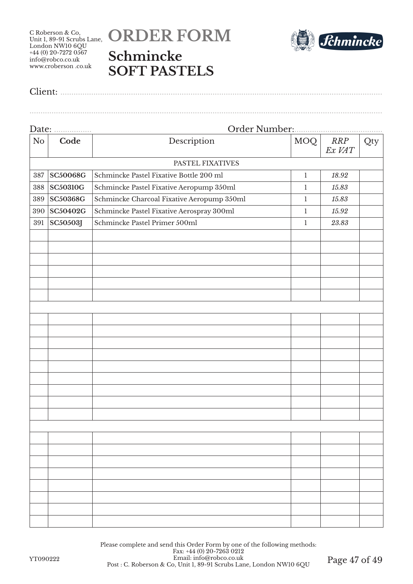



|--|--|

|                | Date:           |                                            |              |               |     |
|----------------|-----------------|--------------------------------------------|--------------|---------------|-----|
| N <sub>o</sub> | Code            | Description                                | <b>MOQ</b>   | RRP<br>Ex VAT | Qty |
|                |                 | PASTEL FIXATIVES                           |              |               |     |
| 387            | <b>SC50068G</b> | Schmincke Pastel Fixative Bottle 200 ml    | $\mathbf{1}$ | 18.92         |     |
| 388            | <b>SC50310G</b> | Schmincke Pastel Fixative Aeropump 350ml   | $\mathbf{1}$ | 15.83         |     |
| 389            | <b>SC50368G</b> | Schmincke Charcoal Fixative Aeropump 350ml | $\mathbf{1}$ | 15.83         |     |
| 390            | SC50402G        | Schmincke Pastel Fixative Aerospray 300ml  | $\mathbf{1}$ | 15.92         |     |
| 391            | <b>SC50503J</b> | Schmincke Pastel Primer 500ml              | $\mathbf{1}$ | 23.83         |     |
|                |                 |                                            |              |               |     |
|                |                 |                                            |              |               |     |
|                |                 |                                            |              |               |     |
|                |                 |                                            |              |               |     |
|                |                 |                                            |              |               |     |
|                |                 |                                            |              |               |     |
|                |                 |                                            |              |               |     |
|                |                 |                                            |              |               |     |
|                |                 |                                            |              |               |     |
|                |                 |                                            |              |               |     |
|                |                 |                                            |              |               |     |
|                |                 |                                            |              |               |     |
|                |                 |                                            |              |               |     |
|                |                 |                                            |              |               |     |
|                |                 |                                            |              |               |     |
|                |                 |                                            |              |               |     |
|                |                 |                                            |              |               |     |
|                |                 |                                            |              |               |     |
|                |                 |                                            |              |               |     |
|                |                 |                                            |              |               |     |
|                |                 |                                            |              |               |     |
|                |                 |                                            |              |               |     |
|                |                 |                                            |              |               |     |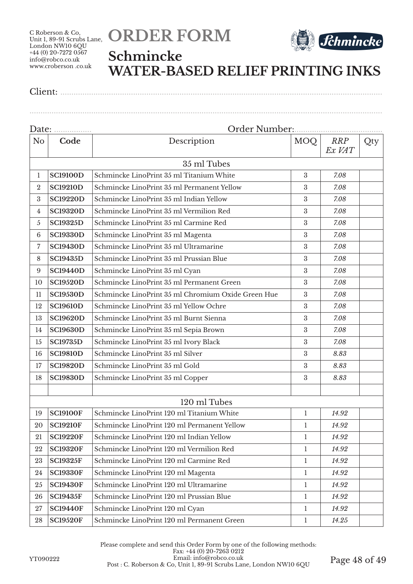



#### **Schmincke WATER-BASED RELIEF PRINTING INKS**

Client: ..................................................................................................................................................

|                  | Date:           |                                                    |                  |               |     |
|------------------|-----------------|----------------------------------------------------|------------------|---------------|-----|
| N <sub>o</sub>   | Code            | Description                                        | <b>MOQ</b>       | RRP<br>Ex VAT | Qty |
|                  |                 | 35 ml Tubes                                        |                  |               |     |
| 1                | <b>SC19100D</b> | Schmincke LinoPrint 35 ml Titanium White           | $\boldsymbol{3}$ | 7.08          |     |
| $\boldsymbol{2}$ | <b>SC19210D</b> | Schmincke LinoPrint 35 ml Permanent Yellow         | 3                | 7.08          |     |
| 3                | <b>SC19220D</b> | Schmincke LinoPrint 35 ml Indian Yellow            | 3                | 7.08          |     |
| 4                | <b>SC19320D</b> | Schmincke LinoPrint 35 ml Vermilion Red            | 3                | 7.08          |     |
| 5                | <b>SC19325D</b> | Schmincke LinoPrint 35 ml Carmine Red              | 3                | 7.08          |     |
| $6\phantom{.}6$  | <b>SC19330D</b> | Schmincke LinoPrint 35 ml Magenta                  | 3                | 7.08          |     |
| 7                | <b>SC19430D</b> | Schmincke LinoPrint 35 ml Ultramarine              | 3                | 7.08          |     |
| 8                | <b>SC19435D</b> | Schmincke LinoPrint 35 ml Prussian Blue            | 3                | 7.08          |     |
| 9                | <b>SC19440D</b> | Schmincke LinoPrint 35 ml Cyan                     | $\boldsymbol{3}$ | 7.08          |     |
| 10               | <b>SC19520D</b> | Schmincke LinoPrint 35 ml Permanent Green          | 3                | 7.08          |     |
| 11               | <b>SC19530D</b> | Schmincke LinoPrint 35 ml Chromium Oxide Green Hue | 3                | 7.08          |     |
| 12               | <b>SC19610D</b> | Schmincke LinoPrint 35 ml Yellow Ochre             | 3                | 7.08          |     |
| 13               | <b>SC19620D</b> | Schmincke LinoPrint 35 ml Burnt Sienna             | $\boldsymbol{3}$ | 7.08          |     |
| 14               | <b>SC19630D</b> | Schmincke LinoPrint 35 ml Sepia Brown              | 3                | 7.08          |     |
| 15               | <b>SC19735D</b> | Schmincke LinoPrint 35 ml Ivory Black              | 3                | 7.08          |     |
| 16               | <b>SC19810D</b> | Schmincke LinoPrint 35 ml Silver                   | $\boldsymbol{3}$ | 8.83          |     |
| 17               | <b>SC19820D</b> | Schmincke LinoPrint 35 ml Gold                     | $\boldsymbol{3}$ | 8.83          |     |
| 18               | <b>SC19830D</b> | Schmincke LinoPrint 35 ml Copper                   | 3                | 8.83          |     |
|                  |                 |                                                    |                  |               |     |
|                  |                 | 120 ml Tubes                                       |                  |               |     |
| 19               | <b>SC19100F</b> | Schmincke LinoPrint 120 ml Titanium White          | $\mathbf{1}$     | 14.92         |     |
| 20               | <b>SC19210F</b> | Schmincke LinoPrint 120 ml Permanent Yellow        | $\mathbf{1}$     | 14.92         |     |
| 21               | <b>SC19220F</b> | Schmincke LinoPrint 120 ml Indian Yellow           | 1                | 14.92         |     |
| 22               | <b>SC19320F</b> | Schmincke LinoPrint 120 ml Vermilion Red           | 1                | 14.92         |     |
| 23               | <b>SC19325F</b> | Schmincke LinoPrint 120 ml Carmine Red             | $\mathbf{1}$     | 14.92         |     |
| 24               | <b>SC19330F</b> | Schmincke LinoPrint 120 ml Magenta                 | $\mathbf{1}$     | 14.92         |     |
| 25               | <b>SC19430F</b> | Schmincke LinoPrint 120 ml Ultramarine             | $\mathbf{1}$     | 14.92         |     |
| 26               | <b>SC19435F</b> | Schmincke LinoPrint 120 ml Prussian Blue           | $\mathbf{1}$     | 14.92         |     |
| 27               | <b>SC19440F</b> | Schmincke LinoPrint 120 ml Cyan                    | $\mathbf{1}$     | 14.92         |     |
| 28               | <b>SC19520F</b> | Schmincke LinoPrint 120 ml Permanent Green         | $\mathbf{1}$     | 14.25         |     |